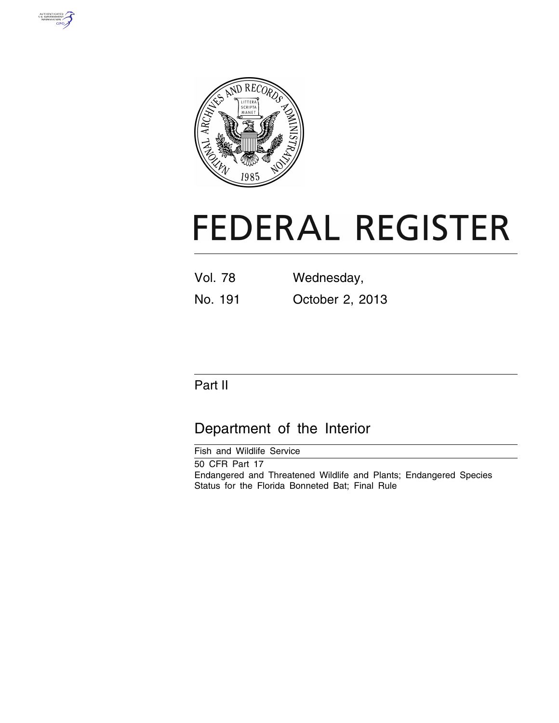



# **FEDERAL REGISTER**

| <b>Vol. 78</b> | Wednesday,      |  |  |  |
|----------------|-----------------|--|--|--|
| No. 191        | October 2, 2013 |  |  |  |

# Part II

# Department of the Interior

Fish and Wildlife Service

50 CFR Part 17 Endangered and Threatened Wildlife and Plants; Endangered Species Status for the Florida Bonneted Bat; Final Rule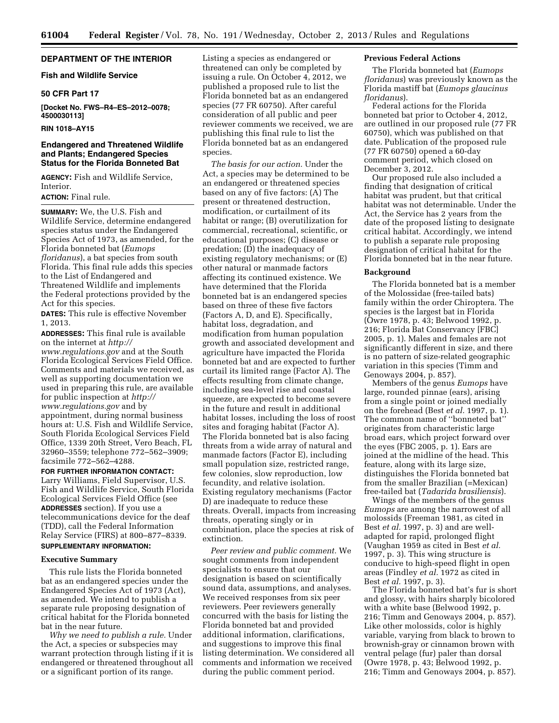# **DEPARTMENT OF THE INTERIOR**

# **Fish and Wildlife Service**

# **50 CFR Part 17**

**[Docket No. FWS–R4–ES–2012–0078; 4500030113]** 

# **RIN 1018–AY15**

# **Endangered and Threatened Wildlife and Plants; Endangered Species Status for the Florida Bonneted Bat**

**AGENCY:** Fish and Wildlife Service, **Interior** 

# **ACTION:** Final rule.

**SUMMARY:** We, the U.S. Fish and Wildlife Service, determine endangered species status under the Endangered Species Act of 1973, as amended, for the Florida bonneted bat (*Eumops floridanus*), a bat species from south Florida. This final rule adds this species to the List of Endangered and Threatened Wildlife and implements the Federal protections provided by the Act for this species.

**DATES:** This rule is effective November 1, 2013.

**ADDRESSES:** This final rule is available on the internet at *[http://](http://www.regulations.gov) [www.regulations.gov](http://www.regulations.gov)* and at the South Florida Ecological Services Field Office. Comments and materials we received, as well as supporting documentation we used in preparing this rule, are available for public inspection at *[http://](http://www.regulations.gov) [www.regulations.gov](http://www.regulations.gov)* and by appointment, during normal business hours at: U.S. Fish and Wildlife Service, South Florida Ecological Services Field Office, 1339 20th Street, Vero Beach, FL 32960–3559; telephone 772–562–3909; facsimile 772–562–4288.

**FOR FURTHER INFORMATION CONTACT:**  Larry Williams, Field Supervisor, U.S. Fish and Wildlife Service, South Florida Ecological Services Field Office (see **ADDRESSES** section). If you use a telecommunications device for the deaf (TDD), call the Federal Information Relay Service (FIRS) at 800–877–8339. **SUPPLEMENTARY INFORMATION:** 

#### **Executive Summary**

This rule lists the Florida bonneted bat as an endangered species under the Endangered Species Act of 1973 (Act), as amended. We intend to publish a separate rule proposing designation of critical habitat for the Florida bonneted bat in the near future.

*Why we need to publish a rule.* Under the Act, a species or subspecies may warrant protection through listing if it is endangered or threatened throughout all or a significant portion of its range.

Listing a species as endangered or threatened can only be completed by issuing a rule. On October 4, 2012, we published a proposed rule to list the Florida bonneted bat as an endangered species (77 FR 60750). After careful consideration of all public and peer reviewer comments we received, we are publishing this final rule to list the Florida bonneted bat as an endangered species.

*The basis for our action.* Under the Act, a species may be determined to be an endangered or threatened species based on any of five factors: (A) The present or threatened destruction, modification, or curtailment of its habitat or range; (B) overutilization for commercial, recreational, scientific, or educational purposes; (C) disease or predation; (D) the inadequacy of existing regulatory mechanisms; or (E) other natural or manmade factors affecting its continued existence. We have determined that the Florida bonneted bat is an endangered species based on three of these five factors (Factors A, D, and E). Specifically, habitat loss, degradation, and modification from human population growth and associated development and agriculture have impacted the Florida bonneted bat and are expected to further curtail its limited range (Factor A). The effects resulting from climate change, including sea-level rise and coastal squeeze, are expected to become severe in the future and result in additional habitat losses, including the loss of roost sites and foraging habitat (Factor A). The Florida bonneted bat is also facing threats from a wide array of natural and manmade factors (Factor E), including small population size, restricted range, few colonies, slow reproduction, low fecundity, and relative isolation. Existing regulatory mechanisms (Factor D) are inadequate to reduce these threats. Overall, impacts from increasing threats, operating singly or in combination, place the species at risk of extinction.

*Peer review and public comment.* We sought comments from independent specialists to ensure that our designation is based on scientifically sound data, assumptions, and analyses. We received responses from six peer reviewers. Peer reviewers generally concurred with the basis for listing the Florida bonneted bat and provided additional information, clarifications, and suggestions to improve this final listing determination. We considered all comments and information we received during the public comment period.

# **Previous Federal Actions**

The Florida bonneted bat (*Eumops floridanus*) was previously known as the Florida mastiff bat (*Eumops glaucinus floridanus*).

Federal actions for the Florida bonneted bat prior to October 4, 2012, are outlined in our proposed rule (77 FR 60750), which was published on that date. Publication of the proposed rule (77 FR 60750) opened a 60-day comment period, which closed on December 3, 2012.

Our proposed rule also included a finding that designation of critical habitat was prudent, but that critical habitat was not determinable. Under the Act, the Service has 2 years from the date of the proposed listing to designate critical habitat. Accordingly, we intend to publish a separate rule proposing designation of critical habitat for the Florida bonneted bat in the near future.

# **Background**

The Florida bonneted bat is a member of the Molossidae (free-tailed bats) family within the order Chiroptera. The species is the largest bat in Florida (Owre 1978, p. 43; Belwood 1992, p. 216; Florida Bat Conservancy [FBC] 2005, p. 1). Males and females are not significantly different in size, and there is no pattern of size-related geographic variation in this species (Timm and Genoways 2004, p. 857).

Members of the genus *Eumops* have large, rounded pinnae (ears), arising from a single point or joined medially on the forehead (Best *et al.* 1997, p. 1). The common name of ''bonneted bat'' originates from characteristic large broad ears, which project forward over the eyes (FBC 2005, p. 1). Ears are joined at the midline of the head. This feature, along with its large size, distinguishes the Florida bonneted bat from the smaller Brazilian (=Mexican) free-tailed bat (*Tadarida brasiliensis*).

Wings of the members of the genus *Eumops* are among the narrowest of all molossids (Freeman 1981, as cited in Best *et al.* 1997, p. 3) and are welladapted for rapid, prolonged flight (Vaughan 1959 as cited in Best *et al.*  1997, p. 3). This wing structure is conducive to high-speed flight in open areas (Findley *et al.* 1972 as cited in Best *et al.* 1997, p. 3).

The Florida bonneted bat's fur is short and glossy, with hairs sharply bicolored with a white base (Belwood 1992, p. 216; Timm and Genoways 2004, p. 857). Like other molossids, color is highly variable, varying from black to brown to brownish-gray or cinnamon brown with ventral pelage (fur) paler than dorsal (Owre 1978, p. 43; Belwood 1992, p. 216; Timm and Genoways 2004, p. 857).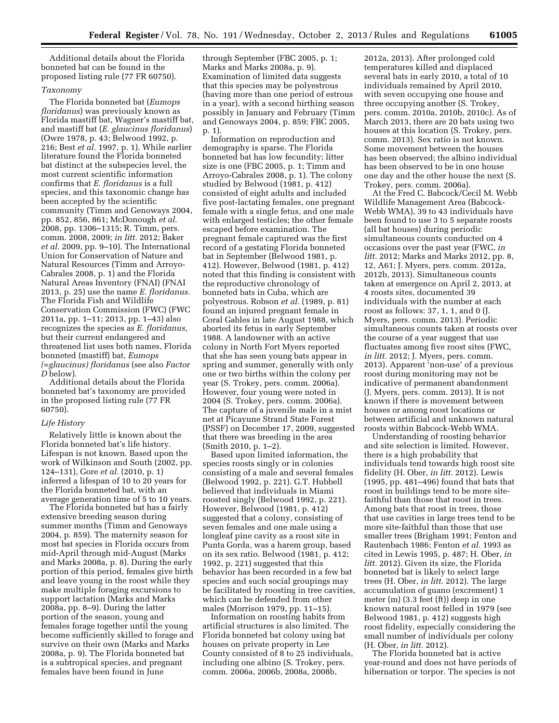Additional details about the Florida bonneted bat can be found in the proposed listing rule (77 FR 60750).

# *Taxonomy*

The Florida bonneted bat (*Eumops floridanus*) was previously known as Florida mastiff bat, Wagner's mastiff bat, and mastiff bat (*E. glaucinus floridanus*) (Owre 1978, p. 43; Belwood 1992, p. 216; Best *et al.* 1997, p. 1). While earlier literature found the Florida bonneted bat distinct at the subspecies level, the most current scientific information confirms that *E. floridanus* is a full species, and this taxonomic change has been accepted by the scientific community (Timm and Genoways 2004, pp. 852, 856, 861; McDonough *et al.*  2008, pp. 1306–1315; R. Timm, pers. comm. 2008, 2009; *in litt.* 2012; Baker *et al.* 2009, pp. 9–10). The International Union for Conservation of Nature and Natural Resources (Timm and Arroyo-Cabrales 2008, p. 1) and the Florida Natural Areas Inventory (FNAI) (FNAI 2013, p. 25) use the name *E. floridanus.*  The Florida Fish and Wildlife Conservation Commission (FWC) (FWC 2011a, pp. 1–11; 2013, pp. 1–43) also recognizes the species as *E. floridanus,*  but their current endangered and threatened list uses both names, Florida bonneted (mastiff) bat, *Eumops (=glaucinus) floridanus* (see also *Factor D* below).

Additional details about the Florida bonneted bat's taxonomy are provided in the proposed listing rule (77 FR 60750).

#### *Life History*

Relatively little is known about the Florida bonneted bat's life history. Lifespan is not known. Based upon the work of Wilkinson and South (2002, pp. 124–131), Gore *et al.* (2010, p. 1) inferred a lifespan of 10 to 20 years for the Florida bonneted bat, with an average generation time of 5 to 10 years.

The Florida bonneted bat has a fairly extensive breeding season during summer months (Timm and Genoways 2004, p. 859). The maternity season for most bat species in Florida occurs from mid-April through mid-August (Marks and Marks 2008a, p. 8). During the early portion of this period, females give birth and leave young in the roost while they make multiple foraging excursions to support lactation (Marks and Marks 2008a, pp. 8–9). During the latter portion of the season, young and females forage together until the young become sufficiently skilled to forage and survive on their own (Marks and Marks 2008a, p. 9). The Florida bonneted bat is a subtropical species, and pregnant females have been found in June

through September (FBC 2005, p. 1; Marks and Marks 2008a, p. 9). Examination of limited data suggests that this species may be polyestrous (having more than one period of estrous in a year), with a second birthing season possibly in January and February (Timm and Genoways 2004, p. 859; FBC 2005, p. 1).

Information on reproduction and demography is sparse. The Florida bonneted bat has low fecundity; litter size is one (FBC 2005, p. 1; Timm and Arroyo-Cabrales 2008, p. 1). The colony studied by Belwood (1981, p. 412) consisted of eight adults and included five post-lactating females, one pregnant female with a single fetus, and one male with enlarged testicles; the other female escaped before examination. The pregnant female captured was the first record of a gestating Florida bonneted bat in September (Belwood 1981, p. 412). However, Belwood (1981, p. 412) noted that this finding is consistent with the reproductive chronology of bonneted bats in Cuba, which are polyestrous. Robson *et al.* (1989, p. 81) found an injured pregnant female in Coral Gables in late August 1988, which aborted its fetus in early September 1988. A landowner with an active colony in North Fort Myers reported that she has seen young bats appear in spring and summer, generally with only one or two births within the colony per year (S. Trokey, pers. comm. 2006a). However, four young were noted in 2004 (S. Trokey, pers. comm. 2006a). The capture of a juvenile male in a mist net at Picayune Strand State Forest (PSSF) on December 17, 2009, suggested that there was breeding in the area (Smith 2010, p. 1–2).

Based upon limited information, the species roosts singly or in colonies consisting of a male and several females (Belwood 1992, p. 221). G.T. Hubbell believed that individuals in Miami roosted singly (Belwood 1992, p. 221). However, Belwood (1981, p. 412) suggested that a colony, consisting of seven females and one male using a longleaf pine cavity as a roost site in Punta Gorda, was a harem group, based on its sex ratio. Belwood (1981, p. 412; 1992, p. 221) suggested that this behavior has been recorded in a few bat species and such social groupings may be facilitated by roosting in tree cavities, which can be defended from other males (Morrison 1979, pp. 11–15).

Information on roosting habits from artificial structures is also limited. The Florida bonneted bat colony using bat houses on private property in Lee County consisted of 8 to 25 individuals, including one albino (S. Trokey, pers. comm. 2006a, 2006b, 2008a, 2008b,

2012a, 2013). After prolonged cold temperatures killed and displaced several bats in early 2010, a total of 10 individuals remained by April 2010, with seven occupying one house and three occupying another (S. Trokey, pers. comm. 2010a, 2010b, 2010c). As of March 2013, there are 20 bats using two houses at this location (S. Trokey, pers. comm. 2013). Sex ratio is not known. Some movement between the houses has been observed; the albino individual has been observed to be in one house one day and the other house the next (S. Trokey, pers. comm. 2006a).

At the Fred C. Babcock/Cecil M. Webb Wildlife Management Area (Babcock-Webb WMA), 39 to 43 individuals have been found to use 3 to 5 separate roosts (all bat houses) during periodic simultaneous counts conducted on 4 occasions over the past year (FWC, *in litt.* 2012; Marks and Marks 2012, pp. 8, 12, A61; J. Myers, pers. comm. 2012a, 2012b, 2013). Simultaneous counts taken at emergence on April 2, 2013, at 4 roosts sites, documented 39 individuals with the number at each roost as follows: 37, 1, 1, and 0 (J. Myers, pers. comm. 2013). Periodic simultaneous counts taken at roosts over the course of a year suggest that use fluctuates among five roost sites (FWC, *in litt.* 2012; J. Myers, pers. comm. 2013). Apparent 'non-use' of a previous roost during monitoring may not be indicative of permanent abandonment (J. Myers, pers. comm. 2013). It is not known if there is movement between houses or among roost locations or between artificial and unknown natural roosts within Babcock-Webb WMA.

Understanding of roosting behavior and site selection is limited. However, there is a high probability that individuals tend towards high roost site fidelity (H. Ober, *in litt.* 2012). Lewis (1995, pp. 481–496) found that bats that roost in buildings tend to be more sitefaithful than those that roost in trees. Among bats that roost in trees, those that use cavities in large trees tend to be more site-faithful than those that use smaller trees (Brigham 1991; Fenton and Rautenbach 1986; Fenton *et al.* 1993 as cited in Lewis 1995, p. 487; H. Ober, *in litt.* 2012). Given its size, the Florida bonneted bat is likely to select large trees (H. Ober, *in litt.* 2012). The large accumulation of guano (excrement) 1 meter (m) (3.3 feet (ft)) deep in one known natural roost felled in 1979 (see Belwood 1981, p. 412) suggests high roost fidelity, especially considering the small number of individuals per colony (H. Ober, *in litt.* 2012).

The Florida bonneted bat is active year-round and does not have periods of hibernation or torpor. The species is not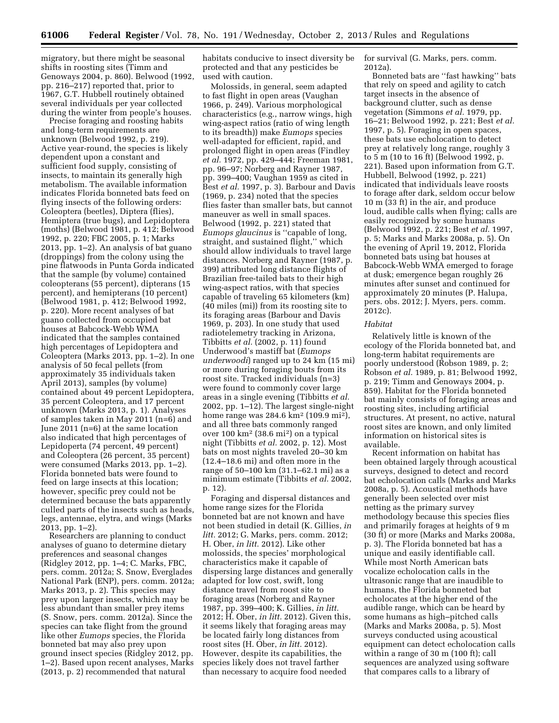migratory, but there might be seasonal shifts in roosting sites (Timm and Genoways 2004, p. 860). Belwood (1992, pp. 216–217) reported that, prior to 1967, G.T. Hubbell routinely obtained several individuals per year collected during the winter from people's houses.

Precise foraging and roosting habits and long-term requirements are unknown (Belwood 1992, p. 219). Active year-round, the species is likely dependent upon a constant and sufficient food supply, consisting of insects, to maintain its generally high metabolism. The available information indicates Florida bonneted bats feed on flying insects of the following orders: Coleoptera (beetles), Diptera (flies), Hemiptera (true bugs), and Lepidoptera (moths) (Belwood 1981, p. 412; Belwood 1992, p. 220; FBC 2005, p. 1; Marks 2013, pp. 1–2). An analysis of bat guano (droppings) from the colony using the pine flatwoods in Punta Gorda indicated that the sample (by volume) contained coleopterans (55 percent), dipterans (15 percent), and hemipterans (10 percent) (Belwood 1981, p. 412; Belwood 1992, p. 220). More recent analyses of bat guano collected from occupied bat houses at Babcock-Webb WMA indicated that the samples contained high percentages of Lepidoptera and Coleoptera (Marks 2013, pp. 1–2). In one analysis of 50 fecal pellets (from approximately 35 individuals taken April 2013), samples (by volume) contained about 49 percent Lepidoptera, 35 percent Coleoptera, and 17 percent unknown (Marks 2013, p. 1). Analyses of samples taken in May 2011 (n=6) and June 2011 (n=6) at the same location also indicated that high percentages of Lepidoperta (74 percent, 49 percent) and Coleoptera (26 percent, 35 percent) were consumed (Marks 2013, pp. 1–2). Florida bonneted bats were found to feed on large insects at this location; however, specific prey could not be determined because the bats apparently culled parts of the insects such as heads, legs, antennae, elytra, and wings (Marks 2013, pp. 1–2).

Researchers are planning to conduct analyses of guano to determine dietary preferences and seasonal changes (Ridgley 2012, pp. 1–4; C. Marks, FBC, pers. comm. 2012a; S. Snow, Everglades National Park (ENP), pers. comm. 2012a; Marks 2013, p. 2). This species may prey upon larger insects, which may be less abundant than smaller prey items (S. Snow, pers. comm. 2012a). Since the species can take flight from the ground like other *Eumops* species, the Florida bonneted bat may also prey upon ground insect species (Ridgley 2012, pp. 1–2). Based upon recent analyses, Marks (2013, p. 2) recommended that natural

habitats conducive to insect diversity be protected and that any pesticides be used with caution.

Molossids, in general, seem adapted to fast flight in open areas (Vaughan 1966, p. 249). Various morphological characteristics (e.g., narrow wings, high wing-aspect ratios (ratio of wing length to its breadth)) make *Eumops* species well-adapted for efficient, rapid, and prolonged flight in open areas (Findley *et al.* 1972, pp. 429–444; Freeman 1981, pp. 96–97; Norberg and Rayner 1987, pp. 399–400; Vaughan 1959 as cited in Best *et al.* 1997, p. 3). Barbour and Davis (1969, p. 234) noted that the species flies faster than smaller bats, but cannot maneuver as well in small spaces. Belwood (1992, p. 221) stated that *Eumops glaucinus* is ''capable of long, straight, and sustained flight,'' which should allow individuals to travel large distances. Norberg and Rayner (1987, p. 399) attributed long distance flights of Brazilian free-tailed bats to their high wing-aspect ratios, with that species capable of traveling 65 kilometers (km) (40 miles (mi)) from its roosting site to its foraging areas (Barbour and Davis 1969, p. 203). In one study that used radiotelemetry tracking in Arizona, Tibbitts *et al.* (2002, p. 11) found Underwood's mastiff bat (*Eumops underwoodi*) ranged up to 24 km (15 mi) or more during foraging bouts from its roost site. Tracked individuals (n=3) were found to commonly cover large areas in a single evening (Tibbitts *et al.*  2002, pp. 1–12). The largest single-night home range was 284.6 km2 (109.9 mi2), and all three bats commonly ranged over 100 km2 (38.6 mi2) on a typical night (Tibbitts *et al.* 2002, p. 12). Most bats on most nights traveled 20–30 km (12.4–18.6 mi) and often more in the range of 50–100 km (31.1–62.1 mi) as a minimum estimate (Tibbitts *et al.* 2002, p. 12).

Foraging and dispersal distances and home range sizes for the Florida bonneted bat are not known and have not been studied in detail (K. Gillies, *in litt.* 2012; G. Marks, pers. comm. 2012; H. Ober, *in litt.* 2012). Like other molossids, the species' morphological characteristics make it capable of dispersing large distances and generally adapted for low cost, swift, long distance travel from roost site to foraging areas (Norberg and Rayner 1987, pp. 399–400; K. Gillies, *in litt.*  2012; H. Ober, *in litt.* 2012). Given this, it seems likely that foraging areas may be located fairly long distances from roost sites (H. Ober, *in litt.* 2012). However, despite its capabilities, the species likely does not travel farther than necessary to acquire food needed

for survival (G. Marks, pers. comm. 2012a).

Bonneted bats are ''fast hawking'' bats that rely on speed and agility to catch target insects in the absence of background clutter, such as dense vegetation (Simmons *et al.* 1979, pp. 16–21; Belwood 1992, p. 221; Best *et al.*  1997, p. 5). Foraging in open spaces, these bats use echolocation to detect prey at relatively long range, roughly 3 to 5 m (10 to 16 ft) (Belwood 1992, p. 221). Based upon information from G.T. Hubbell, Belwood (1992, p. 221) indicated that individuals leave roosts to forage after dark, seldom occur below 10 m (33 ft) in the air, and produce loud, audible calls when flying; calls are easily recognized by some humans (Belwood 1992, p. 221; Best *et al.* 1997, p. 5; Marks and Marks 2008a, p. 5). On the evening of April 19, 2012, Florida bonneted bats using bat houses at Babcock-Webb WMA emerged to forage at dusk; emergence began roughly 26 minutes after sunset and continued for approximately 20 minutes (P. Halupa, pers. obs. 2012; J. Myers, pers. comm. 2012c).

#### *Habitat*

Relatively little is known of the ecology of the Florida bonneted bat, and long-term habitat requirements are poorly understood (Robson 1989, p. 2; Robson *et al.* 1989, p. 81; Belwood 1992, p. 219; Timm and Genoways 2004, p. 859). Habitat for the Florida bonneted bat mainly consists of foraging areas and roosting sites, including artificial structures. At present, no active, natural roost sites are known, and only limited information on historical sites is available.

Recent information on habitat has been obtained largely through acoustical surveys, designed to detect and record bat echolocation calls (Marks and Marks 2008a, p. 5). Acoustical methods have generally been selected over mist netting as the primary survey methodology because this species flies and primarily forages at heights of 9 m (30 ft) or more (Marks and Marks 2008a, p. 3). The Florida bonneted bat has a unique and easily identifiable call. While most North American bats vocalize echolocation calls in the ultrasonic range that are inaudible to humans, the Florida bonneted bat echolocates at the higher end of the audible range, which can be heard by some humans as high–pitched calls (Marks and Marks 2008a, p. 5). Most surveys conducted using acoustical equipment can detect echolocation calls within a range of 30 m (100 ft); call sequences are analyzed using software that compares calls to a library of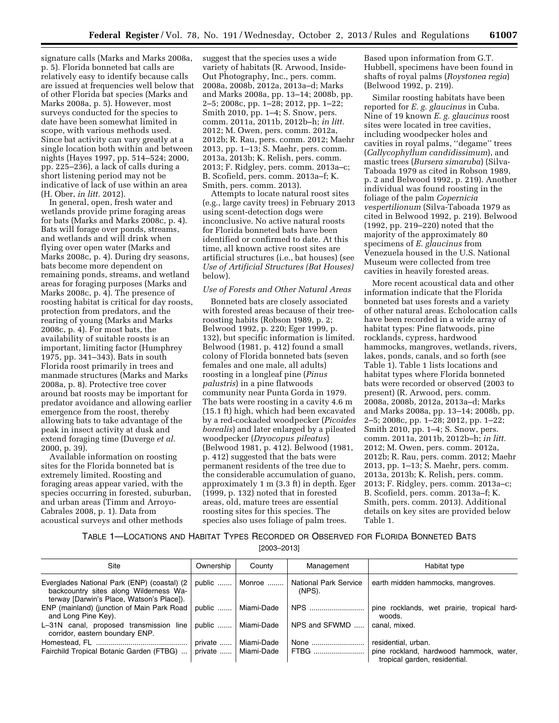signature calls (Marks and Marks 2008a, p. 5). Florida bonneted bat calls are relatively easy to identify because calls are issued at frequencies well below that of other Florida bat species (Marks and Marks 2008a, p. 5). However, most surveys conducted for the species to date have been somewhat limited in scope, with various methods used. Since bat activity can vary greatly at a single location both within and between nights (Hayes 1997, pp. 514–524; 2000, pp. 225–236), a lack of calls during a short listening period may not be indicative of lack of use within an area (H. Ober, *in litt.* 2012).

In general, open, fresh water and wetlands provide prime foraging areas for bats (Marks and Marks 2008c, p. 4). Bats will forage over ponds, streams, and wetlands and will drink when flying over open water (Marks and Marks 2008c, p. 4). During dry seasons, bats become more dependent on remaining ponds, streams, and wetland areas for foraging purposes (Marks and Marks 2008c, p. 4). The presence of roosting habitat is critical for day roosts, protection from predators, and the rearing of young (Marks and Marks 2008c, p. 4). For most bats, the availability of suitable roosts is an important, limiting factor (Humphrey 1975, pp. 341–343). Bats in south Florida roost primarily in trees and manmade structures (Marks and Marks 2008a, p. 8). Protective tree cover around bat roosts may be important for predator avoidance and allowing earlier emergence from the roost, thereby allowing bats to take advantage of the peak in insect activity at dusk and extend foraging time (Duverge *et al.*  2000, p. 39).

Available information on roosting sites for the Florida bonneted bat is extremely limited. Roosting and foraging areas appear varied, with the species occurring in forested, suburban, and urban areas (Timm and Arroyo-Cabrales 2008, p. 1). Data from acoustical surveys and other methods

suggest that the species uses a wide variety of habitats (R. Arwood, Inside-Out Photography, Inc., pers. comm. 2008a, 2008b, 2012a, 2013a–d; Marks and Marks 2008a, pp. 13–14; 2008b, pp. 2–5; 2008c, pp. 1–28; 2012, pp. 1–22; Smith 2010, pp. 1–4; S. Snow, pers. comm. 2011a, 2011b, 2012b–h; *in litt.*  2012; M. Owen, pers. comm. 2012a, 2012b; R. Rau, pers. comm. 2012; Maehr 2013, pp. 1–13; S. Maehr, pers. comm. 2013a, 2013b; K. Relish, pers. comm. 2013; F. Ridgley, pers. comm. 2013a–c; B. Scofield, pers. comm. 2013a–f; K. Smith, pers. comm. 2013).

Attempts to locate natural roost sites (e.g., large cavity trees) in February 2013 using scent-detection dogs were inconclusive. No active natural roosts for Florida bonneted bats have been identified or confirmed to date. At this time, all known active roost sites are artificial structures (i.e., bat houses) (see *Use of Artificial Structures (Bat Houses)*  below).

# *Use of Forests and Other Natural Areas*

Bonneted bats are closely associated with forested areas because of their treeroosting habits (Robson 1989, p. 2; Belwood 1992, p. 220; Eger 1999, p. 132), but specific information is limited. Belwood (1981, p. 412) found a small colony of Florida bonneted bats (seven females and one male, all adults) roosting in a longleaf pine (*Pinus palustris*) in a pine flatwoods community near Punta Gorda in 1979. The bats were roosting in a cavity 4.6 m (15.1 ft) high, which had been excavated by a red-cockaded woodpecker (*Picoides borealis*) and later enlarged by a pileated woodpecker (*Dryocopus pileatus*) (Belwood 1981, p. 412). Belwood (1981, p. 412) suggested that the bats were permanent residents of the tree due to the considerable accumulation of guano, approximately 1 m (3.3 ft) in depth. Eger (1999, p. 132) noted that in forested areas, old, mature trees are essential roosting sites for this species. The species also uses foliage of palm trees.

Based upon information from G.T. Hubbell, specimens have been found in shafts of royal palms (*Roystonea regia*) (Belwood 1992, p. 219).

Similar roosting habitats have been reported for *E. g. glaucinus* in Cuba. Nine of 19 known *E. g. glaucinus* roost sites were located in tree cavities, including woodpecker holes and cavities in royal palms, ''degame'' trees (*Callycophyllum candidissimum*), and mastic trees (*Bursera simaruba*) (Silva-Taboada 1979 as cited in Robson 1989, p. 2 and Belwood 1992, p. 219). Another individual was found roosting in the foliage of the palm *Copernicia vespertilionum* (Silva-Taboada 1979 as cited in Belwood 1992, p. 219). Belwood (1992, pp. 219–220) noted that the majority of the approximately 80 specimens of *E. glaucinus* from Venezuela housed in the U.S. National Museum were collected from tree cavities in heavily forested areas.

More recent acoustical data and other information indicate that the Florida bonneted bat uses forests and a variety of other natural areas. Echolocation calls have been recorded in a wide array of habitat types: Pine flatwoods, pine rocklands, cypress, hardwood hammocks, mangroves, wetlands, rivers, lakes, ponds, canals, and so forth (see Table 1). Table 1 lists locations and habitat types where Florida bonneted bats were recorded or observed (2003 to present) (R. Arwood, pers. comm. 2008a, 2008b, 2012a, 2013a–d; Marks and Marks 2008a, pp. 13–14; 2008b, pp. 2–5; 2008c, pp. 1–28; 2012, pp. 1–22; Smith 2010, pp. 1–4; S. Snow, pers. comm. 2011a, 2011b, 2012b–h; *in litt.*  2012; M. Owen, pers. comm. 2012a, 2012b; R. Rau, pers. comm. 2012; Maehr 2013, pp. 1–13; S. Maehr, pers. comm. 2013a, 2013b; K. Relish, pers. comm. 2013; F. Ridgley, pers. comm. 2013a–c; B. Scofield, pers. comm. 2013a–f; K. Smith, pers. comm. 2013). Additional details on key sites are provided below Table 1.

# TABLE 1—LOCATIONS AND HABITAT TYPES RECORDED OR OBSERVED FOR FLORIDA BONNETED BATS

[2003–2013]

| Site                                                                                                                               | Ownership | County     | Management                             | Habitat type                                                             |
|------------------------------------------------------------------------------------------------------------------------------------|-----------|------------|----------------------------------------|--------------------------------------------------------------------------|
| Everglades National Park (ENP) (coastal) (2<br>backcountry sites along Wilderness Wa-<br>terway [Darwin's Place, Watson's Place]). | public    | Monroe     | <b>National Park Service</b><br>(NPS). | earth midden hammocks, mangroves.                                        |
| ENP (mainland) (junction of Main Park Road<br>and Long Pine Key).                                                                  | public    | Miami-Dade | NPS                                    | pine rocklands, wet prairie, tropical hard-<br>woods.                    |
| L-31N canal, proposed transmission line<br>corridor, eastern boundary ENP.                                                         | public    | Miami-Dade | NPS and SFWMD                          | canal, mixed.                                                            |
|                                                                                                                                    | private   | Miami-Dade | None                                   | residential, urban.                                                      |
| Fairchild Tropical Botanic Garden (FTBG)                                                                                           | private   | Miami-Dade | FTBG                                   | pine rockland, hardwood hammock, water,<br>tropical garden, residential. |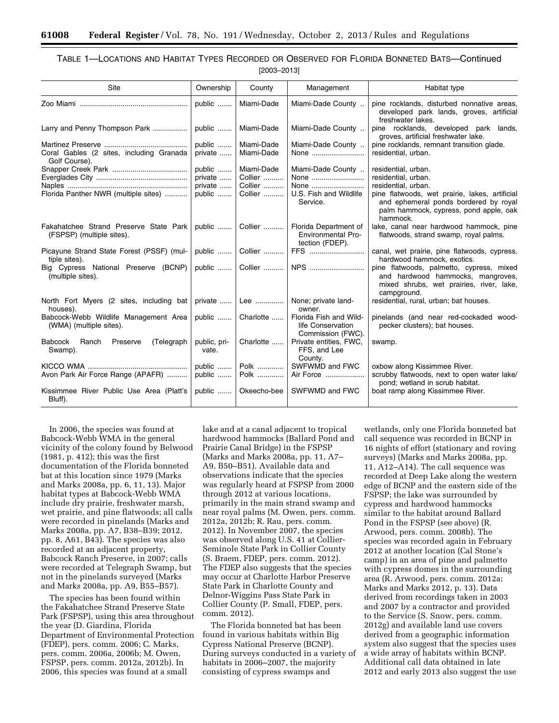# TABLE 1—LOCATIONS AND HABITAT TYPES RECORDED OR OBSERVED FOR FLORIDA BONNETED BATS—Continued [2003–2013]

| Site                                                                | Ownership                              | County                                      | Management                                                              | Habitat type                                                                                                                                                                                                       |  |  |
|---------------------------------------------------------------------|----------------------------------------|---------------------------------------------|-------------------------------------------------------------------------|--------------------------------------------------------------------------------------------------------------------------------------------------------------------------------------------------------------------|--|--|
|                                                                     | public                                 | Miami-Dade                                  | Miami-Dade County                                                       | pine rocklands, disturbed nonnative areas,<br>developed park lands, groves, artificial<br>freshwater lakes.                                                                                                        |  |  |
| Larry and Penny Thompson Park                                       | public                                 | Miami-Dade                                  | Miami-Dade County                                                       | pine rocklands, developed park lands,<br>groves, artificial freshwater lake.                                                                                                                                       |  |  |
| Coral Gables (2 sites, including Granada<br>Golf Course).           | public<br>private                      | Miami-Dade<br>Miami-Dade                    | Miami-Dade County<br>None                                               | pine rocklands, remnant transition glade.<br>residential, urban.                                                                                                                                                   |  |  |
| Florida Panther NWR (multiple sites)                                | public<br>private<br>private<br>public | Miami-Dade<br>Collier<br>Collier<br>Collier | Miami-Dade County<br>None<br>None<br>U.S. Fish and Wildlife<br>Service. | residential, urban.<br>residential, urban.<br>residential, urban.<br>pine flatwoods, wet prairie, lakes, artificial<br>and ephemeral ponds bordered by royal<br>palm hammock, cypress, pond apple, oak<br>hammock. |  |  |
| Fakahatchee Strand Preserve State Park<br>(FSPSP) (multiple sites). | public                                 | Collier                                     | Florida Department of<br><b>Environmental Pro-</b><br>tection (FDEP).   | lake, canal near hardwood hammock, pine<br>flatwoods, strand swamp, royal palms.                                                                                                                                   |  |  |
| Picayune Strand State Forest (PSSF) (mul-<br>tiple sites).          | public                                 | Collier                                     | FFS                                                                     | canal, wet prairie, pine flatwoods, cypress,<br>hardwood hammock, exotics.                                                                                                                                         |  |  |
| Big Cypress National Preserve (BCNP)<br>(multiple sites).           | public                                 | Collier                                     | NPS                                                                     | pine flatwoods, palmetto, cypress, mixed<br>and hardwood hammocks, mangroves,<br>mixed shrubs, wet prairies, river, lake,<br>campground.                                                                           |  |  |
| North Fort Myers (2 sites, including bat<br>houses).                | private                                | Lee                                         | None; private land-<br>owner.                                           | residential, rural, urban; bat houses.                                                                                                                                                                             |  |  |
| Babcock-Webb Wildlife Management Area<br>(WMA) (multiple sites).    | public                                 | Charlotte                                   | Florida Fish and Wild-<br>life Conservation<br>Commission (FWC).        | pinelands (and near red-cockaded wood-<br>pecker clusters); bat houses.                                                                                                                                            |  |  |
| <b>Babcock</b><br>Ranch<br>Preserve<br>(Telegraph<br>Swamp).        | public, pri-<br>vate.                  | Charlotte                                   | Private entities, FWC,<br>FFS, and Lee<br>County.                       | swamp.                                                                                                                                                                                                             |  |  |
| Avon Park Air Force Range (APAFR)                                   | public<br>public                       | Polk<br>Polk                                | SWFWMD and FWC<br>Air Force                                             | oxbow along Kissimmee River.<br>scrubby flatwoods, next to open water lake/<br>pond; wetland in scrub habitat.                                                                                                     |  |  |
| Kissimmee River Public Use Area (Platt's<br>Bluff).                 | public                                 | Okeecho-bee                                 | SWFWMD and FWC                                                          | boat ramp along Kissimmee River.                                                                                                                                                                                   |  |  |

In 2006, the species was found at Babcock-Webb WMA in the general vicinity of the colony found by Belwood (1981, p. 412); this was the first documentation of the Florida bonneted bat at this location since 1979 (Marks and Marks 2008a, pp. 6, 11, 13). Major habitat types at Babcock-Webb WMA include dry prairie, freshwater marsh, wet prairie, and pine flatwoods; all calls were recorded in pinelands (Marks and Marks 2008a, pp. A7, B38–B39; 2012, pp. 8, A61, B43). The species was also recorded at an adjacent property, Babcock Ranch Preserve, in 2007; calls were recorded at Telegraph Swamp, but not in the pinelands surveyed (Marks and Marks 2008a, pp. A9, B55–B57).

The species has been found within the Fakahatchee Strand Preserve State Park (FSPSP), using this area throughout the year (D. Giardina, Florida Department of Environmental Protection (FDEP), pers. comm. 2006; C. Marks, pers. comm. 2006a, 2006b; M. Owen, FSPSP, pers. comm. 2012a, 2012b). In 2006, this species was found at a small

lake and at a canal adjacent to tropical hardwood hammocks (Ballard Pond and Prairie Canal Bridge) in the FSPSP (Marks and Marks 2008a, pp. 11, A7– A9, B50–B51). Available data and observations indicate that the species was regularly heard at FSPSP from 2000 through 2012 at various locations, primarily in the main strand swamp and near royal palms (M. Owen, pers. comm. 2012a, 2012b; R. Rau, pers. comm. 2012). In November 2007, the species was observed along U.S. 41 at Collier-Seminole State Park in Collier County (S. Braem, FDEP, pers. comm. 2012). The FDEP also suggests that the species may occur at Charlotte Harbor Preserve State Park in Charlotte County and Delnor-Wiggins Pass State Park in Collier County (P. Small, FDEP, pers. comm. 2012).

The Florida bonneted bat has been found in various habitats within Big Cypress National Preserve (BCNP). During surveys conducted in a variety of habitats in 2006–2007, the majority consisting of cypress swamps and

wetlands, only one Florida bonneted bat call sequence was recorded in BCNP in 16 nights of effort (stationary and roving surveys) (Marks and Marks 2008a, pp. 11, A12–A14). The call sequence was recorded at Deep Lake along the western edge of BCNP and the eastern side of the FSPSP; the lake was surrounded by cypress and hardwood hammocks similar to the habitat around Ballard Pond in the FSPSP (see above) (R. Arwood, pers. comm. 2008b). The species was recorded again in February 2012 at another location (Cal Stone's camp) in an area of pine and palmetto with cypress domes in the surrounding area (R. Arwood, pers. comm. 2012a; Marks and Marks 2012, p. 13). Data derived from recordings taken in 2003 and 2007 by a contractor and provided to the Service (S. Snow, pers. comm. 2012g) and available land use covers derived from a geographic information system also suggest that the species uses a wide array of habitats within BCNP. Additional call data obtained in late 2012 and early 2013 also suggest the use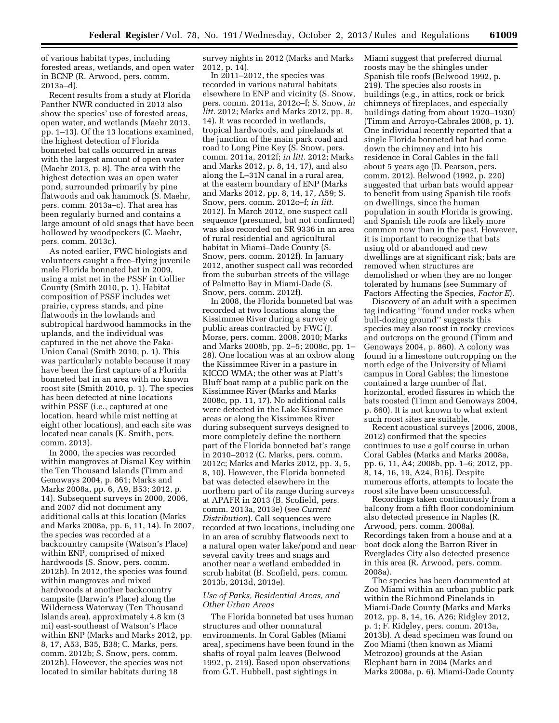of various habitat types, including forested areas, wetlands, and open water in BCNP (R. Arwood, pers. comm. 2013a–d).

Recent results from a study at Florida Panther NWR conducted in 2013 also show the species' use of forested areas, open water, and wetlands (Maehr 2013, pp. 1–13). Of the 13 locations examined, the highest detection of Florida bonneted bat calls occurred in areas with the largest amount of open water (Maehr 2013, p. 8). The area with the highest detection was an open water pond, surrounded primarily by pine flatwoods and oak hammock (S. Maehr, pers. comm. 2013a–c). That area has been regularly burned and contains a large amount of old snags that have been hollowed by woodpeckers (C. Maehr, pers. comm. 2013c).

As noted earlier, FWC biologists and volunteers caught a free–flying juvenile male Florida bonneted bat in 2009, using a mist net in the PSSF in Collier County (Smith 2010, p. 1). Habitat composition of PSSF includes wet prairie, cypress stands, and pine flatwoods in the lowlands and subtropical hardwood hammocks in the uplands, and the individual was captured in the net above the Faka-Union Canal (Smith 2010, p. 1). This was particularly notable because it may have been the first capture of a Florida bonneted bat in an area with no known roost site (Smith 2010, p. 1). The species has been detected at nine locations within PSSF (i.e., captured at one location, heard while mist netting at eight other locations), and each site was located near canals (K. Smith, pers. comm. 2013).

In 2000, the species was recorded within mangroves at Dismal Key within the Ten Thousand Islands (Timm and Genoways 2004, p. 861; Marks and Marks 2008a, pp. 6, A9, B53; 2012, p. 14). Subsequent surveys in 2000, 2006, and 2007 did not document any additional calls at this location (Marks and Marks 2008a, pp. 6, 11, 14). In 2007, the species was recorded at a backcountry campsite (Watson's Place) within ENP, comprised of mixed hardwoods (S. Snow, pers. comm. 2012h). In 2012, the species was found within mangroves and mixed hardwoods at another backcountry campsite (Darwin's Place) along the Wilderness Waterway (Ten Thousand Islands area), approximately 4.8 km (3 mi) east-southeast of Watson's Place within ENP (Marks and Marks 2012, pp. 8, 17, A53, B35, B38; C. Marks, pers. comm. 2012b; S. Snow, pers. comm. 2012h). However, the species was not located in similar habitats during 18

survey nights in 2012 (Marks and Marks 2012, p. 14).

In 2011–2012, the species was recorded in various natural habitats elsewhere in ENP and vicinity (S. Snow, pers. comm. 2011a, 2012c–f; S. Snow, *in litt.* 2012; Marks and Marks 2012, pp. 8, 14). It was recorded in wetlands, tropical hardwoods, and pinelands at the junction of the main park road and road to Long Pine Key (S. Snow, pers. comm. 2011a, 2012f; *in litt.* 2012; Marks and Marks 2012, p. 8, 14, 17), and also along the L–31N canal in a rural area, at the eastern boundary of ENP (Marks and Marks 2012, pp. 8, 14, 17, A59; S. Snow, pers. comm. 2012c–f; *in litt.*  2012). In March 2012, one suspect call sequence (presumed, but not confirmed) was also recorded on SR 9336 in an area of rural residential and agricultural habitat in Miami–Dade County (S. Snow, pers. comm. 2012f). In January 2012, another suspect call was recorded from the suburban streets of the village of Palmetto Bay in Miami-Dade (S. Snow, pers. comm. 2012f).

In 2008, the Florida bonneted bat was recorded at two locations along the Kissimmee River during a survey of public areas contracted by FWC (J. Morse, pers. comm. 2008, 2010; Marks and Marks 2008b, pp. 2–5; 2008c, pp. 1– 28). One location was at an oxbow along the Kissimmee River in a pasture in KICCO WMA; the other was at Platt's Bluff boat ramp at a public park on the Kissimmee River (Marks and Marks 2008c, pp. 11, 17). No additional calls were detected in the Lake Kissimmee areas or along the Kissimmee River during subsequent surveys designed to more completely define the northern part of the Florida bonneted bat's range in 2010–2012 (C. Marks, pers. comm. 2012c; Marks and Marks 2012, pp. 3, 5, 8, 10). However, the Florida bonneted bat was detected elsewhere in the northern part of its range during surveys at APAFR in 2013 (B. Scofield, pers. comm. 2013a, 2013e) (see *Current Distribution*). Call sequences were recorded at two locations, including one in an area of scrubby flatwoods next to a natural open water lake/pond and near several cavity trees and snags and another near a wetland embedded in scrub habitat (B. Scofield, pers. comm. 2013b, 2013d, 2013e).

# *Use of Parks, Residential Areas, and Other Urban Areas*

The Florida bonneted bat uses human structures and other nonnatural environments. In Coral Gables (Miami area), specimens have been found in the shafts of royal palm leaves (Belwood 1992, p. 219). Based upon observations from G.T. Hubbell, past sightings in

Miami suggest that preferred diurnal roosts may be the shingles under Spanish tile roofs (Belwood 1992, p. 219). The species also roosts in buildings (e.g., in attics, rock or brick chimneys of fireplaces, and especially buildings dating from about 1920–1930) (Timm and Arroyo-Cabrales 2008, p. 1). One individual recently reported that a single Florida bonneted bat had come down the chimney and into his residence in Coral Gables in the fall about 5 years ago (D. Pearson, pers. comm. 2012). Belwood (1992, p. 220) suggested that urban bats would appear to benefit from using Spanish tile roofs on dwellings, since the human population in south Florida is growing, and Spanish tile roofs are likely more common now than in the past. However, it is important to recognize that bats using old or abandoned and new dwellings are at significant risk; bats are removed when structures are demolished or when they are no longer tolerated by humans (see Summary of Factors Affecting the Species, *Factor E*).

Discovery of an adult with a specimen tag indicating ''found under rocks when bull-dozing ground'' suggests this species may also roost in rocky crevices and outcrops on the ground (Timm and Genoways 2004, p. 860). A colony was found in a limestone outcropping on the north edge of the University of Miami campus in Coral Gables; the limestone contained a large number of flat, horizontal, eroded fissures in which the bats roosted (Timm and Genoways 2004, p. 860). It is not known to what extent such roost sites are suitable.

Recent acoustical surveys (2006, 2008, 2012) confirmed that the species continues to use a golf course in urban Coral Gables (Marks and Marks 2008a, pp. 6, 11, A4; 2008b, pp. 1–6; 2012, pp. 8, 14, 16, 19, A24, B16). Despite numerous efforts, attempts to locate the roost site have been unsuccessful.

Recordings taken continuously from a balcony from a fifth floor condominium also detected presence in Naples (R. Arwood, pers. comm. 2008a). Recordings taken from a house and at a boat dock along the Barron River in Everglades City also detected presence in this area (R. Arwood, pers. comm. 2008a).

The species has been documented at Zoo Miami within an urban public park within the Richmond Pinelands in Miami-Dade County (Marks and Marks 2012, pp. 8, 14, 16, A26; Ridgley 2012, p. 1; F. Ridgley, pers. comm. 2013a, 2013b). A dead specimen was found on Zoo Miami (then known as Miami Metrozoo) grounds at the Asian Elephant barn in 2004 (Marks and Marks 2008a, p. 6). Miami-Dade County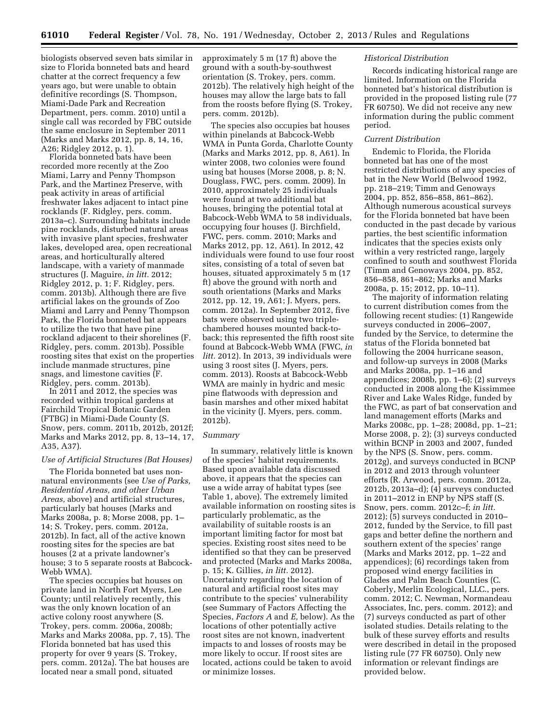biologists observed seven bats similar in size to Florida bonneted bats and heard chatter at the correct frequency a few years ago, but were unable to obtain definitive recordings (S. Thompson, Miami-Dade Park and Recreation Department, pers. comm. 2010) until a single call was recorded by FBC outside the same enclosure in September 2011 (Marks and Marks 2012, pp. 8, 14, 16, A26; Ridgley 2012, p. 1).

Florida bonneted bats have been recorded more recently at the Zoo Miami, Larry and Penny Thompson Park, and the Martinez Preserve, with peak activity in areas of artificial freshwater lakes adjacent to intact pine rocklands (F. Ridgley, pers. comm. 2013a–c). Surrounding habitats include pine rocklands, disturbed natural areas with invasive plant species, freshwater lakes, developed area, open recreational areas, and horticulturally altered landscape, with a variety of manmade structures (J. Maguire, *in litt.* 2012; Ridgley 2012, p. 1; F. Ridgley, pers. comm. 2013b). Although there are five artificial lakes on the grounds of Zoo Miami and Larry and Penny Thompson Park, the Florida bonneted bat appears to utilize the two that have pine rockland adjacent to their shorelines (F. Ridgley, pers. comm. 2013b). Possible roosting sites that exist on the properties include manmade structures, pine snags, and limestone cavities (F. Ridgley, pers. comm. 2013b).

In 2011 and 2012, the species was recorded within tropical gardens at Fairchild Tropical Botanic Garden (FTBG) in Miami-Dade County (S. Snow, pers. comm. 2011b, 2012b, 2012f; Marks and Marks 2012, pp. 8, 13–14, 17, A35, A37).

#### *Use of Artificial Structures (Bat Houses)*

The Florida bonneted bat uses nonnatural environments (see *Use of Parks, Residential Areas, and other Urban Areas,* above) and artificial structures, particularly bat houses (Marks and Marks 2008a, p. 8; Morse 2008, pp. 1– 14; S. Trokey, pers. comm. 2012a, 2012b). In fact, all of the active known roosting sites for the species are bat houses (2 at a private landowner's house; 3 to 5 separate roosts at Babcock-Webb WMA).

The species occupies bat houses on private land in North Fort Myers, Lee County; until relatively recently, this was the only known location of an active colony roost anywhere (S. Trokey, pers. comm. 2006a, 2008b; Marks and Marks 2008a, pp. 7, 15). The Florida bonneted bat has used this property for over 9 years (S. Trokey, pers. comm. 2012a). The bat houses are located near a small pond, situated

approximately 5 m (17 ft) above the ground with a south-by-southwest orientation (S. Trokey, pers. comm. 2012b). The relatively high height of the houses may allow the large bats to fall from the roosts before flying (S. Trokey, pers. comm. 2012b).

The species also occupies bat houses within pinelands at Babcock-Webb WMA in Punta Gorda, Charlotte County (Marks and Marks 2012, pp. 8, A61). In winter 2008, two colonies were found using bat houses (Morse 2008, p. 8; N. Douglass, FWC, pers. comm. 2009). In 2010, approximately 25 individuals were found at two additional bat houses, bringing the potential total at Babcock-Webb WMA to 58 individuals, occupying four houses (J. Birchfield, FWC, pers. comm. 2010; Marks and Marks 2012, pp. 12, A61). In 2012, 42 individuals were found to use four roost sites, consisting of a total of seven bat houses, situated approximately 5 m (17 ft) above the ground with north and south orientations (Marks and Marks 2012, pp. 12, 19, A61; J. Myers, pers. comm. 2012a). In September 2012, five bats were observed using two triplechambered houses mounted back-toback; this represented the fifth roost site found at Babcock-Webb WMA (FWC, *in litt.* 2012). In 2013, 39 individuals were using 3 roost sites (J. Myers, pers. comm. 2013). Roosts at Babcock-Webb WMA are mainly in hydric and mesic pine flatwoods with depression and basin marshes and other mixed habitat in the vicinity (J. Myers, pers. comm. 2012b).

# *Summary*

In summary, relatively little is known of the species' habitat requirements. Based upon available data discussed above, it appears that the species can use a wide array of habitat types (see Table 1, above). The extremely limited available information on roosting sites is particularly problematic, as the availability of suitable roosts is an important limiting factor for most bat species. Existing roost sites need to be identified so that they can be preserved and protected (Marks and Marks 2008a, p. 15; K. Gillies, *in litt.* 2012). Uncertainty regarding the location of natural and artificial roost sites may contribute to the species' vulnerability (see Summary of Factors Affecting the Species, *Factors A* and *E,* below). As the locations of other potentially active roost sites are not known, inadvertent impacts to and losses of roosts may be more likely to occur. If roost sites are located, actions could be taken to avoid or minimize losses.

# *Historical Distribution*

Records indicating historical range are limited. Information on the Florida bonneted bat's historical distribution is provided in the proposed listing rule (77 FR 60750). We did not receive any new information during the public comment period.

### *Current Distribution*

Endemic to Florida, the Florida bonneted bat has one of the most restricted distributions of any species of bat in the New World (Belwood 1992, pp. 218–219; Timm and Genoways 2004, pp. 852, 856–858, 861–862). Although numerous acoustical surveys for the Florida bonneted bat have been conducted in the past decade by various parties, the best scientific information indicates that the species exists only within a very restricted range, largely confined to south and southwest Florida (Timm and Genoways 2004, pp. 852, 856–858, 861–862; Marks and Marks 2008a, p. 15; 2012, pp. 10–11).

The majority of information relating to current distribution comes from the following recent studies: (1) Rangewide surveys conducted in 2006–2007, funded by the Service, to determine the status of the Florida bonneted bat following the 2004 hurricane season, and follow-up surveys in 2008 (Marks and Marks 2008a, pp. 1–16 and appendices; 2008b, pp. 1–6); (2) surveys conducted in 2008 along the Kissimmee River and Lake Wales Ridge, funded by the FWC, as part of bat conservation and land management efforts (Marks and Marks 2008c, pp. 1–28; 2008d, pp. 1–21; Morse 2008, p. 2); (3) surveys conducted within BCNP in 2003 and 2007, funded by the NPS (S. Snow, pers. comm. 2012g), and surveys conducted in BCNP in 2012 and 2013 through volunteer efforts (R. Arwood, pers. comm. 2012a, 2012b, 2013a–d); (4) surveys conducted in 2011–2012 in ENP by NPS staff (S. Snow, pers. comm. 2012c–f; *in litt.*  2012); (5) surveys conducted in 2010– 2012, funded by the Service, to fill past gaps and better define the northern and southern extent of the species' range (Marks and Marks 2012, pp. 1–22 and appendices); (6) recordings taken from proposed wind energy facilities in Glades and Palm Beach Counties (C. Coberly, Merlin Ecological, LLC., pers. comm. 2012; C. Newman, Normandeau Associates, Inc, pers. comm. 2012); and (7) surveys conducted as part of other isolated studies. Details relating to the bulk of these survey efforts and results were described in detail in the proposed listing rule (77 FR 60750). Only new information or relevant findings are provided below.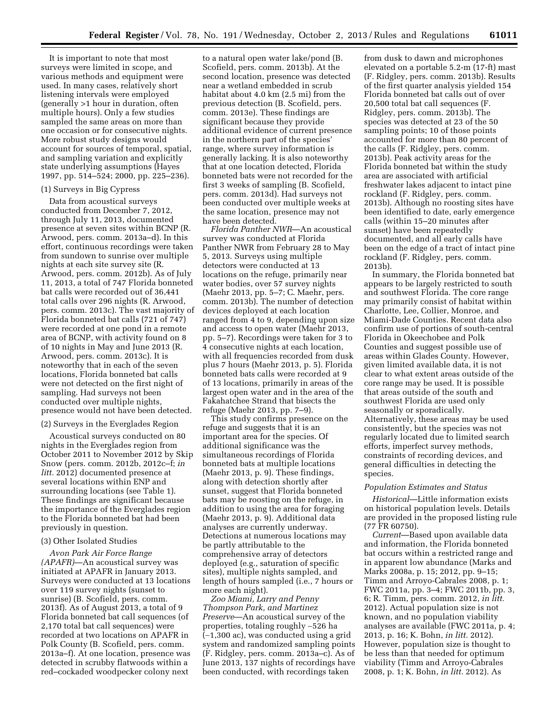It is important to note that most surveys were limited in scope, and various methods and equipment were used. In many cases, relatively short listening intervals were employed (generally >1 hour in duration, often multiple hours). Only a few studies sampled the same areas on more than one occasion or for consecutive nights. More robust study designs would account for sources of temporal, spatial, and sampling variation and explicitly state underlying assumptions (Hayes 1997, pp. 514–524; 2000, pp. 225–236).

# (1) Surveys in Big Cypress

Data from acoustical surveys conducted from December 7, 2012, through July 11, 2013, documented presence at seven sites within BCNP (R. Arwood, pers. comm. 2013a–d). In this effort, continuous recordings were taken from sundown to sunrise over multiple nights at each site survey site (R. Arwood, pers. comm. 2012b). As of July 11, 2013, a total of 747 Florida bonneted bat calls were recorded out of 36,441 total calls over 296 nights (R. Arwood, pers. comm. 2013c). The vast majority of Florida bonneted bat calls (721 of 747) were recorded at one pond in a remote area of BCNP, with activity found on 8 of 10 nights in May and June 2013 (R. Arwood, pers. comm. 2013c). It is noteworthy that in each of the seven locations, Florida bonneted bat calls were not detected on the first night of sampling. Had surveys not been conducted over multiple nights, presence would not have been detected.

#### (2) Surveys in the Everglades Region

Acoustical surveys conducted on 80 nights in the Everglades region from October 2011 to November 2012 by Skip Snow (pers. comm. 2012b, 2012c–f; *in litt.* 2012) documented presence at several locations within ENP and surrounding locations (see Table 1). These findings are significant because the importance of the Everglades region to the Florida bonneted bat had been previously in question.

# (3) Other Isolated Studies

*Avon Park Air Force Range (APAFR)*—An acoustical survey was initiated at APAFR in January 2013. Surveys were conducted at 13 locations over 119 survey nights (sunset to sunrise) (B. Scofield, pers. comm. 2013f). As of August 2013, a total of 9 Florida bonneted bat call sequences (of 2,170 total bat call sequences) were recorded at two locations on APAFR in Polk County (B. Scofield, pers. comm. 2013a–f). At one location, presence was detected in scrubby flatwoods within a red–cockaded woodpecker colony next

to a natural open water lake/pond (B. Scofield, pers. comm. 2013b). At the second location, presence was detected near a wetland embedded in scrub habitat about 4.0 km (2.5 mi) from the previous detection (B. Scofield, pers. comm. 2013e). These findings are significant because they provide additional evidence of current presence in the northern part of the species' range, where survey information is generally lacking. It is also noteworthy that at one location detected, Florida bonneted bats were not recorded for the first 3 weeks of sampling (B. Scofield, pers. comm. 2013d). Had surveys not been conducted over multiple weeks at the same location, presence may not have been detected.

*Florida Panther NWR*—An acoustical survey was conducted at Florida Panther NWR from February 28 to May 5, 2013. Surveys using multiple detectors were conducted at 13 locations on the refuge, primarily near water bodies, over 57 survey nights (Maehr 2013, pp. 5–7; C. Maehr, pers. comm. 2013b). The number of detection devices deployed at each location ranged from 4 to 9, depending upon size and access to open water (Maehr 2013, pp. 5–7). Recordings were taken for 3 to 4 consecutive nights at each location, with all frequencies recorded from dusk plus 7 hours (Maehr 2013, p. 5). Florida bonneted bats calls were recorded at 9 of 13 locations, primarily in areas of the largest open water and in the area of the Fakahatchee Strand that bisects the refuge (Maehr 2013, pp. 7–9).

This study confirms presence on the refuge and suggests that it is an important area for the species. Of additional significance was the simultaneous recordings of Florida bonneted bats at multiple locations (Maehr 2013, p. 9). These findings, along with detection shortly after sunset, suggest that Florida bonneted bats may be roosting on the refuge, in addition to using the area for foraging (Maehr 2013, p. 9). Additional data analyses are currently underway. Detections at numerous locations may be partly attributable to the comprehensive array of detectors deployed (e.g., saturation of specific sites), multiple nights sampled, and length of hours sampled (i.e., 7 hours or more each night).

*Zoo Miami, Larry and Penny Thompson Park, and Martinez Preserve*—An acoustical survey of the properties, totaling roughly ∼526 ha (∼1,300 ac), was conducted using a grid system and randomized sampling points (F. Ridgley, pers. comm. 2013a–c). As of June 2013, 137 nights of recordings have been conducted, with recordings taken

from dusk to dawn and microphones elevated on a portable  $5.2\text{-m}$  (17-ft) mast (F. Ridgley, pers. comm. 2013b). Results of the first quarter analysis yielded 154 Florida bonneted bat calls out of over 20,500 total bat call sequences (F. Ridgley, pers. comm. 2013b). The species was detected at 23 of the 50 sampling points; 10 of those points accounted for more than 80 percent of the calls (F. Ridgley, pers. comm. 2013b). Peak activity areas for the Florida bonneted bat within the study area are associated with artificial freshwater lakes adjacent to intact pine rockland (F. Ridgley, pers. comm. 2013b). Although no roosting sites have been identified to date, early emergence calls (within 15–20 minutes after sunset) have been repeatedly documented, and all early calls have been on the edge of a tract of intact pine rockland (F. Ridgley, pers. comm. 2013b).

In summary, the Florida bonneted bat appears to be largely restricted to south and southwest Florida. The core range may primarily consist of habitat within Charlotte, Lee, Collier, Monroe, and Miami-Dade Counties. Recent data also confirm use of portions of south-central Florida in Okeechobee and Polk Counties and suggest possible use of areas within Glades County. However, given limited available data, it is not clear to what extent areas outside of the core range may be used. It is possible that areas outside of the south and southwest Florida are used only seasonally or sporadically. Alternatively, these areas may be used consistently, but the species was not regularly located due to limited search efforts, imperfect survey methods, constraints of recording devices, and general difficulties in detecting the species.

#### *Population Estimates and Status*

*Historical*—Little information exists on historical population levels. Details are provided in the proposed listing rule (77 FR 60750).

*Current*—Based upon available data and information, the Florida bonneted bat occurs within a restricted range and in apparent low abundance (Marks and Marks 2008a, p. 15; 2012, pp. 9–15; Timm and Arroyo-Cabrales 2008, p. 1; FWC 2011a, pp. 3–4; FWC 2011b, pp. 3, 6; R. Timm, pers. comm. 2012, *in litt.*  2012). Actual population size is not known, and no population viability analyses are available (FWC 2011a, p. 4; 2013, p. 16; K. Bohn, *in litt.* 2012). However, population size is thought to be less than that needed for optimum viability (Timm and Arroyo-Cabrales 2008, p. 1; K. Bohn, *in litt.* 2012). As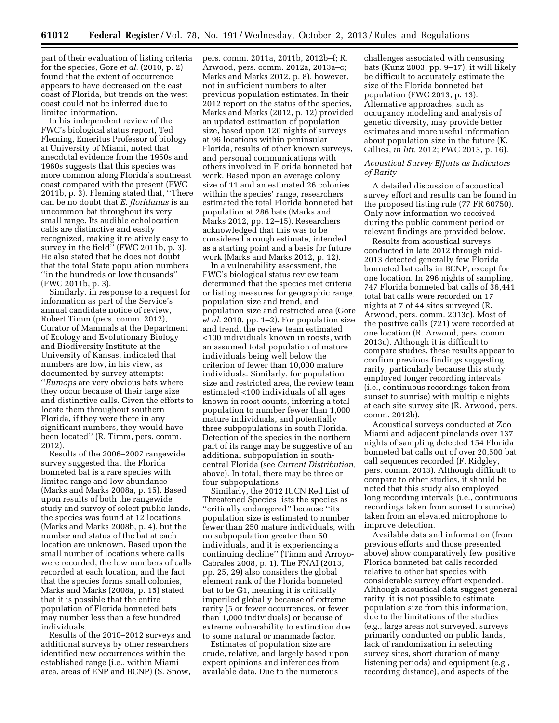part of their evaluation of listing criteria for the species, Gore *et al.* (2010, p. 2) found that the extent of occurrence appears to have decreased on the east coast of Florida, but trends on the west coast could not be inferred due to limited information.

In his independent review of the FWC's biological status report, Ted Fleming, Emeritus Professor of biology at University of Miami, noted that anecdotal evidence from the 1950s and 1960s suggests that this species was more common along Florida's southeast coast compared with the present (FWC 2011b, p. 3). Fleming stated that, ''There can be no doubt that *E. floridanus* is an uncommon bat throughout its very small range. Its audible echolocation calls are distinctive and easily recognized, making it relatively easy to survey in the field'' (FWC 2011b, p. 3). He also stated that he does not doubt that the total State population numbers ''in the hundreds or low thousands'' (FWC 2011b, p. 3).

Similarly, in response to a request for information as part of the Service's annual candidate notice of review, Robert Timm (pers. comm. 2012), Curator of Mammals at the Department of Ecology and Evolutionary Biology and Biodiversity Institute at the University of Kansas, indicated that numbers are low, in his view, as documented by survey attempts: ''*Eumops* are very obvious bats where they occur because of their large size and distinctive calls. Given the efforts to locate them throughout southern Florida, if they were there in any significant numbers, they would have been located'' (R. Timm, pers. comm. 2012).

Results of the 2006–2007 rangewide survey suggested that the Florida bonneted bat is a rare species with limited range and low abundance (Marks and Marks 2008a, p. 15). Based upon results of both the rangewide study and survey of select public lands, the species was found at 12 locations (Marks and Marks 2008b, p. 4), but the number and status of the bat at each location are unknown. Based upon the small number of locations where calls were recorded, the low numbers of calls recorded at each location, and the fact that the species forms small colonies, Marks and Marks (2008a, p. 15) stated that it is possible that the entire population of Florida bonneted bats may number less than a few hundred individuals.

Results of the 2010–2012 surveys and additional surveys by other researchers identified new occurrences within the established range (i.e., within Miami area, areas of ENP and BCNP) (S. Snow,

pers. comm. 2011a, 2011b, 2012b–f; R. Arwood, pers. comm. 2012a, 2013a–c; Marks and Marks 2012, p. 8), however, not in sufficient numbers to alter previous population estimates. In their 2012 report on the status of the species, Marks and Marks (2012, p. 12) provided an updated estimation of population size, based upon 120 nights of surveys at 96 locations within peninsular Florida, results of other known surveys, and personal communications with others involved in Florida bonneted bat work. Based upon an average colony size of 11 and an estimated 26 colonies within the species' range, researchers estimated the total Florida bonneted bat population at 286 bats (Marks and Marks 2012, pp. 12–15). Researchers acknowledged that this was to be considered a rough estimate, intended as a starting point and a basis for future work (Marks and Marks 2012, p. 12).

In a vulnerability assessment, the FWC's biological status review team determined that the species met criteria or listing measures for geographic range, population size and trend, and population size and restricted area (Gore *et al.* 2010, pp. 1–2). For population size and trend, the review team estimated <100 individuals known in roosts, with an assumed total population of mature individuals being well below the criterion of fewer than 10,000 mature individuals. Similarly, for population size and restricted area, the review team estimated <100 individuals of all ages known in roost counts, inferring a total population to number fewer than 1,000 mature individuals, and potentially three subpopulations in south Florida. Detection of the species in the northern part of its range may be suggestive of an additional subpopulation in southcentral Florida (see *Current Distribution,*  above). In total, there may be three or four subpopulations.

Similarly, the 2012 IUCN Red List of Threatened Species lists the species as ''critically endangered'' because ''its population size is estimated to number fewer than 250 mature individuals, with no subpopulation greater than 50 individuals, and it is experiencing a continuing decline'' (Timm and Arroyo-Cabrales 2008, p. 1). The FNAI (2013, pp. 25, 29) also considers the global element rank of the Florida bonneted bat to be G1, meaning it is critically imperiled globally because of extreme rarity (5 or fewer occurrences, or fewer than 1,000 individuals) or because of extreme vulnerability to extinction due to some natural or manmade factor.

Estimates of population size are crude, relative, and largely based upon expert opinions and inferences from available data. Due to the numerous

challenges associated with censusing bats (Kunz 2003, pp. 9–17), it will likely be difficult to accurately estimate the size of the Florida bonneted bat population (FWC 2013, p. 13). Alternative approaches, such as occupancy modeling and analysis of genetic diversity, may provide better estimates and more useful information about population size in the future (K. Gillies, *in litt.* 2012; FWC 2013, p. 16).

# *Acoustical Survey Efforts as Indicators of Rarity*

A detailed discussion of acoustical survey effort and results can be found in the proposed listing rule (77 FR 60750). Only new information we received during the public comment period or relevant findings are provided below.

Results from acoustical surveys conducted in late 2012 through mid-2013 detected generally few Florida bonneted bat calls in BCNP, except for one location. In 296 nights of sampling, 747 Florida bonneted bat calls of 36,441 total bat calls were recorded on 17 nights at 7 of 44 sites surveyed (R. Arwood, pers. comm. 2013c). Most of the positive calls (721) were recorded at one location (R. Arwood, pers. comm. 2013c). Although it is difficult to compare studies, these results appear to confirm previous findings suggesting rarity, particularly because this study employed longer recording intervals (i.e., continuous recordings taken from sunset to sunrise) with multiple nights at each site survey site (R. Arwood, pers. comm. 2012b).

Acoustical surveys conducted at Zoo Miami and adjacent pinelands over 137 nights of sampling detected 154 Florida bonneted bat calls out of over 20,500 bat call sequences recorded (F. Ridgley, pers. comm. 2013). Although difficult to compare to other studies, it should be noted that this study also employed long recording intervals (i.e., continuous recordings taken from sunset to sunrise) taken from an elevated microphone to improve detection.

Available data and information (from previous efforts and those presented above) show comparatively few positive Florida bonneted bat calls recorded relative to other bat species with considerable survey effort expended. Although acoustical data suggest general rarity, it is not possible to estimate population size from this information, due to the limitations of the studies (e.g., large areas not surveyed, surveys primarily conducted on public lands, lack of randomization in selecting survey sites, short duration of many listening periods) and equipment (e.g., recording distance), and aspects of the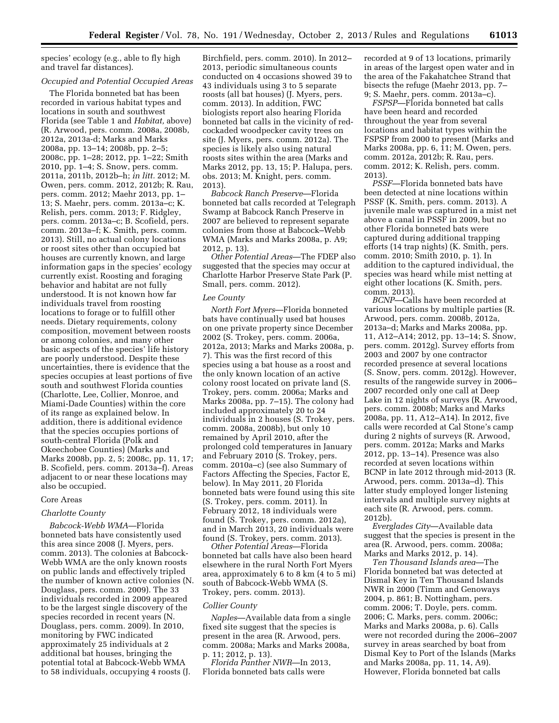species' ecology (e.g., able to fly high and travel far distances).

#### *Occupied and Potential Occupied Areas*

The Florida bonneted bat has been recorded in various habitat types and locations in south and southwest Florida (see Table 1 and *Habitat,* above) (R. Arwood, pers. comm. 2008a, 2008b, 2012a, 2013a-d; Marks and Marks 2008a, pp. 13–14; 2008b, pp. 2–5; 2008c, pp. 1–28; 2012, pp. 1–22; Smith 2010, pp. 1–4; S. Snow, pers. comm. 2011a, 2011b, 2012b–h; *in litt.* 2012; M. Owen, pers. comm. 2012, 2012b; R. Rau, pers. comm. 2012; Maehr 2013, pp. 1– 13; S. Maehr, pers. comm. 2013a–c; K. Relish, pers. comm. 2013; F. Ridgley, pers. comm. 2013a–c; B. Scofield, pers. comm. 2013a–f; K. Smith, pers. comm. 2013). Still, no actual colony locations or roost sites other than occupied bat houses are currently known, and large information gaps in the species' ecology currently exist. Roosting and foraging behavior and habitat are not fully understood. It is not known how far individuals travel from roosting locations to forage or to fulfill other needs. Dietary requirements, colony composition, movement between roosts or among colonies, and many other basic aspects of the species' life history are poorly understood. Despite these uncertainties, there is evidence that the species occupies at least portions of five south and southwest Florida counties (Charlotte, Lee, Collier, Monroe, and Miami-Dade Counties) within the core of its range as explained below. In addition, there is additional evidence that the species occupies portions of south-central Florida (Polk and Okeechobee Counties) (Marks and Marks 2008b, pp. 2, 5; 2008c, pp. 11, 17; B. Scofield, pers. comm. 2013a–f). Areas adjacent to or near these locations may also be occupied.

#### Core Areas

#### *Charlotte County*

*Babcock-Webb WMA*—Florida bonneted bats have consistently used this area since 2008 (J. Myers, pers. comm. 2013). The colonies at Babcock-Webb WMA are the only known roosts on public lands and effectively tripled the number of known active colonies (N. Douglass, pers. comm. 2009). The 33 individuals recorded in 2009 appeared to be the largest single discovery of the species recorded in recent years (N. Douglass, pers. comm. 2009). In 2010, monitoring by FWC indicated approximately 25 individuals at 2 additional bat houses, bringing the potential total at Babcock-Webb WMA to 58 individuals, occupying 4 roosts (J.

Birchfield, pers. comm. 2010). In 2012– 2013, periodic simultaneous counts conducted on 4 occasions showed 39 to 43 individuals using 3 to 5 separate roosts (all bat houses) (J. Myers, pers. comm. 2013). In addition, FWC biologists report also hearing Florida bonneted bat calls in the vicinity of redcockaded woodpecker cavity trees on site (J. Myers, pers. comm. 2012a). The species is likely also using natural roosts sites within the area (Marks and Marks 2012, pp. 13, 15; P. Halupa, pers. obs. 2013; M. Knight, pers. comm. 2013).

*Babcock Ranch Preserve*—Florida bonneted bat calls recorded at Telegraph Swamp at Babcock Ranch Preserve in 2007 are believed to represent separate colonies from those at Babcock–Webb WMA (Marks and Marks 2008a, p. A9; 2012, p. 13).

*Other Potential Areas*—The FDEP also suggested that the species may occur at Charlotte Harbor Preserve State Park (P. Small, pers. comm. 2012).

#### *Lee County*

*North Fort Myers*—Florida bonneted bats have continually used bat houses on one private property since December 2002 (S. Trokey, pers. comm. 2006a, 2012a, 2013; Marks and Marks 2008a, p. 7). This was the first record of this species using a bat house as a roost and the only known location of an active colony roost located on private land (S. Trokey, pers. comm. 2006a; Marks and Marks 2008a, pp. 7–15). The colony had included approximately 20 to 24 individuals in 2 houses (S. Trokey, pers. comm. 2008a, 2008b), but only 10 remained by April 2010, after the prolonged cold temperatures in January and February 2010 (S. Trokey, pers. comm. 2010a–c) (see also Summary of Factors Affecting the Species, Factor E, below). In May 2011, 20 Florida bonneted bats were found using this site (S. Trokey, pers. comm. 2011). In February 2012, 18 individuals were found (S. Trokey, pers. comm. 2012a), and in March 2013, 20 individuals were found (S. Trokey, pers. comm. 2013).

*Other Potential Areas*—Florida bonneted bat calls have also been heard elsewhere in the rural North Fort Myers area, approximately 6 to 8 km (4 to 5 mi) south of Babcock-Webb WMA (S. Trokey, pers. comm. 2013).

# *Collier County*

*Naples*—Available data from a single fixed site suggest that the species is present in the area (R. Arwood, pers. comm. 2008a; Marks and Marks 2008a, p. 11; 2012, p. 13).

*Florida Panther NWR*—In 2013, Florida bonneted bats calls were

recorded at 9 of 13 locations, primarily in areas of the largest open water and in the area of the Fakahatchee Strand that bisects the refuge (Maehr 2013, pp. 7– 9; S. Maehr, pers. comm. 2013a–c).

*FSPSP*—Florida bonneted bat calls have been heard and recorded throughout the year from several locations and habitat types within the FSPSP from 2000 to present (Marks and Marks 2008a, pp. 6, 11; M. Owen, pers. comm. 2012a, 2012b; R. Rau, pers. comm. 2012; K. Relish, pers. comm. 2013).

*PSSF*—Florida bonneted bats have been detected at nine locations within PSSF (K. Smith, pers. comm. 2013). A juvenile male was captured in a mist net above a canal in PSSF in 2009, but no other Florida bonneted bats were captured during additional trapping efforts (14 trap nights) (K. Smith, pers. comm. 2010; Smith 2010, p. 1). In addition to the captured individual, the species was heard while mist netting at eight other locations (K. Smith, pers. comm. 2013).

*BCNP*—Calls have been recorded at various locations by multiple parties (R. Arwood, pers. comm. 2008b, 2012a, 2013a–d; Marks and Marks 2008a, pp. 11, A12–A14; 2012, pp. 13–14; S. Snow, pers. comm. 2012g). Survey efforts from 2003 and 2007 by one contractor recorded presence at several locations (S. Snow, pers. comm. 2012g). However, results of the rangewide survey in 2006– 2007 recorded only one call at Deep Lake in 12 nights of surveys (R. Arwood, pers. comm. 2008b; Marks and Marks 2008a, pp. 11, A12–A14). In 2012, five calls were recorded at Cal Stone's camp during 2 nights of surveys (R. Arwood, pers. comm. 2012a; Marks and Marks 2012, pp. 13–14). Presence was also recorded at seven locations within BCNP in late 2012 through mid-2013 (R. Arwood, pers. comm. 2013a–d). This latter study employed longer listening intervals and multiple survey nights at each site (R. Arwood, pers. comm. 2012b).

*Everglades City*—Available data suggest that the species is present in the area (R. Arwood, pers. comm. 2008a; Marks and Marks 2012, p. 14).

*Ten Thousand Islands area*—The Florida bonneted bat was detected at Dismal Key in Ten Thousand Islands NWR in 2000 (Timm and Genoways 2004, p. 861; B. Nottingham, pers. comm. 2006; T. Doyle, pers. comm. 2006; C. Marks, pers. comm. 2006c; Marks and Marks 2008a, p. 6). Calls were not recorded during the 2006–2007 survey in areas searched by boat from Dismal Key to Port of the Islands (Marks and Marks 2008a, pp. 11, 14, A9). However, Florida bonneted bat calls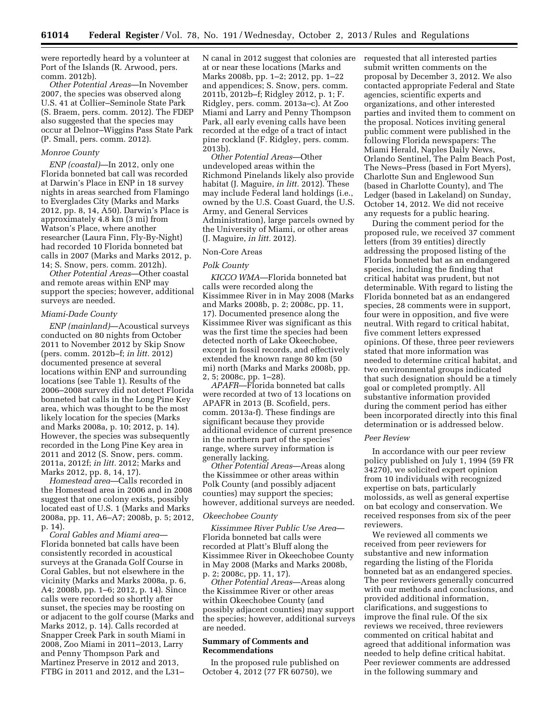were reportedly heard by a volunteer at Port of the Islands (R. Arwood, pers. comm. 2012b).

*Other Potential Areas*—In November 2007, the species was observed along U.S. 41 at Collier–Seminole State Park (S. Braem, pers. comm. 2012). The FDEP also suggested that the species may occur at Delnor–Wiggins Pass State Park (P. Small, pers. comm. 2012).

#### *Monroe County*

*ENP (coastal)*—In 2012, only one Florida bonneted bat call was recorded at Darwin's Place in ENP in 18 survey nights in areas searched from Flamingo to Everglades City (Marks and Marks 2012, pp. 8, 14, A50). Darwin's Place is approximately 4.8 km (3 mi) from Watson's Place, where another researcher (Laura Finn, Fly-By-Night) had recorded 10 Florida bonneted bat calls in 2007 (Marks and Marks 2012, p. 14; S. Snow, pers. comm. 2012h).

*Other Potential Areas*—Other coastal and remote areas within ENP may support the species; however, additional surveys are needed.

### *Miami-Dade County*

*ENP (mainland)*—Acoustical surveys conducted on 80 nights from October 2011 to November 2012 by Skip Snow (pers. comm. 2012b–f; *in litt.* 2012) documented presence at several locations within ENP and surrounding locations (see Table 1). Results of the 2006–2008 survey did not detect Florida bonneted bat calls in the Long Pine Key area, which was thought to be the most likely location for the species (Marks and Marks 2008a, p. 10; 2012, p. 14). However, the species was subsequently recorded in the Long Pine Key area in 2011 and 2012 (S. Snow, pers. comm. 2011a, 2012f; *in litt.* 2012; Marks and Marks 2012, pp. 8, 14, 17).

*Homestead area*—Calls recorded in the Homestead area in 2006 and in 2008 suggest that one colony exists, possibly located east of U.S. 1 (Marks and Marks 2008a, pp. 11, A6–A7; 2008b, p. 5; 2012, p. 14).

*Coral Gables and Miami area*— Florida bonneted bat calls have been consistently recorded in acoustical surveys at the Granada Golf Course in Coral Gables, but not elsewhere in the vicinity (Marks and Marks 2008a, p. 6, A4; 2008b, pp. 1–6; 2012, p. 14). Since calls were recorded so shortly after sunset, the species may be roosting on or adjacent to the golf course (Marks and Marks 2012, p. 14). Calls recorded at Snapper Creek Park in south Miami in 2008, Zoo Miami in 2011–2013, Larry and Penny Thompson Park and Martinez Preserve in 2012 and 2013, FTBG in 2011 and 2012, and the L31–

N canal in 2012 suggest that colonies are at or near these locations (Marks and Marks 2008b, pp. 1–2; 2012, pp. 1–22 and appendices; S. Snow, pers. comm. 2011b, 2012b–f; Ridgley 2012, p. 1; F. Ridgley, pers. comm. 2013a–c). At Zoo Miami and Larry and Penny Thompson Park, all early evening calls have been recorded at the edge of a tract of intact pine rockland (F. Ridgley, pers. comm. 2013b).

*Other Potential Areas*—Other undeveloped areas within the Richmond Pinelands likely also provide habitat (J. Maguire, *in litt.* 2012). These may include Federal land holdings (i.e., owned by the U.S. Coast Guard, the U.S. Army, and General Services Administration), large parcels owned by the University of Miami, or other areas (J. Maguire, *in litt.* 2012).

#### Non-Core Areas

#### *Polk County*

*KICCO WMA*—Florida bonneted bat calls were recorded along the Kissimmee River in in May 2008 (Marks and Marks 2008b, p. 2; 2008c, pp. 11, 17). Documented presence along the Kissimmee River was significant as this was the first time the species had been detected north of Lake Okeechobee, except in fossil records, and effectively extended the known range 80 km (50 mi) north (Marks and Marks 2008b, pp. 2, 5; 2008c, pp. 1–28).

*APAFR*—Florida bonneted bat calls were recorded at two of 13 locations on APAFR in 2013 (B. Scofield, pers. comm. 2013a-f). These findings are significant because they provide additional evidence of current presence in the northern part of the species' range, where survey information is generally lacking.

*Other Potential Areas*—Areas along the Kissimmee or other areas within Polk County (and possibly adjacent counties) may support the species; however, additional surveys are needed.

#### *Okeechobee County*

*Kissimmee River Public Use Area*— Florida bonneted bat calls were recorded at Platt's Bluff along the Kissimmee River in Okeechobee County in May 2008 (Marks and Marks 2008b, p. 2; 2008c, pp. 11, 17).

*Other Potential Areas*—Areas along the Kissimmee River or other areas within Okeechobee County (and possibly adjacent counties) may support the species; however, additional surveys are needed.

# **Summary of Comments and Recommendations**

In the proposed rule published on October 4, 2012 (77 FR 60750), we

requested that all interested parties submit written comments on the proposal by December 3, 2012. We also contacted appropriate Federal and State agencies, scientific experts and organizations, and other interested parties and invited them to comment on the proposal. Notices inviting general public comment were published in the following Florida newspapers: The Miami Herald, Naples Daily News, Orlando Sentinel, The Palm Beach Post, The News–Press (based in Fort Myers), Charlotte Sun and Englewood Sun (based in Charlotte County), and The Ledger (based in Lakeland) on Sunday, October 14, 2012. We did not receive any requests for a public hearing.

During the comment period for the proposed rule, we received 37 comment letters (from 39 entities) directly addressing the proposed listing of the Florida bonneted bat as an endangered species, including the finding that critical habitat was prudent, but not determinable. With regard to listing the Florida bonneted bat as an endangered species, 28 comments were in support, four were in opposition, and five were neutral. With regard to critical habitat, five comment letters expressed opinions. Of these, three peer reviewers stated that more information was needed to determine critical habitat, and two environmental groups indicated that such designation should be a timely goal or completed promptly. All substantive information provided during the comment period has either been incorporated directly into this final determination or is addressed below.

#### *Peer Review*

In accordance with our peer review policy published on July 1, 1994 (59 FR 34270), we solicited expert opinion from 10 individuals with recognized expertise on bats, particularly molossids, as well as general expertise on bat ecology and conservation. We received responses from six of the peer reviewers.

We reviewed all comments we received from peer reviewers for substantive and new information regarding the listing of the Florida bonneted bat as an endangered species. The peer reviewers generally concurred with our methods and conclusions, and provided additional information, clarifications, and suggestions to improve the final rule. Of the six reviews we received, three reviewers commented on critical habitat and agreed that additional information was needed to help define critical habitat. Peer reviewer comments are addressed in the following summary and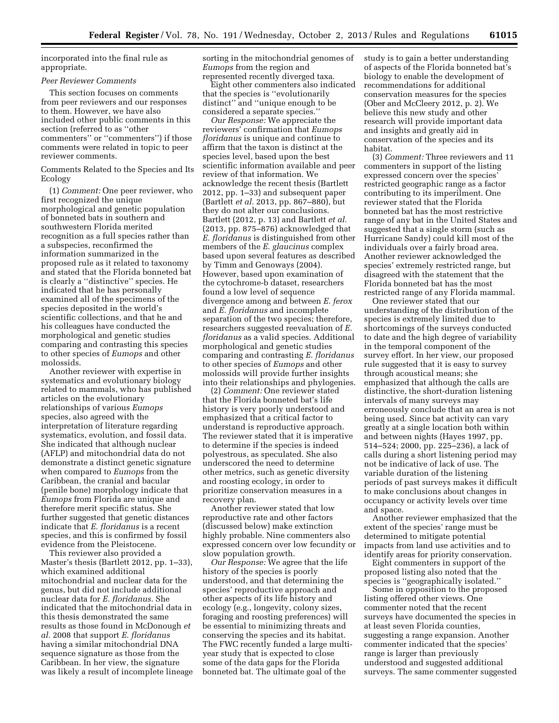incorporated into the final rule as appropriate.

# *Peer Reviewer Comments*

This section focuses on comments from peer reviewers and our responses to them. However, we have also included other public comments in this section (referred to as ''other commenters'' or ''commenters'') if those comments were related in topic to peer reviewer comments.

Comments Related to the Species and Its Ecology

(1) *Comment:* One peer reviewer, who first recognized the unique morphological and genetic population of bonneted bats in southern and southwestern Florida merited recognition as a full species rather than a subspecies, reconfirmed the information summarized in the proposed rule as it related to taxonomy and stated that the Florida bonneted bat is clearly a ''distinctive'' species. He indicated that he has personally examined all of the specimens of the species deposited in the world's scientific collections, and that he and his colleagues have conducted the morphological and genetic studies comparing and contrasting this species to other species of *Eumops* and other molossids.

Another reviewer with expertise in systematics and evolutionary biology related to mammals, who has published articles on the evolutionary relationships of various *Eumops*  species, also agreed with the interpretation of literature regarding systematics, evolution, and fossil data. She indicated that although nuclear (AFLP) and mitochondrial data do not demonstrate a distinct genetic signature when compared to *Eumops* from the Caribbean, the cranial and bacular (penile bone) morphology indicate that *Eumops* from Florida are unique and therefore merit specific status. She further suggested that genetic distances indicate that *E. floridanus* is a recent species, and this is confirmed by fossil evidence from the Pleistocene.

This reviewer also provided a Master's thesis (Bartlett 2012, pp. 1–33), which examined additional mitochondrial and nuclear data for the genus, but did not include additional nuclear data for *E. floridanus.* She indicated that the mitochondrial data in this thesis demonstrated the same results as those found in McDonough *et al.* 2008 that support *E. floridanus*  having a similar mitochondrial DNA sequence signature as those from the Caribbean. In her view, the signature was likely a result of incomplete lineage sorting in the mitochondrial genomes of *Eumops* from the region and represented recently diverged taxa.

Eight other commenters also indicated that the species is ''evolutionarily distinct'' and ''unique enough to be considered a separate species.''

*Our Response:* We appreciate the reviewers' confirmation that *Eumops floridanus* is unique and continue to affirm that the taxon is distinct at the species level, based upon the best scientific information available and peer review of that information. We acknowledge the recent thesis (Bartlett 2012, pp. 1–33) and subsequent paper (Bartlett *et al.* 2013, pp. 867–880), but they do not alter our conclusions. Bartlett (2012, p. 13) and Bartlett *et al.*  (2013, pp. 875–876) acknowledged that *E. floridanus* is distinguished from other members of the *E. glaucinus* complex based upon several features as described by Timm and Genoways (2004). However, based upon examination of the cytochrome-b dataset, researchers found a low level of sequence divergence among and between *E. ferox*  and *E. floridanus* and incomplete separation of the two species; therefore, researchers suggested reevaluation of *E. floridanus* as a valid species. Additional morphological and genetic studies comparing and contrasting *E. floridanus*  to other species of *Eumops* and other molossids will provide further insights into their relationships and phylogenies.

(2) *Comment:* One reviewer stated that the Florida bonneted bat's life history is very poorly understood and emphasized that a critical factor to understand is reproductive approach. The reviewer stated that it is imperative to determine if the species is indeed polyestrous, as speculated. She also underscored the need to determine other metrics, such as genetic diversity and roosting ecology, in order to prioritize conservation measures in a recovery plan.

Another reviewer stated that low reproductive rate and other factors (discussed below) make extinction highly probable. Nine commenters also expressed concern over low fecundity or slow population growth.

*Our Response:* We agree that the life history of the species is poorly understood, and that determining the species' reproductive approach and other aspects of its life history and ecology (e.g., longevity, colony sizes, foraging and roosting preferences) will be essential to minimizing threats and conserving the species and its habitat. The FWC recently funded a large multiyear study that is expected to close some of the data gaps for the Florida bonneted bat. The ultimate goal of the

study is to gain a better understanding of aspects of the Florida bonneted bat's biology to enable the development of recommendations for additional conservation measures for the species (Ober and McCleery 2012, p. 2). We believe this new study and other research will provide important data and insights and greatly aid in conservation of the species and its habitat.

(3) *Comment:* Three reviewers and 11 commenters in support of the listing expressed concern over the species' restricted geographic range as a factor contributing to its imperilment. One reviewer stated that the Florida bonneted bat has the most restrictive range of any bat in the United States and suggested that a single storm (such as Hurricane Sandy) could kill most of the individuals over a fairly broad area. Another reviewer acknowledged the species' extremely restricted range, but disagreed with the statement that the Florida bonneted bat has the most restricted range of any Florida mammal.

One reviewer stated that our understanding of the distribution of the species is extremely limited due to shortcomings of the surveys conducted to date and the high degree of variability in the temporal component of the survey effort. In her view, our proposed rule suggested that it is easy to survey through acoustical means; she emphasized that although the calls are distinctive, the short-duration listening intervals of many surveys may erroneously conclude that an area is not being used. Since bat activity can vary greatly at a single location both within and between nights (Hayes 1997, pp. 514–524; 2000, pp. 225–236), a lack of calls during a short listening period may not be indicative of lack of use. The variable duration of the listening periods of past surveys makes it difficult to make conclusions about changes in occupancy or activity levels over time and space.

Another reviewer emphasized that the extent of the species' range must be determined to mitigate potential impacts from land use activities and to identify areas for priority conservation.

Eight commenters in support of the proposed listing also noted that the species is ''geographically isolated.''

Some in opposition to the proposed listing offered other views. One commenter noted that the recent surveys have documented the species in at least seven Florida counties, suggesting a range expansion. Another commenter indicated that the species' range is larger than previously understood and suggested additional surveys. The same commenter suggested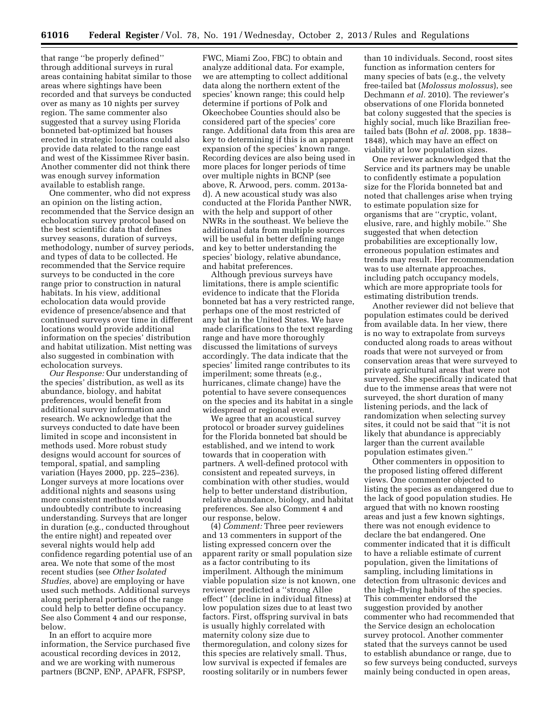that range ''be properly defined'' through additional surveys in rural areas containing habitat similar to those areas where sightings have been recorded and that surveys be conducted over as many as 10 nights per survey region. The same commenter also suggested that a survey using Florida bonneted bat-optimized bat houses erected in strategic locations could also provide data related to the range east and west of the Kissimmee River basin. Another commenter did not think there was enough survey information available to establish range.

One commenter, who did not express an opinion on the listing action, recommended that the Service design an echolocation survey protocol based on the best scientific data that defines survey seasons, duration of surveys, methodology, number of survey periods, and types of data to be collected. He recommended that the Service require surveys to be conducted in the core range prior to construction in natural habitats. In his view, additional echolocation data would provide evidence of presence/absence and that continued surveys over time in different locations would provide additional information on the species' distribution and habitat utilization. Mist netting was also suggested in combination with echolocation surveys.

*Our Response:* Our understanding of the species' distribution, as well as its abundance, biology, and habitat preferences, would benefit from additional survey information and research. We acknowledge that the surveys conducted to date have been limited in scope and inconsistent in methods used. More robust study designs would account for sources of temporal, spatial, and sampling variation (Hayes 2000, pp. 225–236). Longer surveys at more locations over additional nights and seasons using more consistent methods would undoubtedly contribute to increasing understanding. Surveys that are longer in duration (e.g., conducted throughout the entire night) and repeated over several nights would help add confidence regarding potential use of an area. We note that some of the most recent studies (see *Other Isolated Studies,* above) are employing or have used such methods. Additional surveys along peripheral portions of the range could help to better define occupancy. See also Comment 4 and our response, below.

In an effort to acquire more information, the Service purchased five acoustical recording devices in 2012, and we are working with numerous partners (BCNP, ENP, APAFR, FSPSP,

FWC, Miami Zoo, FBC) to obtain and analyze additional data. For example, we are attempting to collect additional data along the northern extent of the species' known range; this could help determine if portions of Polk and Okeechobee Counties should also be considered part of the species' core range. Additional data from this area are key to determining if this is an apparent expansion of the species' known range. Recording devices are also being used in more places for longer periods of time over multiple nights in BCNP (see above, R. Arwood, pers. comm. 2013ad). A new acoustical study was also conducted at the Florida Panther NWR, with the help and support of other NWRs in the southeast. We believe the additional data from multiple sources will be useful in better defining range and key to better understanding the species' biology, relative abundance, and habitat preferences.

Although previous surveys have limitations, there is ample scientific evidence to indicate that the Florida bonneted bat has a very restricted range, perhaps one of the most restricted of any bat in the United States. We have made clarifications to the text regarding range and have more thoroughly discussed the limitations of surveys accordingly. The data indicate that the species' limited range contributes to its imperilment; some threats (e.g., hurricanes, climate change) have the potential to have severe consequences on the species and its habitat in a single widespread or regional event.

We agree that an acoustical survey protocol or broader survey guidelines for the Florida bonneted bat should be established, and we intend to work towards that in cooperation with partners. A well-defined protocol with consistent and repeated surveys, in combination with other studies, would help to better understand distribution, relative abundance, biology, and habitat preferences. See also Comment 4 and our response, below.

(4) *Comment:* Three peer reviewers and 13 commenters in support of the listing expressed concern over the apparent rarity or small population size as a factor contributing to its imperilment. Although the minimum viable population size is not known, one reviewer predicted a ''strong Allee effect'' (decline in individual fitness) at low population sizes due to at least two factors. First, offspring survival in bats is usually highly correlated with maternity colony size due to thermoregulation, and colony sizes for this species are relatively small. Thus, low survival is expected if females are roosting solitarily or in numbers fewer

than 10 individuals. Second, roost sites function as information centers for many species of bats (e.g., the velvety free-tailed bat (*Molossus molossus*), see Dechmann *et al.* 2010). The reviewer's observations of one Florida bonneted bat colony suggested that the species is highly social, much like Brazilian freetailed bats (Bohn *et al.* 2008, pp. 1838– 1848), which may have an effect on viability at low population sizes.

One reviewer acknowledged that the Service and its partners may be unable to confidently estimate a population size for the Florida bonneted bat and noted that challenges arise when trying to estimate population size for organisms that are ''cryptic, volant, elusive, rare, and highly mobile.'' She suggested that when detection probabilities are exceptionally low, erroneous population estimates and trends may result. Her recommendation was to use alternate approaches, including patch occupancy models, which are more appropriate tools for estimating distribution trends.

Another reviewer did not believe that population estimates could be derived from available data. In her view, there is no way to extrapolate from surveys conducted along roads to areas without roads that were not surveyed or from conservation areas that were surveyed to private agricultural areas that were not surveyed. She specifically indicated that due to the immense areas that were not surveyed, the short duration of many listening periods, and the lack of randomization when selecting survey sites, it could not be said that ''it is not likely that abundance is appreciably larger than the current available population estimates given.''

Other commenters in opposition to the proposed listing offered different views. One commenter objected to listing the species as endangered due to the lack of good population studies. He argued that with no known roosting areas and just a few known sightings, there was not enough evidence to declare the bat endangered. One commenter indicated that it is difficult to have a reliable estimate of current population, given the limitations of sampling, including limitations in detection from ultrasonic devices and the high–flying habits of the species. This commenter endorsed the suggestion provided by another commenter who had recommended that the Service design an echolocation survey protocol. Another commenter stated that the surveys cannot be used to establish abundance or range, due to so few surveys being conducted, surveys mainly being conducted in open areas,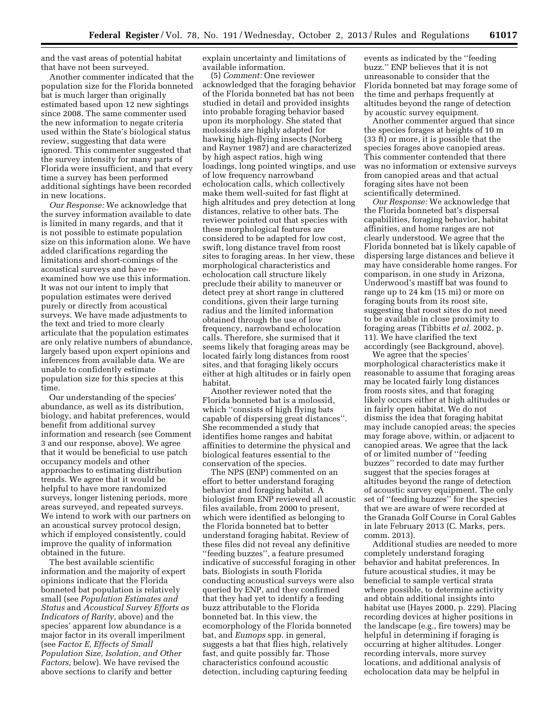and the vast areas of potential habitat that have not been surveyed.

Another commenter indicated that the population size for the Florida bonneted bat is much larger than originally estimated based upon 12 new sightings since 2008. The same commenter used the new information to negate criteria used within the State's biological status review, suggesting that data were ignored. This commenter suggested that the survey intensity for many parts of Florida were insufficient, and that every time a survey has been performed additional sightings have been recorded in new locations.

*Our Response:* We acknowledge that the survey information available to date is limited in many regards, and that it is not possible to estimate population size on this information alone. We have added clarifications regarding the limitations and short-comings of the acoustical surveys and have reexamined how we use this information. It was not our intent to imply that population estimates were derived purely or directly from acoustical surveys. We have made adjustments to the text and tried to more clearly articulate that the population estimates are only relative numbers of abundance, largely based upon expert opinions and inferences from available data. We are unable to confidently estimate population size for this species at this time.

Our understanding of the species' abundance, as well as its distribution, biology, and habitat preferences, would benefit from additional survey information and research (see Comment 3 and our response, above). We agree that it would be beneficial to use patch occupancy models and other approaches to estimating distribution trends. We agree that it would be helpful to have more randomized surveys, longer listening periods, more areas surveyed, and repeated surveys. We intend to work with our partners on an acoustical survey protocol design, which if employed consistently, could improve the quality of information obtained in the future.

The best available scientific information and the majority of expert opinions indicate that the Florida bonneted bat population is relatively small (see *Population Estimates and Status* and *Acoustical Survey Efforts as Indicators of Rarity,* above) and the species' apparent low abundance is a major factor in its overall imperilment (see *Factor E, Effects of Small Population Size, Isolation, and Other Factors,* below). We have revised the above sections to clarify and better

explain uncertainty and limitations of available information.

(5) *Comment:* One reviewer acknowledged that the foraging behavior of the Florida bonneted bat has not been studied in detail and provided insights into probable foraging behavior based upon its morphology. She stated that molossids are highly adapted for hawking high-flying insects (Norberg and Rayner 1987) and are characterized by high aspect ratios, high wing loadings, long pointed wingtips, and use of low frequency narrowband echolocation calls, which collectively make them well-suited for fast flight at high altitudes and prey detection at long distances, relative to other bats. The reviewer pointed out that species with these morphological features are considered to be adapted for low cost, swift, long distance travel from roost sites to foraging areas. In her view, these morphological characteristics and echolocation call structure likely preclude their ability to maneuver or detect prey at short range in cluttered conditions, given their large turning radius and the limited information obtained through the use of low frequency, narrowband echolocation calls. Therefore, she surmised that it seems likely that foraging areas may be located fairly long distances from roost sites, and that foraging likely occurs either at high altitudes or in fairly open habitat.

Another reviewer noted that the Florida bonneted bat is a molossid, which ''consists of high flying bats capable of dispersing great distances''. She recommended a study that identifies home ranges and habitat affinities to determine the physical and biological features essential to the conservation of the species.

The NPS (ENP) commented on an effort to better understand foraging behavior and foraging habitat. A biologist from ENP reviewed all acoustic files available, from 2000 to present, which were identified as belonging to the Florida bonneted bat to better understand foraging habitat. Review of these files did not reveal any definitive ''feeding buzzes'', a feature presumed indicative of successful foraging in other bats. Biologists in south Florida conducting acoustical surveys were also queried by ENP, and they confirmed that they had yet to identify a feeding buzz attributable to the Florida bonneted bat. In this view, the ecomorphology of the Florida bonneted bat, and *Eumops* spp. in general, suggests a bat that flies high, relatively fast, and quite possibly far. Those characteristics confound acoustic detection, including capturing feeding

events as indicated by the ''feeding buzz.'' ENP believes that it is not unreasonable to consider that the Florida bonneted bat may forage some of the time and perhaps frequently at altitudes beyond the range of detection by acoustic survey equipment.

Another commenter argued that since the species forages at heights of 10 m (33 ft) or more, it is possible that the species forages above canopied areas. This commenter contended that there was no information or extensive surveys from canopied areas and that actual foraging sites have not been scientifically determined.

*Our Response:* We acknowledge that the Florida bonneted bat's dispersal capabilities, foraging behavior, habitat affinities, and home ranges are not clearly understood. We agree that the Florida bonneted bat is likely capable of dispersing large distances and believe it may have considerable home ranges. For comparison, in one study in Arizona, Underwood's mastiff bat was found to range up to 24 km (15 mi) or more on foraging bouts from its roost site, suggesting that roost sites do not need to be available in close proximity to foraging areas (Tibbitts *et al.* 2002, p. 11). We have clarified the text accordingly (see Background, above).

We agree that the species' morphological characteristics make it reasonable to assume that foraging areas may be located fairly long distances from roosts sites, and that foraging likely occurs either at high altitudes or in fairly open habitat. We do not dismiss the idea that foraging habitat may include canopied areas; the species may forage above, within, or adjacent to canopied areas. We agree that the lack of or limited number of ''feeding buzzes'' recorded to date may further suggest that the species forages at altitudes beyond the range of detection of acoustic survey equipment. The only set of ''feeding buzzes'' for the species that we are aware of were recorded at the Granada Golf Course in Coral Gables in late February 2013 (C. Marks, pers. comm. 2013).

Additional studies are needed to more completely understand foraging behavior and habitat preferences. In future acoustical studies, it may be beneficial to sample vertical strata where possible, to determine activity and obtain additional insights into habitat use (Hayes 2000, p. 229). Placing recording devices at higher positions in the landscape (e.g., fire towers) may be helpful in determining if foraging is occurring at higher altitudes. Longer recording intervals, more survey locations, and additional analysis of echolocation data may be helpful in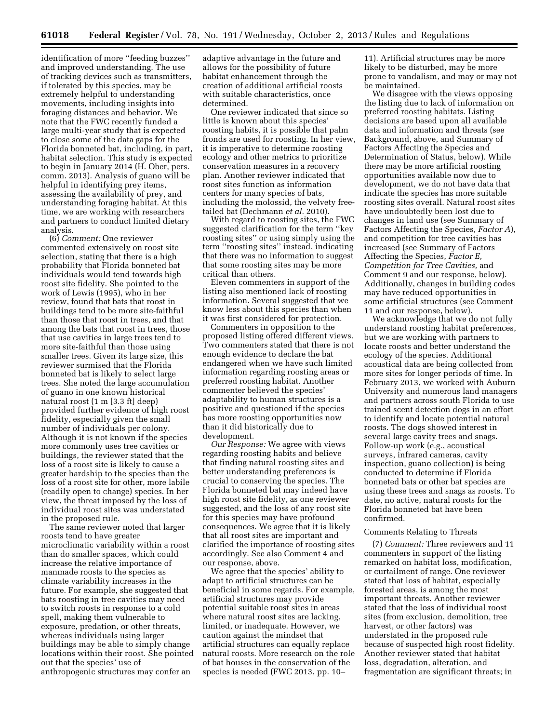identification of more ''feeding buzzes'' and improved understanding. The use of tracking devices such as transmitters, if tolerated by this species, may be extremely helpful to understanding movements, including insights into foraging distances and behavior. We note that the FWC recently funded a large multi-year study that is expected to close some of the data gaps for the Florida bonneted bat, including, in part, habitat selection. This study is expected to begin in January 2014 (H. Ober, pers. comm. 2013). Analysis of guano will be helpful in identifying prey items, assessing the availability of prey, and understanding foraging habitat. At this time, we are working with researchers and partners to conduct limited dietary analysis.

(6) *Comment:* One reviewer commented extensively on roost site selection, stating that there is a high probability that Florida bonneted bat individuals would tend towards high roost site fidelity. She pointed to the work of Lewis (1995), who in her review, found that bats that roost in buildings tend to be more site-faithful than those that roost in trees, and that among the bats that roost in trees, those that use cavities in large trees tend to more site-faithful than those using smaller trees. Given its large size, this reviewer surmised that the Florida bonneted bat is likely to select large trees. She noted the large accumulation of guano in one known historical natural roost (1 m [3.3 ft] deep) provided further evidence of high roost fidelity, especially given the small number of individuals per colony. Although it is not known if the species more commonly uses tree cavities or buildings, the reviewer stated that the loss of a roost site is likely to cause a greater hardship to the species than the loss of a roost site for other, more labile (readily open to change) species. In her view, the threat imposed by the loss of individual roost sites was understated in the proposed rule.

The same reviewer noted that larger roosts tend to have greater microclimatic variability within a roost than do smaller spaces, which could increase the relative importance of manmade roosts to the species as climate variability increases in the future. For example, she suggested that bats roosting in tree cavities may need to switch roosts in response to a cold spell, making them vulnerable to exposure, predation, or other threats, whereas individuals using larger buildings may be able to simply change locations within their roost. She pointed out that the species' use of anthropogenic structures may confer an

adaptive advantage in the future and allows for the possibility of future habitat enhancement through the creation of additional artificial roosts with suitable characteristics, once determined.

One reviewer indicated that since so little is known about this species' roosting habits, it is possible that palm fronds are used for roosting. In her view, it is imperative to determine roosting ecology and other metrics to prioritize conservation measures in a recovery plan. Another reviewer indicated that roost sites function as information centers for many species of bats, including the molossid, the velvety freetailed bat (Dechmann *et al.* 2010).

With regard to roosting sites, the FWC suggested clarification for the term ''key roosting sites'' or using simply using the term ''roosting sites'' instead, indicating that there was no information to suggest that some roosting sites may be more critical than others.

Eleven commenters in support of the listing also mentioned lack of roosting information. Several suggested that we know less about this species than when it was first considered for protection.

Commenters in opposition to the proposed listing offered different views. Two commenters stated that there is not enough evidence to declare the bat endangered when we have such limited information regarding roosting areas or preferred roosting habitat. Another commenter believed the species' adaptability to human structures is a positive and questioned if the species has more roosting opportunities now than it did historically due to development.

*Our Response:* We agree with views regarding roosting habits and believe that finding natural roosting sites and better understanding preferences is crucial to conserving the species. The Florida bonneted bat may indeed have high roost site fidelity, as one reviewer suggested, and the loss of any roost site for this species may have profound consequences. We agree that it is likely that all roost sites are important and clarified the importance of roosting sites accordingly. See also Comment 4 and our response, above.

We agree that the species' ability to adapt to artificial structures can be beneficial in some regards. For example, artificial structures may provide potential suitable roost sites in areas where natural roost sites are lacking, limited, or inadequate. However, we caution against the mindset that artificial structures can equally replace natural roosts. More research on the role of bat houses in the conservation of the species is needed (FWC 2013, pp. 10–

11). Artificial structures may be more likely to be disturbed, may be more prone to vandalism, and may or may not be maintained.

We disagree with the views opposing the listing due to lack of information on preferred roosting habitats. Listing decisions are based upon all available data and information and threats (see Background, above, and Summary of Factors Affecting the Species and Determination of Status, below). While there may be more artificial roosting opportunities available now due to development, we do not have data that indicate the species has more suitable roosting sites overall. Natural roost sites have undoubtedly been lost due to changes in land use (see Summary of Factors Affecting the Species, *Factor A*), and competition for tree cavities has increased (see Summary of Factors Affecting the Species, *Factor E, Competition for Tree Cavities,* and Comment 9 and our response, below). Additionally, changes in building codes may have reduced opportunities in some artificial structures (see Comment 11 and our response, below).

We acknowledge that we do not fully understand roosting habitat preferences, but we are working with partners to locate roosts and better understand the ecology of the species. Additional acoustical data are being collected from more sites for longer periods of time. In February 2013, we worked with Auburn University and numerous land managers and partners across south Florida to use trained scent detection dogs in an effort to identify and locate potential natural roosts. The dogs showed interest in several large cavity trees and snags. Follow-up work (e.g., acoustical surveys, infrared cameras, cavity inspection, guano collection) is being conducted to determine if Florida bonneted bats or other bat species are using these trees and snags as roosts. To date, no active, natural roosts for the Florida bonneted bat have been confirmed.

#### Comments Relating to Threats

(7) *Comment:* Three reviewers and 11 commenters in support of the listing remarked on habitat loss, modification, or curtailment of range. One reviewer stated that loss of habitat, especially forested areas, is among the most important threats. Another reviewer stated that the loss of individual roost sites (from exclusion, demolition, tree harvest, or other factors) was understated in the proposed rule because of suspected high roost fidelity. Another reviewer stated that habitat loss, degradation, alteration, and fragmentation are significant threats; in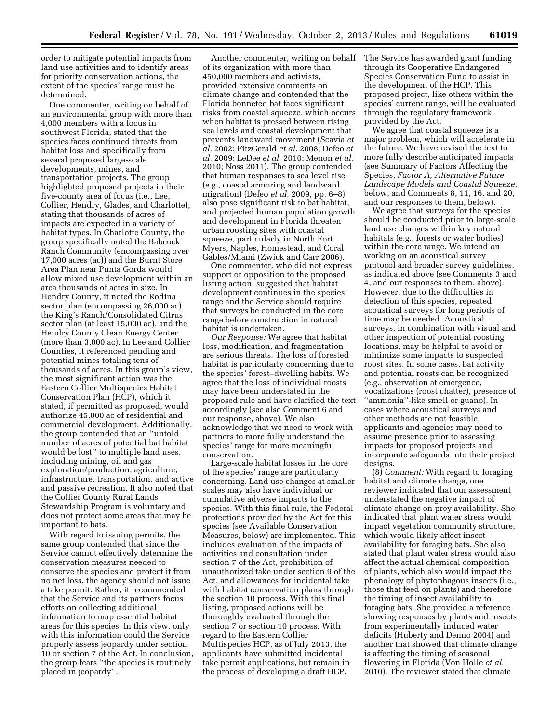order to mitigate potential impacts from land use activities and to identify areas for priority conservation actions, the extent of the species' range must be determined.

One commenter, writing on behalf of an environmental group with more than 4,000 members with a focus in southwest Florida, stated that the species faces continued threats from habitat loss and specifically from several proposed large-scale developments, mines, and transportation projects. The group highlighted proposed projects in their five-county area of focus (i.e., Lee, Collier, Hendry, Glades, and Charlotte), stating that thousands of acres of impacts are expected in a variety of habitat types. In Charlotte County, the group specifically noted the Babcock Ranch Community (encompassing over 17,000 acres (ac)) and the Burnt Store Area Plan near Punta Gorda would allow mixed use development within an area thousands of acres in size. In Hendry County, it noted the Rodina sector plan (encompassing 26,000 ac), the King's Ranch/Consolidated Citrus sector plan (at least 15,000 ac), and the Hendry County Clean Energy Center (more than 3,000 ac). In Lee and Collier Counties, it referenced pending and potential mines totaling tens of thousands of acres. In this group's view, the most significant action was the Eastern Collier Multispecies Habitat Conservation Plan (HCP), which it stated, if permitted as proposed, would authorize 45,000 ac of residential and commercial development. Additionally, the group contended that an ''untold number of acres of potential bat habitat would be lost'' to multiple land uses, including mining, oil and gas exploration/production, agriculture, infrastructure, transportation, and active and passive recreation. It also noted that the Collier County Rural Lands Stewardship Program is voluntary and does not protect some areas that may be important to bats.

With regard to issuing permits, the same group contended that since the Service cannot effectively determine the conservation measures needed to conserve the species and protect it from no net loss, the agency should not issue a take permit. Rather, it recommended that the Service and its partners focus efforts on collecting additional information to map essential habitat areas for this species. In this view, only with this information could the Service properly assess jeopardy under section 10 or section 7 of the Act. In conclusion, the group fears ''the species is routinely placed in jeopardy''.

Another commenter, writing on behalf of its organization with more than 450,000 members and activists, provided extensive comments on climate change and contended that the Florida bonneted bat faces significant risks from coastal squeeze, which occurs when habitat is pressed between rising sea levels and coastal development that prevents landward movement (Scavia *et al.* 2002; FitzGerald *et al.* 2008; Defeo *et al.* 2009; LeDee *et al.* 2010; Menon *et al.*  2010; Noss 2011). The group contended that human responses to sea level rise (e.g., coastal armoring and landward migration) (Defeo *et al.* 2009, pp. 6–8) also pose significant risk to bat habitat, and projected human population growth and development in Florida threaten urban roosting sites with coastal squeeze, particularly in North Fort Myers, Naples, Homestead, and Coral Gables/Miami (Zwick and Carr 2006).

One commenter, who did not express support or opposition to the proposed listing action, suggested that habitat development continues in the species' range and the Service should require that surveys be conducted in the core range before construction in natural habitat is undertaken.

*Our Response:* We agree that habitat loss, modification, and fragmentation are serious threats. The loss of forested habitat is particularly concerning due to the species' forest–dwelling habits. We agree that the loss of individual roosts may have been understated in the proposed rule and have clarified the text accordingly (see also Comment 6 and our response, above). We also acknowledge that we need to work with partners to more fully understand the species' range for more meaningful conservation.

Large-scale habitat losses in the core of the species' range are particularly concerning. Land use changes at smaller scales may also have individual or cumulative adverse impacts to the species. With this final rule, the Federal protections provided by the Act for this species (see Available Conservation Measures, below) are implemented. This includes evaluation of the impacts of activities and consultation under section 7 of the Act, prohibition of unauthorized take under section 9 of the Act, and allowances for incidental take with habitat conservation plans through the section 10 process. With this final listing, proposed actions will be thoroughly evaluated through the section 7 or section 10 process. With regard to the Eastern Collier Multispecies HCP, as of July 2013, the applicants have submitted incidental take permit applications, but remain in the process of developing a draft HCP.

The Service has awarded grant funding through its Cooperative Endangered Species Conservation Fund to assist in the development of the HCP. This proposed project, like others within the species' current range, will be evaluated through the regulatory framework provided by the Act.

We agree that coastal squeeze is a major problem, which will accelerate in the future. We have revised the text to more fully describe anticipated impacts (see Summary of Factors Affecting the Species, *Factor A, Alternative Future Landscape Models and Coastal Squeeze,*  below, and Comments 8, 11, 16, and 20, and our responses to them, below).

We agree that surveys for the species should be conducted prior to large-scale land use changes within key natural habitats (e.g., forests or water bodies) within the core range. We intend on working on an acoustical survey protocol and broader survey guidelines, as indicated above (see Comments 3 and 4, and our responses to them, above). However, due to the difficulties in detection of this species, repeated acoustical surveys for long periods of time may be needed. Acoustical surveys, in combination with visual and other inspection of potential roosting locations, may be helpful to avoid or minimize some impacts to suspected roost sites. In some cases, bat activity and potential roosts can be recognized (e.g., observation at emergence, vocalizations (roost chatter), presence of ''ammonia''-like smell or guano). In cases where acoustical surveys and other methods are not feasible, applicants and agencies may need to assume presence prior to assessing impacts for proposed projects and incorporate safeguards into their project designs.

(8) *Comment:* With regard to foraging habitat and climate change, one reviewer indicated that our assessment understated the negative impact of climate change on prey availability. She indicated that plant water stress would impact vegetation community structure, which would likely affect insect availability for foraging bats. She also stated that plant water stress would also affect the actual chemical composition of plants, which also would impact the phenology of phytophagous insects (i.e., those that feed on plants) and therefore the timing of insect availability to foraging bats. She provided a reference showing responses by plants and insects from experimentally induced water deficits (Huberty and Denno 2004) and another that showed that climate change is affecting the timing of seasonal flowering in Florida (Von Holle *et al.*  2010). The reviewer stated that climate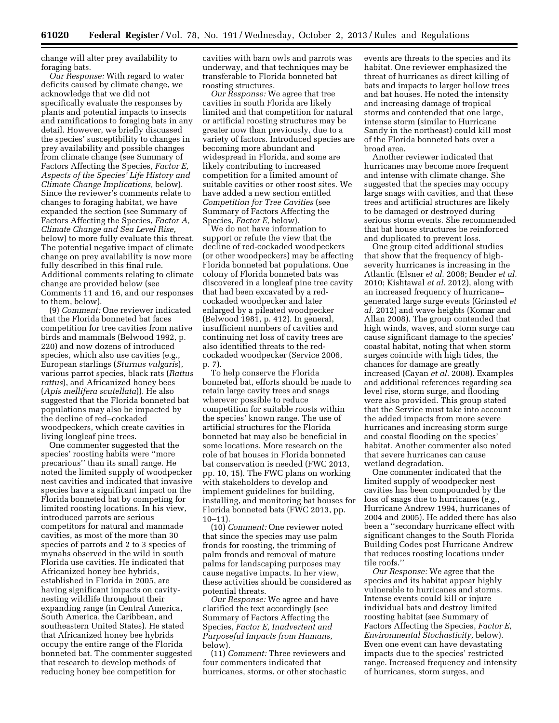change will alter prey availability to foraging bats.

*Our Response:* With regard to water deficits caused by climate change, we acknowledge that we did not specifically evaluate the responses by plants and potential impacts to insects and ramifications to foraging bats in any detail. However, we briefly discussed the species' susceptibility to changes in prey availability and possible changes from climate change (see Summary of Factors Affecting the Species, *Factor E, Aspects of the Species' Life History and Climate Change Implications,* below). Since the reviewer's comments relate to changes to foraging habitat, we have expanded the section (see Summary of Factors Affecting the Species, *Factor A, Climate Change and Sea Level Rise,*  below) to more fully evaluate this threat. The potential negative impact of climate change on prey availability is now more fully described in this final rule. Additional comments relating to climate change are provided below (see Comments 11 and 16, and our responses to them, below).

(9) *Comment:* One reviewer indicated that the Florida bonneted bat faces competition for tree cavities from native birds and mammals (Belwood 1992, p. 220) and now dozens of introduced species, which also use cavities (e.g., European starlings (*Sturnus vulgaris*), various parrot species, black rats (*Rattus rattus*), and Africanized honey bees (*Apis mellifera scutellata*)). He also suggested that the Florida bonneted bat populations may also be impacted by the decline of red–cockaded woodpeckers, which create cavities in living longleaf pine trees.

One commenter suggested that the species' roosting habits were ''more precarious'' than its small range. He noted the limited supply of woodpecker nest cavities and indicated that invasive species have a significant impact on the Florida bonneted bat by competing for limited roosting locations. In his view, introduced parrots are serious competitors for natural and manmade cavities, as most of the more than 30 species of parrots and 2 to 3 species of mynahs observed in the wild in south Florida use cavities. He indicated that Africanized honey bee hybrids, established in Florida in 2005, are having significant impacts on cavitynesting wildlife throughout their expanding range (in Central America, South America, the Caribbean, and southeastern United States). He stated that Africanized honey bee hybrids occupy the entire range of the Florida bonneted bat. The commenter suggested that research to develop methods of reducing honey bee competition for

cavities with barn owls and parrots was underway, and that techniques may be transferable to Florida bonneted bat roosting structures.

*Our Response:* We agree that tree cavities in south Florida are likely limited and that competition for natural or artificial roosting structures may be greater now than previously, due to a variety of factors. Introduced species are becoming more abundant and widespread in Florida, and some are likely contributing to increased competition for a limited amount of suitable cavities or other roost sites. We have added a new section entitled *Competition for Tree Cavities* (see Summary of Factors Affecting the Species, *Factor E,* below).

We do not have information to support or refute the view that the decline of red-cockaded woodpeckers (or other woodpeckers) may be affecting Florida bonneted bat populations. One colony of Florida bonneted bats was discovered in a longleaf pine tree cavity that had been excavated by a redcockaded woodpecker and later enlarged by a pileated woodpecker (Belwood 1981, p. 412). In general, insufficient numbers of cavities and continuing net loss of cavity trees are also identified threats to the redcockaded woodpecker (Service 2006, p. 7).

To help conserve the Florida bonneted bat, efforts should be made to retain large cavity trees and snags wherever possible to reduce competition for suitable roosts within the species' known range. The use of artificial structures for the Florida bonneted bat may also be beneficial in some locations. More research on the role of bat houses in Florida bonneted bat conservation is needed (FWC 2013, pp. 10, 15). The FWC plans on working with stakeholders to develop and implement guidelines for building, installing, and monitoring bat houses for Florida bonneted bats (FWC 2013, pp. 10–11).

(10) *Comment:* One reviewer noted that since the species may use palm fronds for roosting, the trimming of palm fronds and removal of mature palms for landscaping purposes may cause negative impacts. In her view, these activities should be considered as potential threats.

*Our Response:* We agree and have clarified the text accordingly (see Summary of Factors Affecting the Species, *Factor E, Inadvertent and Purposeful Impacts from Humans,*  below).

(11) *Comment:* Three reviewers and four commenters indicated that hurricanes, storms, or other stochastic

events are threats to the species and its habitat. One reviewer emphasized the threat of hurricanes as direct killing of bats and impacts to larger hollow trees and bat houses. He noted the intensity and increasing damage of tropical storms and contended that one large, intense storm (similar to Hurricane Sandy in the northeast) could kill most of the Florida bonneted bats over a broad area.

Another reviewer indicated that hurricanes may become more frequent and intense with climate change. She suggested that the species may occupy large snags with cavities, and that these trees and artificial structures are likely to be damaged or destroyed during serious storm events. She recommended that bat house structures be reinforced and duplicated to prevent loss.

One group cited additional studies that show that the frequency of highseverity hurricanes is increasing in the Atlantic (Elsner *et al.* 2008; Bender *et al.*  2010; Kishtawal *et al.* 2012), along with an increased frequency of hurricane– generated large surge events (Grinsted *et al.* 2012) and wave heights (Komar and Allan 2008). The group contended that high winds, waves, and storm surge can cause significant damage to the species' coastal habitat, noting that when storm surges coincide with high tides, the chances for damage are greatly increased (Cayan *et al.* 2008). Examples and additional references regarding sea level rise, storm surge, and flooding were also provided. This group stated that the Service must take into account the added impacts from more severe hurricanes and increasing storm surge and coastal flooding on the species' habitat. Another commenter also noted that severe hurricanes can cause wetland degradation.

One commenter indicated that the limited supply of woodpecker nest cavities has been compounded by the loss of snags due to hurricanes (e.g., Hurricane Andrew 1994, hurricanes of 2004 and 2005). He added there has also been a ''secondary hurricane effect with significant changes to the South Florida Building Codes post Hurricane Andrew that reduces roosting locations under tile roofs.''

*Our Response:* We agree that the species and its habitat appear highly vulnerable to hurricanes and storms. Intense events could kill or injure individual bats and destroy limited roosting habitat (see Summary of Factors Affecting the Species, *Factor E, Environmental Stochasticity,* below). Even one event can have devastating impacts due to the species' restricted range. Increased frequency and intensity of hurricanes, storm surges, and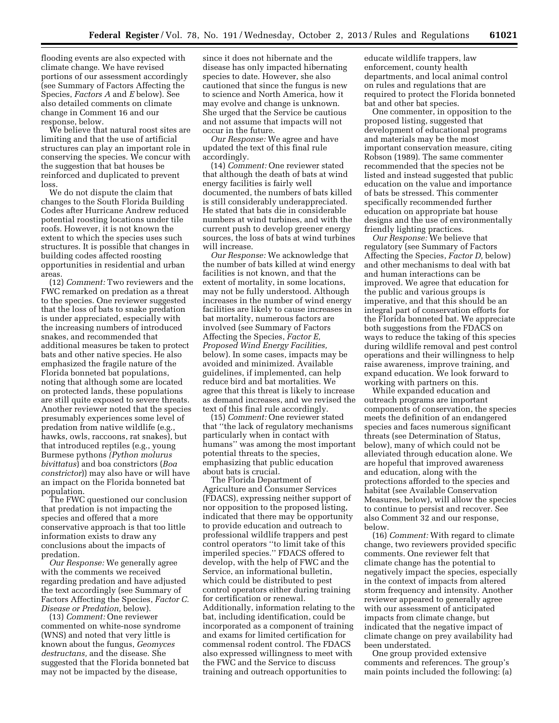flooding events are also expected with climate change. We have revised portions of our assessment accordingly (see Summary of Factors Affecting the Species, *Factors A* and *E* below). See also detailed comments on climate change in Comment 16 and our response, below.

We believe that natural roost sites are limiting and that the use of artificial structures can play an important role in conserving the species. We concur with the suggestion that bat houses be reinforced and duplicated to prevent loss.

We do not dispute the claim that changes to the South Florida Building Codes after Hurricane Andrew reduced potential roosting locations under tile roofs. However, it is not known the extent to which the species uses such structures. It is possible that changes in building codes affected roosting opportunities in residential and urban areas.

(12) *Comment:* Two reviewers and the FWC remarked on predation as a threat to the species. One reviewer suggested that the loss of bats to snake predation is under appreciated, especially with the increasing numbers of introduced snakes, and recommended that additional measures be taken to protect bats and other native species. He also emphasized the fragile nature of the Florida bonneted bat populations, noting that although some are located on protected lands, these populations are still quite exposed to severe threats. Another reviewer noted that the species presumably experiences some level of predation from native wildlife (e.g., hawks, owls, raccoons, rat snakes), but that introduced reptiles (e.g., young Burmese pythons *(Python molurus bivittatus*) and boa constrictors (*Boa constrictor*)) may also have or will have an impact on the Florida bonneted bat population.

The FWC questioned our conclusion that predation is not impacting the species and offered that a more conservative approach is that too little information exists to draw any conclusions about the impacts of predation.

*Our Response:* We generally agree with the comments we received regarding predation and have adjusted the text accordingly (see Summary of Factors Affecting the Species, *Factor C. Disease or Predation,* below).

(13) *Comment:* One reviewer commented on white-nose syndrome (WNS) and noted that very little is known about the fungus, *Geomyces destructans,* and the disease. She suggested that the Florida bonneted bat may not be impacted by the disease,

since it does not hibernate and the disease has only impacted hibernating species to date. However, she also cautioned that since the fungus is new to science and North America, how it may evolve and change is unknown. She urged that the Service be cautious and not assume that impacts will not occur in the future.

*Our Response:* We agree and have updated the text of this final rule accordingly.

(14) *Comment:* One reviewer stated that although the death of bats at wind energy facilities is fairly well documented, the numbers of bats killed is still considerably underappreciated. He stated that bats die in considerable numbers at wind turbines, and with the current push to develop greener energy sources, the loss of bats at wind turbines will increase.

*Our Response:* We acknowledge that the number of bats killed at wind energy facilities is not known, and that the extent of mortality, in some locations, may not be fully understood. Although increases in the number of wind energy facilities are likely to cause increases in bat mortality, numerous factors are involved (see Summary of Factors Affecting the Species, *Factor E, Proposed Wind Energy Facilities,*  below). In some cases, impacts may be avoided and minimized. Available guidelines, if implemented, can help reduce bird and bat mortalities. We agree that this threat is likely to increase as demand increases, and we revised the text of this final rule accordingly.

(15) *Comment:* One reviewer stated that ''the lack of regulatory mechanisms particularly when in contact with humans'' was among the most important potential threats to the species, emphasizing that public education about bats is crucial.

The Florida Department of Agriculture and Consumer Services (FDACS), expressing neither support of nor opposition to the proposed listing, indicated that there may be opportunity to provide education and outreach to professional wildlife trappers and pest control operators ''to limit take of this imperiled species.'' FDACS offered to develop, with the help of FWC and the Service, an informational bulletin, which could be distributed to pest control operators either during training for certification or renewal. Additionally, information relating to the bat, including identification, could be incorporated as a component of training and exams for limited certification for commensal rodent control. The FDACS also expressed willingness to meet with the FWC and the Service to discuss training and outreach opportunities to

educate wildlife trappers, law enforcement, county health departments, and local animal control on rules and regulations that are required to protect the Florida bonneted bat and other bat species.

One commenter, in opposition to the proposed listing, suggested that development of educational programs and materials may be the most important conservation measure, citing Robson (1989). The same commenter recommended that the species not be listed and instead suggested that public education on the value and importance of bats be stressed. This commenter specifically recommended further education on appropriate bat house designs and the use of environmentally friendly lighting practices.

*Our Response:* We believe that regulatory (see Summary of Factors Affecting the Species, *Factor D,* below) and other mechanisms to deal with bat and human interactions can be improved. We agree that education for the public and various groups is imperative, and that this should be an integral part of conservation efforts for the Florida bonneted bat. We appreciate both suggestions from the FDACS on ways to reduce the taking of this species during wildlife removal and pest control operations and their willingness to help raise awareness, improve training, and expand education. We look forward to working with partners on this.

While expanded education and outreach programs are important components of conservation, the species meets the definition of an endangered species and faces numerous significant threats (see Determination of Status, below), many of which could not be alleviated through education alone. We are hopeful that improved awareness and education, along with the protections afforded to the species and habitat (see Available Conservation Measures, below), will allow the species to continue to persist and recover. See also Comment 32 and our response, below.

(16) *Comment:* With regard to climate change, two reviewers provided specific comments. One reviewer felt that climate change has the potential to negatively impact the species, especially in the context of impacts from altered storm frequency and intensity. Another reviewer appeared to generally agree with our assessment of anticipated impacts from climate change, but indicated that the negative impact of climate change on prey availability had been understated.

One group provided extensive comments and references. The group's main points included the following: (a)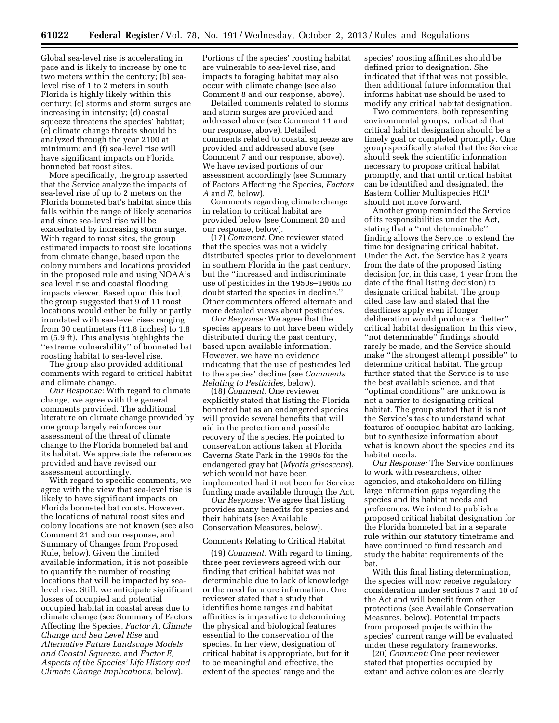Global sea-level rise is accelerating in pace and is likely to increase by one to two meters within the century; (b) sealevel rise of 1 to 2 meters in south Florida is highly likely within this century; (c) storms and storm surges are increasing in intensity; (d) coastal squeeze threatens the species' habitat; (e) climate change threats should be analyzed through the year 2100 at minimum; and (f) sea-level rise will have significant impacts on Florida bonneted bat roost sites.

More specifically, the group asserted that the Service analyze the impacts of sea-level rise of up to 2 meters on the Florida bonneted bat's habitat since this falls within the range of likely scenarios and since sea-level rise will be exacerbated by increasing storm surge. With regard to roost sites, the group estimated impacts to roost site locations from climate change, based upon the colony numbers and locations provided in the proposed rule and using NOAA's sea level rise and coastal flooding impacts viewer. Based upon this tool, the group suggested that 9 of 11 roost locations would either be fully or partly inundated with sea-level rises ranging from 30 centimeters (11.8 inches) to 1.8 m (5.9 ft). This analysis highlights the ''extreme vulnerability'' of bonneted bat roosting habitat to sea-level rise.

The group also provided additional comments with regard to critical habitat and climate change.

*Our Response:* With regard to climate change, we agree with the general comments provided. The additional literature on climate change provided by one group largely reinforces our assessment of the threat of climate change to the Florida bonneted bat and its habitat. We appreciate the references provided and have revised our assessment accordingly.

With regard to specific comments, we agree with the view that sea-level rise is likely to have significant impacts on Florida bonneted bat roosts. However, the locations of natural roost sites and colony locations are not known (see also Comment 21 and our response, and Summary of Changes from Proposed Rule, below). Given the limited available information, it is not possible to quantify the number of roosting locations that will be impacted by sealevel rise. Still, we anticipate significant losses of occupied and potential occupied habitat in coastal areas due to climate change (see Summary of Factors Affecting the Species, *Factor A, Climate Change and Sea Level Rise* and *Alternative Future Landscape Models and Coastal Squeeze,* and *Factor E, Aspects of the Species' Life History and Climate Change Implications,* below).

Portions of the species' roosting habitat are vulnerable to sea-level rise, and impacts to foraging habitat may also occur with climate change (see also Comment 8 and our response, above).

Detailed comments related to storms and storm surges are provided and addressed above (see Comment 11 and our response, above). Detailed comments related to coastal squeeze are provided and addressed above (see Comment 7 and our response, above). We have revised portions of our assessment accordingly (see Summary of Factors Affecting the Species, *Factors A* and *E,* below).

Comments regarding climate change in relation to critical habitat are provided below (see Comment 20 and our response, below).

(17) *Comment:* One reviewer stated that the species was not a widely distributed species prior to development in southern Florida in the past century, but the ''increased and indiscriminate use of pesticides in the 1950s–1960s no doubt started the species in decline.'' Other commenters offered alternate and more detailed views about pesticides.

*Our Response:* We agree that the species appears to not have been widely distributed during the past century, based upon available information. However, we have no evidence indicating that the use of pesticides led to the species' decline (see *Comments Relating to Pesticides,* below).

(18) *Comment:* One reviewer explicitly stated that listing the Florida bonneted bat as an endangered species will provide several benefits that will aid in the protection and possible recovery of the species. He pointed to conservation actions taken at Florida Caverns State Park in the 1990s for the endangered gray bat (*Myotis grisescens*), which would not have been implemented had it not been for Service funding made available through the Act.

*Our Response:* We agree that listing provides many benefits for species and their habitats (see Available Conservation Measures, below).

#### Comments Relating to Critical Habitat

(19) *Comment:* With regard to timing, three peer reviewers agreed with our finding that critical habitat was not determinable due to lack of knowledge or the need for more information. One reviewer stated that a study that identifies home ranges and habitat affinities is imperative to determining the physical and biological features essential to the conservation of the species. In her view, designation of critical habitat is appropriate, but for it to be meaningful and effective, the extent of the species' range and the

species' roosting affinities should be defined prior to designation. She indicated that if that was not possible, then additional future information that informs habitat use should be used to modify any critical habitat designation.

Two commenters, both representing environmental groups, indicated that critical habitat designation should be a timely goal or completed promptly. One group specifically stated that the Service should seek the scientific information necessary to propose critical habitat promptly, and that until critical habitat can be identified and designated, the Eastern Collier Multispecies HCP should not move forward.

Another group reminded the Service of its responsibilities under the Act, stating that a ''not determinable'' finding allows the Service to extend the time for designating critical habitat. Under the Act, the Service has 2 years from the date of the proposed listing decision (or, in this case, 1 year from the date of the final listing decision) to designate critical habitat. The group cited case law and stated that the deadlines apply even if longer deliberation would produce a ''better'' critical habitat designation. In this view, ''not determinable'' findings should rarely be made, and the Service should make ''the strongest attempt possible'' to determine critical habitat. The group further stated that the Service is to use the best available science, and that ''optimal conditions'' are unknown is not a barrier to designating critical habitat. The group stated that it is not the Service's task to understand what features of occupied habitat are lacking, but to synthesize information about what is known about the species and its habitat needs.

*Our Response:* The Service continues to work with researchers, other agencies, and stakeholders on filling large information gaps regarding the species and its habitat needs and preferences. We intend to publish a proposed critical habitat designation for the Florida bonneted bat in a separate rule within our statutory timeframe and have continued to fund research and study the habitat requirements of the bat.

With this final listing determination, the species will now receive regulatory consideration under sections 7 and 10 of the Act and will benefit from other protections (see Available Conservation Measures, below). Potential impacts from proposed projects within the species' current range will be evaluated under these regulatory frameworks.

(20) *Comment:* One peer reviewer stated that properties occupied by extant and active colonies are clearly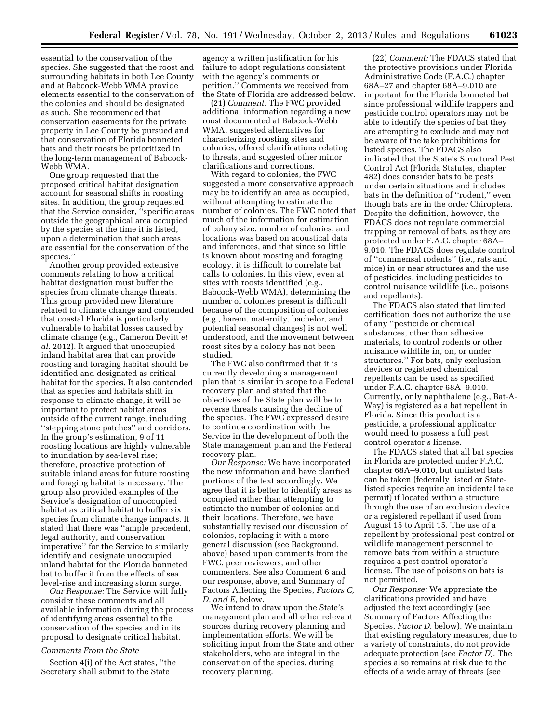essential to the conservation of the species. She suggested that the roost and surrounding habitats in both Lee County and at Babcock-Webb WMA provide elements essential to the conservation of the colonies and should be designated as such. She recommended that conservation easements for the private property in Lee County be pursued and that conservation of Florida bonneted bats and their roosts be prioritized in the long-term management of Babcock-Webb WMA.

One group requested that the proposed critical habitat designation account for seasonal shifts in roosting sites. In addition, the group requested that the Service consider, ''specific areas outside the geographical area occupied by the species at the time it is listed, upon a determination that such areas are essential for the conservation of the species.''

Another group provided extensive comments relating to how a critical habitat designation must buffer the species from climate change threats. This group provided new literature related to climate change and contended that coastal Florida is particularly vulnerable to habitat losses caused by climate change (e.g., Cameron Devitt *et al.* 2012). It argued that unoccupied inland habitat area that can provide roosting and foraging habitat should be identified and designated as critical habitat for the species. It also contended that as species and habitats shift in response to climate change, it will be important to protect habitat areas outside of the current range, including ''stepping stone patches'' and corridors. In the group's estimation, 9 of 11 roosting locations are highly vulnerable to inundation by sea-level rise; therefore, proactive protection of suitable inland areas for future roosting and foraging habitat is necessary. The group also provided examples of the Service's designation of unoccupied habitat as critical habitat to buffer six species from climate change impacts. It stated that there was ''ample precedent, legal authority, and conservation imperative'' for the Service to similarly identify and designate unoccupied inland habitat for the Florida bonneted bat to buffer it from the effects of sea level-rise and increasing storm surge.

*Our Response:* The Service will fully consider these comments and all available information during the process of identifying areas essential to the conservation of the species and in its proposal to designate critical habitat.

# *Comments From the State*

Section 4(i) of the Act states, ''the Secretary shall submit to the State

agency a written justification for his failure to adopt regulations consistent with the agency's comments or petition.'' Comments we received from the State of Florida are addressed below.

(21) *Comment:* The FWC provided additional information regarding a new roost documented at Babcock-Webb WMA, suggested alternatives for characterizing roosting sites and colonies, offered clarifications relating to threats, and suggested other minor clarifications and corrections.

With regard to colonies, the FWC suggested a more conservative approach may be to identify an area as occupied, without attempting to estimate the number of colonies. The FWC noted that much of the information for estimation of colony size, number of colonies, and locations was based on acoustical data and inferences, and that since so little is known about roosting and foraging ecology, it is difficult to correlate bat calls to colonies. In this view, even at sites with roosts identified (e.g., Babcock-Webb WMA), determining the number of colonies present is difficult because of the composition of colonies (e.g., harem, maternity, bachelor, and potential seasonal changes) is not well understood, and the movement between roost sites by a colony has not been studied.

The FWC also confirmed that it is currently developing a management plan that is similar in scope to a Federal recovery plan and stated that the objectives of the State plan will be to reverse threats causing the decline of the species. The FWC expressed desire to continue coordination with the Service in the development of both the State management plan and the Federal recovery plan.

*Our Response:* We have incorporated the new information and have clarified portions of the text accordingly. We agree that it is better to identify areas as occupied rather than attempting to estimate the number of colonies and their locations. Therefore, we have substantially revised our discussion of colonies, replacing it with a more general discussion (see Background, above) based upon comments from the FWC, peer reviewers, and other commenters. See also Comment 6 and our response, above, and Summary of Factors Affecting the Species, *Factors C, D, and E,* below.

We intend to draw upon the State's management plan and all other relevant sources during recovery planning and implementation efforts. We will be soliciting input from the State and other stakeholders, who are integral in the conservation of the species, during recovery planning.

(22) *Comment:* The FDACS stated that the protective provisions under Florida Administrative Code (F.A.C.) chapter 68A–27 and chapter 68A–9.010 are important for the Florida bonneted bat since professional wildlife trappers and pesticide control operators may not be able to identify the species of bat they are attempting to exclude and may not be aware of the take prohibitions for listed species. The FDACS also indicated that the State's Structural Pest Control Act (Florida Statutes, chapter 482) does consider bats to be pests under certain situations and includes bats in the definition of ''rodent,'' even though bats are in the order Chiroptera. Despite the definition, however, the FDACS does not regulate commercial trapping or removal of bats, as they are protected under F.A.C. chapter 68A– 9.010. The FDACS does regulate control of ''commensal rodents'' (i.e., rats and mice) in or near structures and the use of pesticides, including pesticides to control nuisance wildlife (i.e., poisons and repellants).

The FDACS also stated that limited certification does not authorize the use of any ''pesticide or chemical substances, other than adhesive materials, to control rodents or other nuisance wildlife in, on, or under structures.'' For bats, only exclusion devices or registered chemical repellents can be used as specified under F.A.C. chapter 68A–9.010. Currently, only naphthalene (e.g., Bat-A-Way) is registered as a bat repellent in Florida. Since this product is a pesticide, a professional applicator would need to possess a full pest control operator's license.

The FDACS stated that all bat species in Florida are protected under F.A.C. chapter 68A–9.010, but unlisted bats can be taken (federally listed or Statelisted species require an incidental take permit) if located within a structure through the use of an exclusion device or a registered repellant if used from August 15 to April 15. The use of a repellent by professional pest control or wildlife management personnel to remove bats from within a structure requires a pest control operator's license. The use of poisons on bats is not permitted.

*Our Response:* We appreciate the clarifications provided and have adjusted the text accordingly (see Summary of Factors Affecting the Species, *Factor D,* below). We maintain that existing regulatory measures, due to a variety of constraints, do not provide adequate protection (see *Factor D*). The species also remains at risk due to the effects of a wide array of threats (see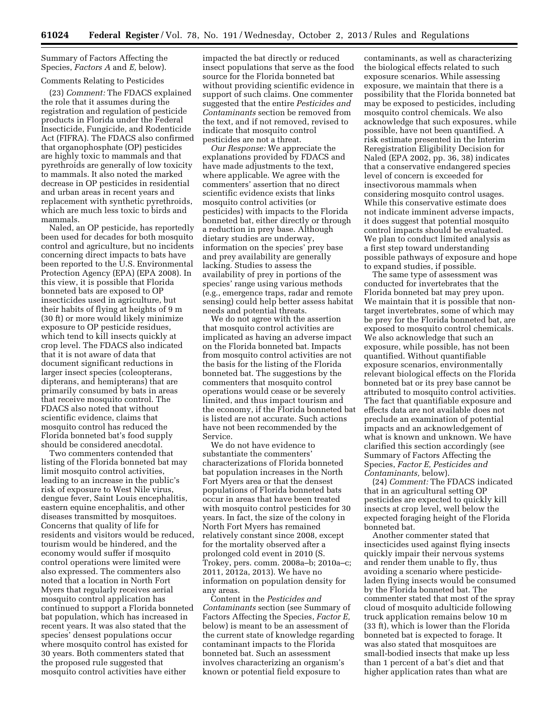Summary of Factors Affecting the Species, *Factors A* and *E,* below).

# Comments Relating to Pesticides

(23) *Comment:* The FDACS explained the role that it assumes during the registration and regulation of pesticide products in Florida under the Federal Insecticide, Fungicide, and Rodenticide Act (FIFRA). The FDACS also confirmed that organophosphate (OP) pesticides are highly toxic to mammals and that pyrethroids are generally of low toxicity to mammals. It also noted the marked decrease in OP pesticides in residential and urban areas in recent years and replacement with synthetic pyrethroids, which are much less toxic to birds and mammals.

Naled, an OP pesticide, has reportedly been used for decades for both mosquito control and agriculture, but no incidents concerning direct impacts to bats have been reported to the U.S. Environmental Protection Agency (EPA) (EPA 2008). In this view, it is possible that Florida bonneted bats are exposed to OP insecticides used in agriculture, but their habits of flying at heights of 9 m (30 ft) or more would likely minimize exposure to OP pesticide residues, which tend to kill insects quickly at crop level. The FDACS also indicated that it is not aware of data that document significant reductions in larger insect species (coleopterans, dipterans, and hemipterans) that are primarily consumed by bats in areas that receive mosquito control. The FDACS also noted that without scientific evidence, claims that mosquito control has reduced the Florida bonneted bat's food supply should be considered anecdotal.

Two commenters contended that listing of the Florida bonneted bat may limit mosquito control activities, leading to an increase in the public's risk of exposure to West Nile virus, dengue fever, Saint Louis encephalitis, eastern equine encephalitis, and other diseases transmitted by mosquitoes. Concerns that quality of life for residents and visitors would be reduced, tourism would be hindered, and the economy would suffer if mosquito control operations were limited were also expressed. The commenters also noted that a location in North Fort Myers that regularly receives aerial mosquito control application has continued to support a Florida bonneted bat population, which has increased in recent years. It was also stated that the species' densest populations occur where mosquito control has existed for 30 years. Both commenters stated that the proposed rule suggested that mosquito control activities have either

impacted the bat directly or reduced insect populations that serve as the food source for the Florida bonneted bat without providing scientific evidence in support of such claims. One commenter suggested that the entire *Pesticides and Contaminants* section be removed from the text, and if not removed, revised to indicate that mosquito control pesticides are not a threat.

*Our Response:* We appreciate the explanations provided by FDACS and have made adjustments to the text, where applicable. We agree with the commenters' assertion that no direct scientific evidence exists that links mosquito control activities (or pesticides) with impacts to the Florida bonneted bat, either directly or through a reduction in prey base. Although dietary studies are underway, information on the species' prey base and prey availability are generally lacking. Studies to assess the availability of prey in portions of the species' range using various methods (e.g., emergence traps, radar and remote sensing) could help better assess habitat needs and potential threats.

We do not agree with the assertion that mosquito control activities are implicated as having an adverse impact on the Florida bonneted bat. Impacts from mosquito control activities are not the basis for the listing of the Florida bonneted bat. The suggestions by the commenters that mosquito control operations would cease or be severely limited, and thus impact tourism and the economy, if the Florida bonneted bat is listed are not accurate. Such actions have not been recommended by the Service.

We do not have evidence to substantiate the commenters' characterizations of Florida bonneted bat population increases in the North Fort Myers area or that the densest populations of Florida bonneted bats occur in areas that have been treated with mosquito control pesticides for 30 years. In fact, the size of the colony in North Fort Myers has remained relatively constant since 2008, except for the mortality observed after a prolonged cold event in 2010 (S. Trokey, pers. comm. 2008a–b; 2010a–c; 2011, 2012a, 2013). We have no information on population density for any areas.

Content in the *Pesticides and Contaminants* section (see Summary of Factors Affecting the Species, *Factor E,*  below) is meant to be an assessment of the current state of knowledge regarding contaminant impacts to the Florida bonneted bat. Such an assessment involves characterizing an organism's known or potential field exposure to

contaminants, as well as characterizing the biological effects related to such exposure scenarios. While assessing exposure, we maintain that there is a possibility that the Florida bonneted bat may be exposed to pesticides, including mosquito control chemicals. We also acknowledge that such exposures, while possible, have not been quantified. A risk estimate presented in the Interim Reregistration Eligibility Decision for Naled (EPA 2002, pp. 36, 38) indicates that a conservative endangered species level of concern is exceeded for insectivorous mammals when considering mosquito control usages. While this conservative estimate does not indicate imminent adverse impacts, it does suggest that potential mosquito control impacts should be evaluated. We plan to conduct limited analysis as a first step toward understanding possible pathways of exposure and hope to expand studies, if possible.

The same type of assessment was conducted for invertebrates that the Florida bonneted bat may prey upon. We maintain that it is possible that nontarget invertebrates, some of which may be prey for the Florida bonneted bat, are exposed to mosquito control chemicals. We also acknowledge that such an exposure, while possible, has not been quantified. Without quantifiable exposure scenarios, environmentally relevant biological effects on the Florida bonneted bat or its prey base cannot be attributed to mosquito control activities. The fact that quantifiable exposure and effects data are not available does not preclude an examination of potential impacts and an acknowledgement of what is known and unknown. We have clarified this section accordingly (see Summary of Factors Affecting the Species, *Factor E, Pesticides and Contaminants,* below).

(24) *Comment:* The FDACS indicated that in an agricultural setting OP pesticides are expected to quickly kill insects at crop level, well below the expected foraging height of the Florida bonneted bat.

Another commenter stated that insecticides used against flying insects quickly impair their nervous systems and render them unable to fly, thus avoiding a scenario where pesticideladen flying insects would be consumed by the Florida bonneted bat. The commenter stated that most of the spray cloud of mosquito adulticide following truck application remains below 10 m (33 ft), which is lower than the Florida bonneted bat is expected to forage. It was also stated that mosquitoes are small-bodied insects that make up less than 1 percent of a bat's diet and that higher application rates than what are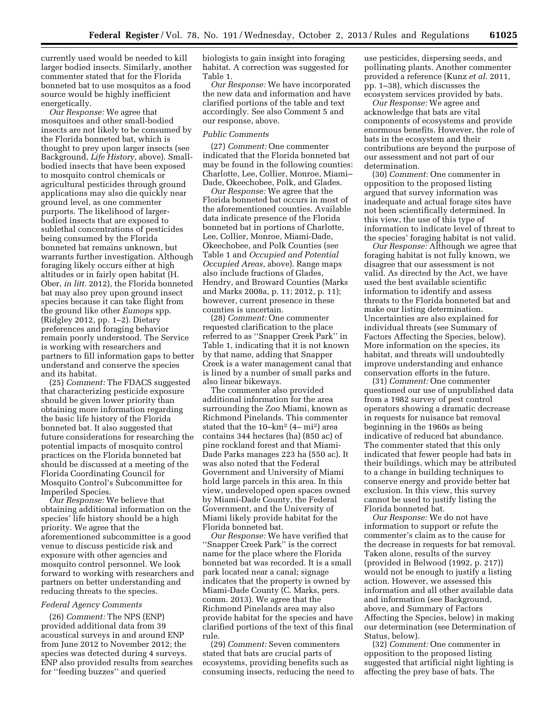currently used would be needed to kill larger bodied insects. Similarly, another commenter stated that for the Florida bonneted bat to use mosquitos as a food source would be highly inefficient energetically.

*Our Response:* We agree that mosquitoes and other small-bodied insects are not likely to be consumed by the Florida bonneted bat, which is thought to prey upon larger insects (see Background, *Life History,* above). Smallbodied insects that have been exposed to mosquito control chemicals or agricultural pesticides through ground applications may also die quickly near ground level, as one commenter purports. The likelihood of largerbodied insects that are exposed to sublethal concentrations of pesticides being consumed by the Florida bonneted bat remains unknown, but warrants further investigation. Although foraging likely occurs either at high altitudes or in fairly open habitat (H. Ober, *in litt.* 2012), the Florida bonneted bat may also prey upon ground insect species because it can take flight from the ground like other *Eumops* spp. (Ridgley 2012, pp. 1–2). Dietary preferences and foraging behavior remain poorly understood. The Service is working with researchers and partners to fill information gaps to better understand and conserve the species and its habitat.

(25) *Comment:* The FDACS suggested that characterizing pesticide exposure should be given lower priority than obtaining more information regarding the basic life history of the Florida bonneted bat. It also suggested that future considerations for researching the potential impacts of mosquito control practices on the Florida bonneted bat should be discussed at a meeting of the Florida Coordinating Council for Mosquito Control's Subcommittee for Imperiled Species.

*Our Response:* We believe that obtaining additional information on the species' life history should be a high priority. We agree that the aforementioned subcommittee is a good venue to discuss pesticide risk and exposure with other agencies and mosquito control personnel. We look forward to working with researchers and partners on better understanding and reducing threats to the species.

#### *Federal Agency Comments*

(26) *Comment:* The NPS (ENP) provided additional data from 39 acoustical surveys in and around ENP from June 2012 to November 2012; the species was detected during 4 surveys. ENP also provided results from searches for ''feeding buzzes'' and queried

biologists to gain insight into foraging habitat. A correction was suggested for Table 1.

*Our Response:* We have incorporated the new data and information and have clarified portions of the table and text accordingly. See also Comment 5 and our response, above.

#### *Public Comments*

(27) *Comment:* One commenter indicated that the Florida bonneted bat may be found in the following counties: Charlotte, Lee, Collier, Monroe, Miami– Dade, Okeechobee, Polk, and Glades.

*Our Response:* We agree that the Florida bonneted bat occurs in most of the aforementioned counties. Available data indicate presence of the Florida bonneted bat in portions of Charlotte, Lee, Collier, Monroe, Miami-Dade, Okeechobee, and Polk Counties (see Table 1 and *Occupied and Potential Occupied Areas,* above). Range maps also include fractions of Glades, Hendry, and Broward Counties (Marks and Marks 2008a, p. 11; 2012, p. 11); however, current presence in these counties is uncertain.

(28) *Comment:* One commenter requested clarification to the place referred to as ''Snapper Creek Park'' in Table 1, indicating that it is not known by that name, adding that Snapper Creek is a water management canal that is lined by a number of small parks and also linear bikeways.

The commenter also provided additional information for the area surrounding the Zoo Miami, known as Richmond Pinelands. This commenter stated that the 10–km2 (4– mi2) area contains 344 hectares (ha) (850 ac) of pine rockland forest and that Miami-Dade Parks manages 223 ha (550 ac). It was also noted that the Federal Government and University of Miami hold large parcels in this area. In this view, undeveloped open spaces owned by Miami-Dade County, the Federal Government, and the University of Miami likely provide habitat for the Florida bonneted bat.

*Our Response:* We have verified that ''Snapper Creek Park'' is the correct name for the place where the Florida bonneted bat was recorded. It is a small park located near a canal; signage indicates that the property is owned by Miami-Dade County (C. Marks, pers. comm. 2013). We agree that the Richmond Pinelands area may also provide habitat for the species and have clarified portions of the text of this final rule.

(29) *Comment:* Seven commenters stated that bats are crucial parts of ecosystems, providing benefits such as consuming insects, reducing the need to use pesticides, dispersing seeds, and pollinating plants. Another commenter provided a reference (Kunz *et al.* 2011, pp. 1–38), which discusses the ecosystem services provided by bats.

*Our Response:* We agree and acknowledge that bats are vital components of ecosystems and provide enormous benefits. However, the role of bats in the ecosystem and their contributions are beyond the purpose of our assessment and not part of our determination.

(30) *Comment:* One commenter in opposition to the proposed listing argued that survey information was inadequate and actual forage sites have not been scientifically determined. In this view, the use of this type of information to indicate level of threat to the species' foraging habitat is not valid.

*Our Response:* Although we agree that foraging habitat is not fully known, we disagree that our assessment is not valid. As directed by the Act, we have used the best available scientific information to identify and assess threats to the Florida bonneted bat and make our listing determination. Uncertainties are also explained for individual threats (see Summary of Factors Affecting the Species, below). More information on the species, its habitat, and threats will undoubtedly improve understanding and enhance conservation efforts in the future.

(31) *Comment:* One commenter questioned our use of unpublished data from a 1982 survey of pest control operators showing a dramatic decrease in requests for nuisance bat removal beginning in the 1960s as being indicative of reduced bat abundance. The commenter stated that this only indicated that fewer people had bats in their buildings, which may be attributed to a change in building techniques to conserve energy and provide better bat exclusion. In this view, this survey cannot be used to justify listing the Florida bonneted bat.

*Our Response:* We do not have information to support or refute the commenter's claim as to the cause for the decrease in requests for bat removal. Taken alone, results of the survey (provided in Belwood (1992, p. 217)) would not be enough to justify a listing action. However, we assessed this information and all other available data and information (see Background, above, and Summary of Factors Affecting the Species, below) in making our determination (see Determination of Status, below).

(32) *Comment:* One commenter in opposition to the proposed listing suggested that artificial night lighting is affecting the prey base of bats. The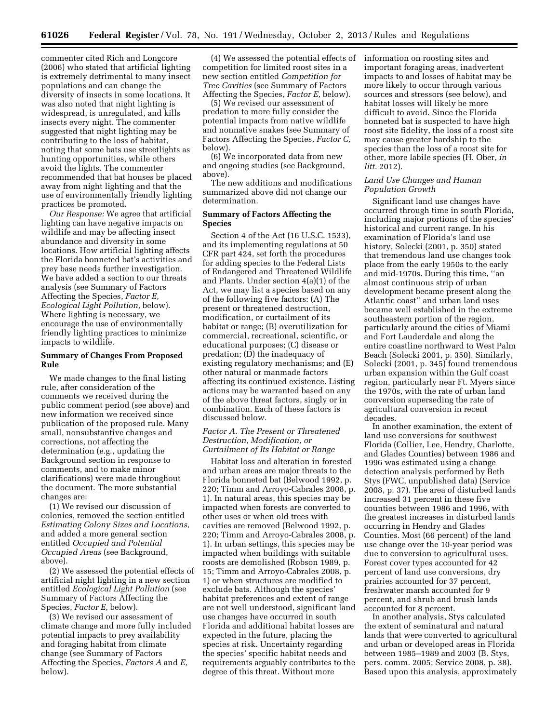commenter cited Rich and Longcore (2006) who stated that artificial lighting is extremely detrimental to many insect populations and can change the diversity of insects in some locations. It was also noted that night lighting is widespread, is unregulated, and kills insects every night. The commenter suggested that night lighting may be contributing to the loss of habitat, noting that some bats use streetlights as hunting opportunities, while others avoid the lights. The commenter recommended that bat houses be placed away from night lighting and that the use of environmentally friendly lighting practices be promoted.

*Our Response:* We agree that artificial lighting can have negative impacts on wildlife and may be affecting insect abundance and diversity in some locations. How artificial lighting affects the Florida bonneted bat's activities and prey base needs further investigation. We have added a section to our threats analysis (see Summary of Factors Affecting the Species, *Factor E, Ecological Light Pollution,* below). Where lighting is necessary, we encourage the use of environmentally friendly lighting practices to minimize impacts to wildlife.

# **Summary of Changes From Proposed Rule**

We made changes to the final listing rule, after consideration of the comments we received during the public comment period (see above) and new information we received since publication of the proposed rule. Many small, nonsubstantive changes and corrections, not affecting the determination (e.g., updating the Background section in response to comments, and to make minor clarifications) were made throughout the document. The more substantial changes are:

(1) We revised our discussion of colonies, removed the section entitled *Estimating Colony Sizes and Locations,*  and added a more general section entitled *Occupied and Potential Occupied Areas* (see Background, above).

(2) We assessed the potential effects of artificial night lighting in a new section entitled *Ecological Light Pollution* (see Summary of Factors Affecting the Species, *Factor E,* below).

(3) We revised our assessment of climate change and more fully included potential impacts to prey availability and foraging habitat from climate change (see Summary of Factors Affecting the Species, *Factors A* and *E,*  below).

(4) We assessed the potential effects of competition for limited roost sites in a new section entitled *Competition for Tree Cavities* (see Summary of Factors Affecting the Species, *Factor E,* below).

(5) We revised our assessment of predation to more fully consider the potential impacts from native wildlife and nonnative snakes (see Summary of Factors Affecting the Species, *Factor C,*  below).

(6) We incorporated data from new and ongoing studies (see Background, above).

The new additions and modifications summarized above did not change our determination.

# **Summary of Factors Affecting the Species**

Section 4 of the Act (16 U.S.C. 1533), and its implementing regulations at 50 CFR part 424, set forth the procedures for adding species to the Federal Lists of Endangered and Threatened Wildlife and Plants. Under section 4(a)(1) of the Act, we may list a species based on any of the following five factors: (A) The present or threatened destruction, modification, or curtailment of its habitat or range; (B) overutilization for commercial, recreational, scientific, or educational purposes; (C) disease or predation; (D) the inadequacy of existing regulatory mechanisms; and (E) other natural or manmade factors affecting its continued existence. Listing actions may be warranted based on any of the above threat factors, singly or in combination. Each of these factors is discussed below.

# *Factor A. The Present or Threatened Destruction, Modification, or Curtailment of Its Habitat or Range*

Habitat loss and alteration in forested and urban areas are major threats to the Florida bonneted bat (Belwood 1992, p. 220; Timm and Arroyo-Cabrales 2008, p. 1). In natural areas, this species may be impacted when forests are converted to other uses or when old trees with cavities are removed (Belwood 1992, p. 220; Timm and Arroyo-Cabrales 2008, p. 1). In urban settings, this species may be impacted when buildings with suitable roosts are demolished (Robson 1989, p. 15; Timm and Arroyo-Cabrales 2008, p. 1) or when structures are modified to exclude bats. Although the species' habitat preferences and extent of range are not well understood, significant land use changes have occurred in south Florida and additional habitat losses are expected in the future, placing the species at risk. Uncertainty regarding the species' specific habitat needs and requirements arguably contributes to the degree of this threat. Without more

information on roosting sites and important foraging areas, inadvertent impacts to and losses of habitat may be more likely to occur through various sources and stressors (see below), and habitat losses will likely be more difficult to avoid. Since the Florida bonneted bat is suspected to have high roost site fidelity, the loss of a roost site may cause greater hardship to the species than the loss of a roost site for other, more labile species (H. Ober, *in litt.* 2012).

# *Land Use Changes and Human Population Growth*

Significant land use changes have occurred through time in south Florida, including major portions of the species' historical and current range. In his examination of Florida's land use history, Solecki (2001, p. 350) stated that tremendous land use changes took place from the early 1950s to the early and mid-1970s. During this time, ''an almost continuous strip of urban development became present along the Atlantic coast'' and urban land uses became well established in the extreme southeastern portion of the region, particularly around the cities of Miami and Fort Lauderdale and along the entire coastline northward to West Palm Beach (Solecki 2001, p. 350). Similarly, Solecki (2001, p. 345) found tremendous urban expansion within the Gulf coast region, particularly near Ft. Myers since the 1970s, with the rate of urban land conversion superseding the rate of agricultural conversion in recent decades.

In another examination, the extent of land use conversions for southwest Florida (Collier, Lee, Hendry, Charlotte, and Glades Counties) between 1986 and 1996 was estimated using a change detection analysis performed by Beth Stys (FWC, unpublished data) (Service 2008, p. 37). The area of disturbed lands increased 31 percent in these five counties between 1986 and 1996, with the greatest increases in disturbed lands occurring in Hendry and Glades Counties. Most (66 percent) of the land use change over the 10-year period was due to conversion to agricultural uses. Forest cover types accounted for 42 percent of land use conversions, dry prairies accounted for 37 percent, freshwater marsh accounted for 9 percent, and shrub and brush lands accounted for 8 percent.

In another analysis, Stys calculated the extent of seminatural and natural lands that were converted to agricultural and urban or developed areas in Florida between 1985–1989 and 2003 (B. Stys, pers. comm. 2005; Service 2008, p. 38). Based upon this analysis, approximately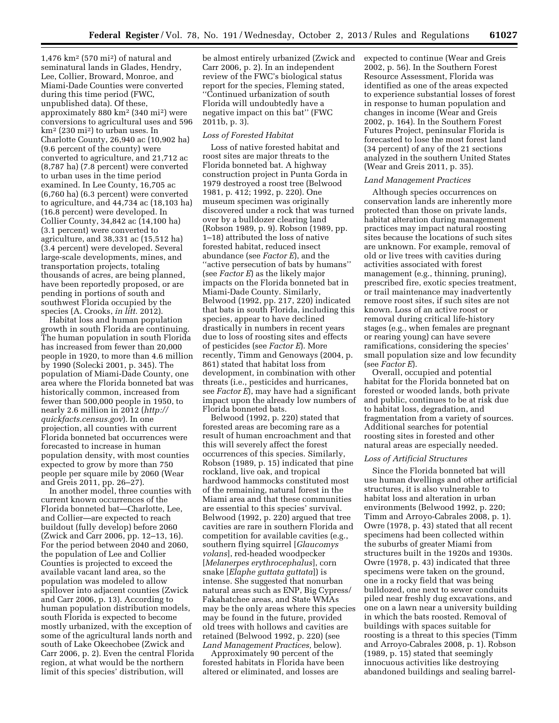1,476  $km^2$  (570 mi<sup>2</sup>) of natural and seminatural lands in Glades, Hendry, Lee, Collier, Broward, Monroe, and Miami-Dade Counties were converted during this time period (FWC, unpublished data). Of these, approximately 880 km2 (340 mi2) were conversions to agricultural uses and 596 km2 (230 mi2) to urban uses. In Charlotte County, 26,940 ac (10,902 ha) (9.6 percent of the county) were converted to agriculture, and 21,712 ac (8,787 ha) (7.8 percent) were converted to urban uses in the time period examined. In Lee County, 16,705 ac (6,760 ha) (6.3 percent) were converted to agriculture, and 44,734 ac (18,103 ha) (16.8 percent) were developed. In Collier County, 34,842 ac (14,100 ha) (3.1 percent) were converted to agriculture, and 38,331 ac (15,512 ha) (3.4 percent) were developed. Several large-scale developments, mines, and transportation projects, totaling thousands of acres, are being planned, have been reportedly proposed, or are pending in portions of south and southwest Florida occupied by the species (A. Crooks, *in litt.* 2012).

Habitat loss and human population growth in south Florida are continuing. The human population in south Florida has increased from fewer than 20,000 people in 1920, to more than 4.6 million by 1990 (Solecki 2001, p. 345). The population of Miami-Dade County, one area where the Florida bonneted bat was historically common, increased from fewer than 500,000 people in 1950, to nearly 2.6 million in 2012 (*[http://](http://quickfacts.census.gov) [quickfacts.census.gov](http://quickfacts.census.gov)*). In one projection, all counties with current Florida bonneted bat occurrences were forecasted to increase in human population density, with most counties expected to grow by more than 750 people per square mile by 2060 (Wear and Greis 2011, pp. 26–27).

In another model, three counties with current known occurrences of the Florida bonneted bat—Charlotte, Lee, and Collier—are expected to reach buildout (fully develop) before 2060 (Zwick and Carr 2006, pp. 12–13, 16). For the period between 2040 and 2060, the population of Lee and Collier Counties is projected to exceed the available vacant land area, so the population was modeled to allow spillover into adjacent counties (Zwick and Carr 2006, p. 13). According to human population distribution models, south Florida is expected to become mostly urbanized, with the exception of some of the agricultural lands north and south of Lake Okeechobee (Zwick and Carr 2006, p. 2). Even the central Florida region, at what would be the northern limit of this species' distribution, will

be almost entirely urbanized (Zwick and Carr 2006, p. 2). In an independent review of the FWC's biological status report for the species, Fleming stated, ''Continued urbanization of south Florida will undoubtedly have a negative impact on this bat'' (FWC 2011b, p. 3).

#### *Loss of Forested Habitat*

Loss of native forested habitat and roost sites are major threats to the Florida bonneted bat. A highway construction project in Punta Gorda in 1979 destroyed a roost tree (Belwood 1981, p. 412; 1992, p. 220). One museum specimen was originally discovered under a rock that was turned over by a bulldozer clearing land (Robson 1989, p. 9). Robson (1989, pp. 1–18) attributed the loss of native forested habitat, reduced insect abundance (see *Factor E*), and the ''active persecution of bats by humans'' (see *Factor E*) as the likely major impacts on the Florida bonneted bat in Miami-Dade County. Similarly, Belwood (1992, pp. 217, 220) indicated that bats in south Florida, including this species, appear to have declined drastically in numbers in recent years due to loss of roosting sites and effects of pesticides (see *Factor E*). More recently, Timm and Genoways (2004, p. 861) stated that habitat loss from development, in combination with other threats (i.e., pesticides and hurricanes, see *Factor E*), may have had a significant impact upon the already low numbers of Florida bonneted bats.

Belwood (1992, p. 220) stated that forested areas are becoming rare as a result of human encroachment and that this will severely affect the forest occurrences of this species. Similarly, Robson (1989, p. 15) indicated that pine rockland, live oak, and tropical hardwood hammocks constituted most of the remaining, natural forest in the Miami area and that these communities are essential to this species' survival. Belwood (1992, p. 220) argued that tree cavities are rare in southern Florida and competition for available cavities (e.g., southern flying squirrel [*Glaucomys volans*], red-headed woodpecker [*Melanerpes erythrocephalus*], corn snake [*Elaphe guttata guttata*]) is intense. She suggested that nonurban natural areas such as ENP, Big Cypress/ Fakahatchee areas, and State WMAs may be the only areas where this species may be found in the future, provided old trees with hollows and cavities are retained (Belwood 1992, p. 220) (see *Land Management Practices,* below).

Approximately 90 percent of the forested habitats in Florida have been altered or eliminated, and losses are

expected to continue (Wear and Greis 2002, p. 56). In the Southern Forest Resource Assessment, Florida was identified as one of the areas expected to experience substantial losses of forest in response to human population and changes in income (Wear and Greis 2002, p. 164). In the Southern Forest Futures Project, peninsular Florida is forecasted to lose the most forest land (34 percent) of any of the 21 sections analyzed in the southern United States (Wear and Greis 2011, p. 35).

#### *Land Management Practices*

Although species occurrences on conservation lands are inherently more protected than those on private lands, habitat alteration during management practices may impact natural roosting sites because the locations of such sites are unknown. For example, removal of old or live trees with cavities during activities associated with forest management (e.g., thinning, pruning), prescribed fire, exotic species treatment, or trail maintenance may inadvertently remove roost sites, if such sites are not known. Loss of an active roost or removal during critical life-history stages (e.g., when females are pregnant or rearing young) can have severe ramifications, considering the species' small population size and low fecundity (see *Factor E*).

Overall, occupied and potential habitat for the Florida bonneted bat on forested or wooded lands, both private and public, continues to be at risk due to habitat loss, degradation, and fragmentation from a variety of sources. Additional searches for potential roosting sites in forested and other natural areas are especially needed.

#### *Loss of Artificial Structures*

Since the Florida bonneted bat will use human dwellings and other artificial structures, it is also vulnerable to habitat loss and alteration in urban environments (Belwood 1992, p. 220; Timm and Arroyo-Cabrales 2008, p. 1). Owre (1978, p. 43) stated that all recent specimens had been collected within the suburbs of greater Miami from structures built in the 1920s and 1930s. Owre (1978, p. 43) indicated that three specimens were taken on the ground, one in a rocky field that was being bulldozed, one next to sewer conduits piled near freshly dug excavations, and one on a lawn near a university building in which the bats roosted. Removal of buildings with spaces suitable for roosting is a threat to this species (Timm and Arroyo-Cabrales 2008, p. 1). Robson (1989, p. 15) stated that seemingly innocuous activities like destroying abandoned buildings and sealing barrel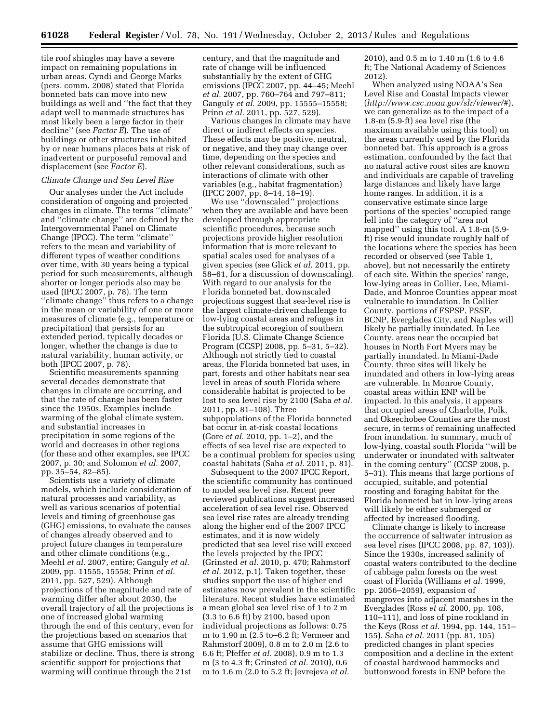tile roof shingles may have a severe impact on remaining populations in urban areas. Cyndi and George Marks (pers. comm. 2008) stated that Florida bonneted bats can move into new buildings as well and ''the fact that they adapt well to manmade structures has most likely been a large factor in their decline'' (see *Factor E*). The use of buildings or other structures inhabited by or near humans places bats at risk of inadvertent or purposeful removal and displacement (see *Factor E*).

#### *Climate Change and Sea Level Rise*

Our analyses under the Act include consideration of ongoing and projected changes in climate. The terms ''climate'' and ''climate change'' are defined by the Intergovernmental Panel on Climate Change (IPCC). The term ''climate'' refers to the mean and variability of different types of weather conditions over time, with 30 years being a typical period for such measurements, although shorter or longer periods also may be used (IPCC 2007, p. 78). The term ''climate change'' thus refers to a change in the mean or variability of one or more measures of climate (e.g., temperature or precipitation) that persists for an extended period, typically decades or longer, whether the change is due to natural variability, human activity, or both (IPCC 2007, p. 78).

Scientific measurements spanning several decades demonstrate that changes in climate are occurring, and that the rate of change has been faster since the 1950s. Examples include warming of the global climate system, and substantial increases in precipitation in some regions of the world and decreases in other regions (for these and other examples, see IPCC 2007, p. 30; and Solomon *et al.* 2007, pp. 35–54, 82–85).

Scientists use a variety of climate models, which include consideration of natural processes and variability, as well as various scenarios of potential levels and timing of greenhouse gas (GHG) emissions, to evaluate the causes of changes already observed and to project future changes in temperature and other climate conditions (e.g., Meehl *et al.* 2007, entire; Ganguly *et al.*  2009, pp. 11555, 15558; Prinn *et al.*  2011, pp. 527, 529). Although projections of the magnitude and rate of warming differ after about 2030, the overall trajectory of all the projections is one of increased global warming through the end of this century, even for the projections based on scenarios that assume that GHG emissions will stabilize or decline. Thus, there is strong scientific support for projections that warming will continue through the 21st

century, and that the magnitude and rate of change will be influenced substantially by the extent of GHG emissions (IPCC 2007, pp. 44–45; Meehl *et al.* 2007, pp. 760–764 and 797–811; Ganguly *et al.* 2009, pp. 15555–15558; Prinn *et al.* 2011, pp. 527, 529).

Various changes in climate may have direct or indirect effects on species. These effects may be positive, neutral, or negative, and they may change over time, depending on the species and other relevant considerations, such as interactions of climate with other variables (e.g., habitat fragmentation) (IPCC 2007, pp. 8–14, 18–19).

We use ''downscaled'' projections when they are available and have been developed through appropriate scientific procedures, because such projections provide higher resolution information that is more relevant to spatial scales used for analyses of a given species (see Glick *et al.* 2011, pp. 58–61, for a discussion of downscaling). With regard to our analysis for the Florida bonneted bat, downscaled projections suggest that sea-level rise is the largest climate-driven challenge to low-lying coastal areas and refuges in the subtropical ecoregion of southern Florida (U.S. Climate Change Science Program (CCSP) 2008, pp. 5–31, 5–32). Although not strictly tied to coastal areas, the Florida bonneted bat uses, in part, forests and other habitats near sea level in areas of south Florida where considerable habitat is projected to be lost to sea level rise by 2100 (Saha *et al.*  2011, pp. 81–108). Three subpopulations of the Florida bonneted bat occur in at-risk coastal locations (Gore *et al.* 2010, pp. 1–2), and the effects of sea level rise are expected to be a continual problem for species using coastal habitats (Saha *et al.* 2011, p. 81).

Subsequent to the 2007 IPCC Report, the scientific community has continued to model sea level rise. Recent peer reviewed publications suggest increased acceleration of sea level rise. Observed sea level rise rates are already trending along the higher end of the 2007 IPCC estimates, and it is now widely predicted that sea level rise will exceed the levels projected by the IPCC (Grinsted *et al.* 2010, p. 470; Rahmstorf *et al.* 2012, p.1). Taken together, these studies support the use of higher end estimates now prevalent in the scientific literature. Recent studies have estimated a mean global sea level rise of 1 to 2 m (3.3 to 6.6 ft) by 2100, based upon individual projections as follows: 0.75 m to 1.90 m (2.5 to–6.2 ft; Vermeer and Rahmstorf 2009), 0.8 m to 2.0 m (2.6 to 6.6 ft; Pfeffer *et al.* 2008), 0.9 m to 1.3 m (3 to 4.3 ft; Grinsted *et al.* 2010), 0.6 m to 1.6 m (2.0 to 5.2 ft; Jevrejeva *et al.* 

2010), and 0.5 m to 1.40 m (1.6 to 4.6 ft; The National Academy of Sciences 2012).

When analyzed using NOAA's Sea Level Rise and Coastal Impacts viewer (*<http://www.csc.noaa.gov/slr/viewer/#>*), we can generalize as to the impact of a 1.8-m (5.9-ft) sea level rise (the maximum available using this tool) on the areas currently used by the Florida bonneted bat. This approach is a gross estimation, confounded by the fact that no natural active roost sites are known and individuals are capable of traveling large distances and likely have large home ranges. In addition, it is a conservative estimate since large portions of the species' occupied range fell into the category of ''area not mapped'' using this tool. A 1.8-m (5.9 ft) rise would inundate roughly half of the locations where the species has been recorded or observed (see Table 1, above), but not necessarily the entirety of each site. Within the species' range, low-lying areas in Collier, Lee, Miami-Dade, and Monroe Counties appear most vulnerable to inundation. In Collier County, portions of FSPSP, PSSF, BCNP, Everglades City, and Naples will likely be partially inundated. In Lee County, areas near the occupied bat houses in North Fort Myers may be partially inundated. In Miami-Dade County, three sites will likely be inundated and others in low-lying areas are vulnerable. In Monroe County, coastal areas within ENP will be impacted. In this analysis, it appears that occupied areas of Charlotte, Polk, and Okeechobee Counties are the most secure, in terms of remaining unaffected from inundation. In summary, much of low-lying, coastal south Florida ''will be underwater or inundated with saltwater in the coming century'' (CCSP 2008, p. 5–31). This means that large portions of occupied, suitable, and potential roosting and foraging habitat for the Florida bonneted bat in low-lying areas will likely be either submerged or affected by increased flooding.

Climate change is likely to increase the occurrence of saltwater intrusion as sea level rises (IPCC 2008, pp. 87, 103)). Since the 1930s, increased salinity of coastal waters contributed to the decline of cabbage palm forests on the west coast of Florida (Williams *et al.* 1999, pp. 2056–2059), expansion of mangroves into adjacent marshes in the Everglades (Ross *et al.* 2000, pp. 108, 110–111), and loss of pine rockland in the Keys (Ross *et al.* 1994, pp. 144, 151– 155). Saha *et al.* 2011 (pp. 81, 105) predicted changes in plant species composition and a decline in the extent of coastal hardwood hammocks and buttonwood forests in ENP before the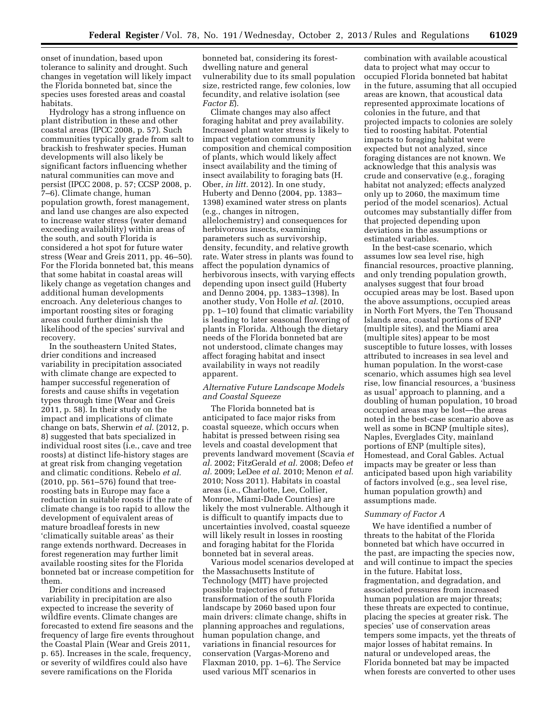onset of inundation, based upon tolerance to salinity and drought. Such changes in vegetation will likely impact the Florida bonneted bat, since the species uses forested areas and coastal habitats.

Hydrology has a strong influence on plant distribution in these and other coastal areas (IPCC 2008, p. 57). Such communities typically grade from salt to brackish to freshwater species. Human developments will also likely be significant factors influencing whether natural communities can move and persist (IPCC 2008, p. 57; CCSP 2008, p. 7–6). Climate change, human population growth, forest management, and land use changes are also expected to increase water stress (water demand exceeding availability) within areas of the south, and south Florida is considered a hot spot for future water stress (Wear and Greis 2011, pp. 46–50). For the Florida bonneted bat, this means that some habitat in coastal areas will likely change as vegetation changes and additional human developments encroach. Any deleterious changes to important roosting sites or foraging areas could further diminish the likelihood of the species' survival and recovery.

In the southeastern United States, drier conditions and increased variability in precipitation associated with climate change are expected to hamper successful regeneration of forests and cause shifts in vegetation types through time (Wear and Greis 2011, p. 58). In their study on the impact and implications of climate change on bats, Sherwin *et al.* (2012, p. 8) suggested that bats specialized in individual roost sites (i.e., cave and tree roosts) at distinct life-history stages are at great risk from changing vegetation and climatic conditions. Rebelo *et al.*  (2010, pp. 561–576) found that treeroosting bats in Europe may face a reduction in suitable roosts if the rate of climate change is too rapid to allow the development of equivalent areas of mature broadleaf forests in new 'climatically suitable areas' as their range extends northward. Decreases in forest regeneration may further limit available roosting sites for the Florida bonneted bat or increase competition for them.

Drier conditions and increased variability in precipitation are also expected to increase the severity of wildfire events. Climate changes are forecasted to extend fire seasons and the frequency of large fire events throughout the Coastal Plain (Wear and Greis 2011, p. 65). Increases in the scale, frequency, or severity of wildfires could also have severe ramifications on the Florida

bonneted bat, considering its forestdwelling nature and general vulnerability due to its small population size, restricted range, few colonies, low fecundity, and relative isolation (see *Factor E*).

Climate changes may also affect foraging habitat and prey availability. Increased plant water stress is likely to impact vegetation community composition and chemical composition of plants, which would likely affect insect availability and the timing of insect availability to foraging bats (H. Ober, *in litt.* 2012). In one study, Huberty and Denno (2004, pp. 1383– 1398) examined water stress on plants (e.g., changes in nitrogen, allelochemistry) and consequences for herbivorous insects, examining parameters such as survivorship, density, fecundity, and relative growth rate. Water stress in plants was found to affect the population dynamics of herbivorous insects, with varying effects depending upon insect guild (Huberty and Denno 2004, pp. 1383–1398). In another study, Von Holle *et al.* (2010, pp. 1–10) found that climatic variability is leading to later seasonal flowering of plants in Florida. Although the dietary needs of the Florida bonneted bat are not understood, climate changes may affect foraging habitat and insect availability in ways not readily apparent.

# *Alternative Future Landscape Models and Coastal Squeeze*

The Florida bonneted bat is anticipated to face major risks from coastal squeeze, which occurs when habitat is pressed between rising sea levels and coastal development that prevents landward movement (Scavia *et al.* 2002; FitzGerald *et al.* 2008; Defeo *et al.* 2009; LeDee *et al.* 2010; Menon *et al.*  2010; Noss 2011). Habitats in coastal areas (i.e., Charlotte, Lee, Collier, Monroe, Miami-Dade Counties) are likely the most vulnerable. Although it is difficult to quantify impacts due to uncertainties involved, coastal squeeze will likely result in losses in roosting and foraging habitat for the Florida bonneted bat in several areas.

Various model scenarios developed at the Massachusetts Institute of Technology (MIT) have projected possible trajectories of future transformation of the south Florida landscape by 2060 based upon four main drivers: climate change, shifts in planning approaches and regulations, human population change, and variations in financial resources for conservation (Vargas-Moreno and Flaxman 2010, pp. 1–6). The Service used various MIT scenarios in

combination with available acoustical data to project what may occur to occupied Florida bonneted bat habitat in the future, assuming that all occupied areas are known, that acoustical data represented approximate locations of colonies in the future, and that projected impacts to colonies are solely tied to roosting habitat. Potential impacts to foraging habitat were expected but not analyzed, since foraging distances are not known. We acknowledge that this analysis was crude and conservative (e.g., foraging habitat not analyzed; effects analyzed only up to 2060, the maximum time period of the model scenarios). Actual outcomes may substantially differ from that projected depending upon deviations in the assumptions or estimated variables.

In the best-case scenario, which assumes low sea level rise, high financial resources, proactive planning, and only trending population growth, analyses suggest that four broad occupied areas may be lost. Based upon the above assumptions, occupied areas in North Fort Myers, the Ten Thousand Islands area, coastal portions of ENP (multiple sites), and the Miami area (multiple sites) appear to be most susceptible to future losses, with losses attributed to increases in sea level and human population. In the worst-case scenario, which assumes high sea level rise, low financial resources, a 'business as usual' approach to planning, and a doubling of human population, 10 broad occupied areas may be lost—the areas noted in the best-case scenario above as well as some in BCNP (multiple sites), Naples, Everglades City, mainland portions of ENP (multiple sites), Homestead, and Coral Gables. Actual impacts may be greater or less than anticipated based upon high variability of factors involved (e.g., sea level rise, human population growth) and assumptions made.

#### *Summary of Factor A*

We have identified a number of threats to the habitat of the Florida bonneted bat which have occurred in the past, are impacting the species now, and will continue to impact the species in the future. Habitat loss, fragmentation, and degradation, and associated pressures from increased human population are major threats; these threats are expected to continue, placing the species at greater risk. The species' use of conservation areas tempers some impacts, yet the threats of major losses of habitat remains. In natural or undeveloped areas, the Florida bonneted bat may be impacted when forests are converted to other uses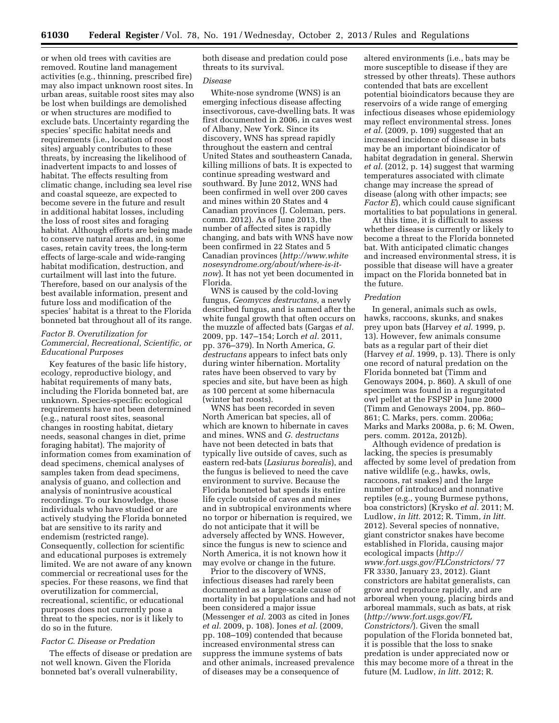or when old trees with cavities are removed. Routine land management activities (e.g., thinning, prescribed fire) may also impact unknown roost sites. In urban areas, suitable roost sites may also be lost when buildings are demolished or when structures are modified to exclude bats. Uncertainty regarding the species' specific habitat needs and requirements (i.e., location of roost sites) arguably contributes to these threats, by increasing the likelihood of inadvertent impacts to and losses of habitat. The effects resulting from climatic change, including sea level rise and coastal squeeze, are expected to become severe in the future and result in additional habitat losses, including the loss of roost sites and foraging habitat. Although efforts are being made to conserve natural areas and, in some cases, retain cavity trees, the long-term effects of large-scale and wide-ranging habitat modification, destruction, and curtailment will last into the future. Therefore, based on our analysis of the best available information, present and future loss and modification of the species' habitat is a threat to the Florida bonneted bat throughout all of its range.

# *Factor B. Overutilization for Commercial, Recreational, Scientific, or Educational Purposes*

Key features of the basic life history, ecology, reproductive biology, and habitat requirements of many bats, including the Florida bonneted bat, are unknown. Species-specific ecological requirements have not been determined (e.g., natural roost sites, seasonal changes in roosting habitat, dietary needs, seasonal changes in diet, prime foraging habitat). The majority of information comes from examination of dead specimens, chemical analyses of samples taken from dead specimens, analysis of guano, and collection and analysis of nonintrusive acoustical recordings. To our knowledge, those individuals who have studied or are actively studying the Florida bonneted bat are sensitive to its rarity and endemism (restricted range). Consequently, collection for scientific and educational purposes is extremely limited. We are not aware of any known commercial or recreational uses for the species. For these reasons, we find that overutilization for commercial, recreational, scientific, or educational purposes does not currently pose a threat to the species, nor is it likely to do so in the future.

# *Factor C. Disease or Predation*

The effects of disease or predation are not well known. Given the Florida bonneted bat's overall vulnerability,

both disease and predation could pose threats to its survival.

# *Disease*

White-nose syndrome (WNS) is an emerging infectious disease affecting insectivorous, cave-dwelling bats. It was first documented in 2006, in caves west of Albany, New York. Since its discovery, WNS has spread rapidly throughout the eastern and central United States and southeastern Canada, killing millions of bats. It is expected to continue spreading westward and southward. By June 2012, WNS had been confirmed in well over 200 caves and mines within 20 States and 4 Canadian provinces (J. Coleman, pers. comm. 2012). As of June 2013, the number of affected sites is rapidly changing, and bats with WNS have now been confirmed in 22 States and 5 Canadian provinces (*[http://www.white](http://www.whitenosesyndrome.org/about/where-is-it-now) [nosesyndrome.org/about/where-is-it](http://www.whitenosesyndrome.org/about/where-is-it-now)[now](http://www.whitenosesyndrome.org/about/where-is-it-now)*). It has not yet been documented in Florida.

WNS is caused by the cold-loving fungus, *Geomyces destructans,* a newly described fungus, and is named after the white fungal growth that often occurs on the muzzle of affected bats (Gargas *et al.*  2009, pp. 147–154; Lorch *et al.* 2011, pp. 376–379). In North America, *G. destructans* appears to infect bats only during winter hibernation. Mortality rates have been observed to vary by species and site, but have been as high as 100 percent at some hibernacula (winter bat roosts).

WNS has been recorded in seven North American bat species, all of which are known to hibernate in caves and mines. WNS and *G. destructans*  have not been detected in bats that typically live outside of caves, such as eastern red-bats (*Lasiurus borealis*), and the fungus is believed to need the cave environment to survive. Because the Florida bonneted bat spends its entire life cycle outside of caves and mines and in subtropical environments where no torpor or hibernation is required, we do not anticipate that it will be adversely affected by WNS. However, since the fungus is new to science and North America, it is not known how it may evolve or change in the future.

Prior to the discovery of WNS, infectious diseases had rarely been documented as a large-scale cause of mortality in bat populations and had not been considered a major issue (Messenger *et al.* 2003 as cited in Jones *et al.* 2009, p. 108). Jones *et al.* (2009, pp. 108–109) contended that because increased environmental stress can suppress the immune systems of bats and other animals, increased prevalence of diseases may be a consequence of

altered environments (i.e., bats may be more susceptible to disease if they are stressed by other threats). These authors contended that bats are excellent potential bioindicators because they are reservoirs of a wide range of emerging infectious diseases whose epidemiology may reflect environmental stress. Jones *et al.* (2009, p. 109) suggested that an increased incidence of disease in bats may be an important bioindicator of habitat degradation in general. Sherwin *et al.* (2012, p. 14) suggest that warming temperatures associated with climate change may increase the spread of disease (along with other impacts; see *Factor E*), which could cause significant mortalities to bat populations in general.

At this time, it is difficult to assess whether disease is currently or likely to become a threat to the Florida bonneted bat. With anticipated climatic changes and increased environmental stress, it is possible that disease will have a greater impact on the Florida bonneted bat in the future.

#### *Predation*

In general, animals such as owls, hawks, raccoons, skunks, and snakes prey upon bats (Harvey *et al.* 1999, p. 13). However, few animals consume bats as a regular part of their diet (Harvey *et al.* 1999, p. 13). There is only one record of natural predation on the Florida bonneted bat (Timm and Genoways 2004, p. 860). A skull of one specimen was found in a regurgitated owl pellet at the FSPSP in June 2000 (Timm and Genoways 2004, pp. 860– 861; C. Marks, pers. comm. 2006a; Marks and Marks 2008a, p. 6; M. Owen, pers. comm. 2012a, 2012b).

Although evidence of predation is lacking, the species is presumably affected by some level of predation from native wildlife (e.g., hawks, owls, raccoons, rat snakes) and the large number of introduced and nonnative reptiles (e.g., young Burmese pythons, boa constrictors) (Krysko *et al.* 2011; M. Ludlow, *in litt.* 2012; R. Timm, *in litt.*  2012). Several species of nonnative, giant constrictor snakes have become established in Florida, causing major ecological impacts (*[http://](http://www.fort.usgs.gov/FLConstrictors/) [www.fort.usgs.gov/FLConstrictors/](http://www.fort.usgs.gov/FLConstrictors/)* 77 FR 3330, January 23, 2012). Giant constrictors are habitat generalists, can grow and reproduce rapidly, and are arboreal when young, placing birds and arboreal mammals, such as bats, at risk (*[http://www.fort.usgs.gov/FL](http://www.fort.usgs.gov/FLConstrictors/) [Constrictors/](http://www.fort.usgs.gov/FLConstrictors/)*). Given the small population of the Florida bonneted bat, it is possible that the loss to snake predation is under appreciated now or this may become more of a threat in the future (M. Ludlow, *in litt.* 2012; R.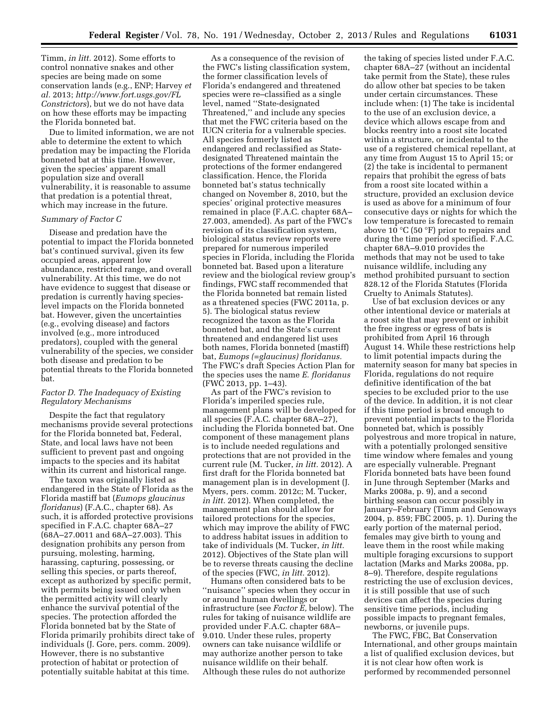Timm, *in litt.* 2012). Some efforts to control nonnative snakes and other species are being made on some conservation lands (e.g., ENP; Harvey *et al.* 2013; *[http://www.fort.usgs.gov/FL](http://www.fort.usgs.gov/FLConstrictors) [Constrictors](http://www.fort.usgs.gov/FLConstrictors)*), but we do not have data on how these efforts may be impacting the Florida bonneted bat.

Due to limited information, we are not able to determine the extent to which predation may be impacting the Florida bonneted bat at this time. However, given the species' apparent small population size and overall vulnerability, it is reasonable to assume that predation is a potential threat, which may increase in the future.

#### *Summary of Factor C*

Disease and predation have the potential to impact the Florida bonneted bat's continued survival, given its few occupied areas, apparent low abundance, restricted range, and overall vulnerability. At this time, we do not have evidence to suggest that disease or predation is currently having specieslevel impacts on the Florida bonneted bat. However, given the uncertainties (e.g., evolving disease) and factors involved (e.g., more introduced predators), coupled with the general vulnerability of the species, we consider both disease and predation to be potential threats to the Florida bonneted bat.

# *Factor D. The Inadequacy of Existing Regulatory Mechanisms*

Despite the fact that regulatory mechanisms provide several protections for the Florida bonneted bat, Federal, State, and local laws have not been sufficient to prevent past and ongoing impacts to the species and its habitat within its current and historical range.

The taxon was originally listed as endangered in the State of Florida as the Florida mastiff bat (*Eumops glaucinus floridanus*) (F.A.C., chapter 68). As such, it is afforded protective provisions specified in F.A.C. chapter 68A–27 (68A–27.0011 and 68A–27.003). This designation prohibits any person from pursuing, molesting, harming, harassing, capturing, possessing, or selling this species, or parts thereof, except as authorized by specific permit, with permits being issued only when the permitted activity will clearly enhance the survival potential of the species. The protection afforded the Florida bonneted bat by the State of Florida primarily prohibits direct take of individuals (J. Gore, pers. comm. 2009). However, there is no substantive protection of habitat or protection of potentially suitable habitat at this time.

As a consequence of the revision of the FWC's listing classification system, the former classification levels of Florida's endangered and threatened species were re–classified as a single level, named ''State-designated Threatened,'' and include any species that met the FWC criteria based on the IUCN criteria for a vulnerable species. All species formerly listed as endangered and reclassified as Statedesignated Threatened maintain the protections of the former endangered classification. Hence, the Florida bonneted bat's status technically changed on November 8, 2010, but the species' original protective measures remained in place (F.A.C. chapter 68A– 27.003, amended). As part of the FWC's revision of its classification system, biological status review reports were prepared for numerous imperiled species in Florida, including the Florida bonneted bat. Based upon a literature review and the biological review group's findings, FWC staff recommended that the Florida bonneted bat remain listed as a threatened species (FWC 2011a, p. 5). The biological status review recognized the taxon as the Florida bonneted bat, and the State's current threatened and endangered list uses both names, Florida bonneted (mastiff) bat, *Eumops (=glaucinus) floridanus.*  The FWC's draft Species Action Plan for the species uses the name *E. floridanus*  (FWC 2013, pp. 1–43).

As part of the FWC's revision to Florida's imperiled species rule, management plans will be developed for all species (F.A.C. chapter 68A–27), including the Florida bonneted bat. One component of these management plans is to include needed regulations and protections that are not provided in the current rule (M. Tucker, *in litt.* 2012). A first draft for the Florida bonneted bat management plan is in development (J. Myers, pers. comm. 2012c; M. Tucker, *in litt.* 2012). When completed, the management plan should allow for tailored protections for the species, which may improve the ability of FWC to address habitat issues in addition to take of individuals (M. Tucker, *in litt.*  2012). Objectives of the State plan will be to reverse threats causing the decline of the species (FWC, *in litt.* 2012).

Humans often considered bats to be ''nuisance'' species when they occur in or around human dwellings or infrastructure (see *Factor E,* below). The rules for taking of nuisance wildlife are provided under F.A.C. chapter 68A– 9.010. Under these rules, property owners can take nuisance wildlife or may authorize another person to take nuisance wildlife on their behalf. Although these rules do not authorize

the taking of species listed under F.A.C. chapter 68A–27 (without an incidental take permit from the State), these rules do allow other bat species to be taken under certain circumstances. These include when: (1) The take is incidental to the use of an exclusion device, a device which allows escape from and blocks reentry into a roost site located within a structure, or incidental to the use of a registered chemical repellant, at any time from August 15 to April 15; or (2) the take is incidental to permanent repairs that prohibit the egress of bats from a roost site located within a structure, provided an exclusion device is used as above for a minimum of four consecutive days or nights for which the low temperature is forecasted to remain above 10  $\mathrm{^{\circ}C}$  (50  $\mathrm{^{\circ}F}$ ) prior to repairs and during the time period specified. F.A.C. chapter 68A–9.010 provides the methods that may not be used to take nuisance wildlife, including any method prohibited pursuant to section 828.12 of the Florida Statutes (Florida Cruelty to Animals Statutes).

Use of bat exclusion devices or any other intentional device or materials at a roost site that may prevent or inhibit the free ingress or egress of bats is prohibited from April 16 through August 14. While these restrictions help to limit potential impacts during the maternity season for many bat species in Florida, regulations do not require definitive identification of the bat species to be excluded prior to the use of the device. In addition, it is not clear if this time period is broad enough to prevent potential impacts to the Florida bonneted bat, which is possibly polyestrous and more tropical in nature, with a potentially prolonged sensitive time window where females and young are especially vulnerable. Pregnant Florida bonneted bats have been found in June through September (Marks and Marks 2008a, p. 9), and a second birthing season can occur possibly in January–February (Timm and Genoways 2004, p. 859; FBC 2005, p. 1). During the early portion of the maternal period, females may give birth to young and leave them in the roost while making multiple foraging excursions to support lactation (Marks and Marks 2008a, pp. 8–9). Therefore, despite regulations restricting the use of exclusion devices, it is still possible that use of such devices can affect the species during sensitive time periods, including possible impacts to pregnant females, newborns, or juvenile pups.

The FWC, FBC, Bat Conservation International, and other groups maintain a list of qualified exclusion devices, but it is not clear how often work is performed by recommended personnel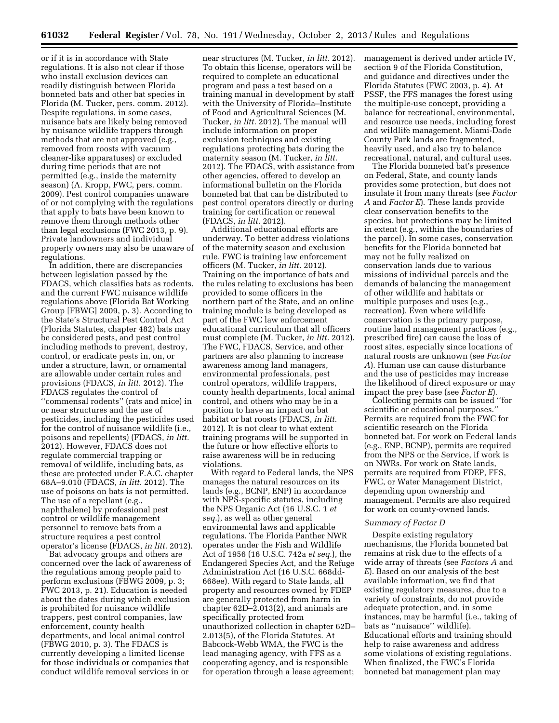or if it is in accordance with State regulations. It is also not clear if those who install exclusion devices can readily distinguish between Florida bonneted bats and other bat species in Florida (M. Tucker, pers. comm. 2012). Despite regulations, in some cases, nuisance bats are likely being removed by nuisance wildlife trappers through methods that are not approved (e.g., removed from roosts with vacuum cleaner-like apparatuses) or excluded during time periods that are not permitted (e.g., inside the maternity season) (A. Kropp, FWC, pers. comm. 2009). Pest control companies unaware of or not complying with the regulations that apply to bats have been known to remove them through methods other than legal exclusions (FWC 2013, p. 9). Private landowners and individual property owners may also be unaware of regulations.

In addition, there are discrepancies between legislation passed by the FDACS, which classifies bats as rodents, and the current FWC nuisance wildlife regulations above (Florida Bat Working Group [FBWG] 2009, p. 3). According to the State's Structural Pest Control Act (Florida Statutes, chapter 482) bats may be considered pests, and pest control including methods to prevent, destroy, control, or eradicate pests in, on, or under a structure, lawn, or ornamental are allowable under certain rules and provisions (FDACS, *in litt.* 2012). The FDACS regulates the control of ''commensal rodents'' (rats and mice) in or near structures and the use of pesticides, including the pesticides used for the control of nuisance wildlife (i.e., poisons and repellents) (FDACS, *in litt.*  2012). However, FDACS does not regulate commercial trapping or removal of wildlife, including bats, as these are protected under F.A.C. chapter 68A–9.010 (FDACS, *in litt.* 2012). The use of poisons on bats is not permitted. The use of a repellant (e.g., naphthalene) by professional pest control or wildlife management personnel to remove bats from a structure requires a pest control operator's license (FDACS, *in litt.* 2012).

Bat advocacy groups and others are concerned over the lack of awareness of the regulations among people paid to perform exclusions (FBWG 2009, p. 3; FWC 2013, p. 21). Education is needed about the dates during which exclusion is prohibited for nuisance wildlife trappers, pest control companies, law enforcement, county health departments, and local animal control (FBWG 2010, p. 3). The FDACS is currently developing a limited license for those individuals or companies that conduct wildlife removal services in or

near structures (M. Tucker, *in litt.* 2012). To obtain this license, operators will be required to complete an educational program and pass a test based on a training manual in development by staff with the University of Florida–Institute of Food and Agricultural Sciences (M. Tucker, *in litt.* 2012). The manual will include information on proper exclusion techniques and existing regulations protecting bats during the maternity season (M. Tucker, *in litt.*  2012). The FDACS, with assistance from other agencies, offered to develop an informational bulletin on the Florida bonneted bat that can be distributed to pest control operators directly or during training for certification or renewal (FDACS, *in litt.* 2012).

Additional educational efforts are underway. To better address violations of the maternity season and exclusion rule, FWC is training law enforcement officers (M. Tucker, *in litt.* 2012). Training on the importance of bats and the rules relating to exclusions has been provided to some officers in the northern part of the State, and an online training module is being developed as part of the FWC law enforcement educational curriculum that all officers must complete (M. Tucker, *in litt.* 2012). The FWC, FDACS, Service, and other partners are also planning to increase awareness among land managers, environmental professionals, pest control operators, wildlife trappers, county health departments, local animal control, and others who may be in a position to have an impact on bat habitat or bat roosts (FDACS, *in litt.*  2012). It is not clear to what extent training programs will be supported in the future or how effective efforts to raise awareness will be in reducing violations.

With regard to Federal lands, the NPS manages the natural resources on its lands (e.g., BCNP, ENP) in accordance with NPS-specific statutes, including the NPS Organic Act (16 U.S.C. 1 *et seq.*), as well as other general environmental laws and applicable regulations. The Florida Panther NWR operates under the Fish and Wildlife Act of 1956 (16 U.S.C. 742a *et seq.*), the Endangered Species Act, and the Refuge Administration Act (16 U.S.C. 668dd-668ee). With regard to State lands, all property and resources owned by FDEP are generally protected from harm in chapter 62D–2.013(2), and animals are specifically protected from unauthorized collection in chapter 62D– 2.013(5), of the Florida Statutes. At Babcock-Webb WMA, the FWC is the lead managing agency, with FFS as a cooperating agency, and is responsible for operation through a lease agreement;

management is derived under article IV, section 9 of the Florida Constitution, and guidance and directives under the Florida Statutes (FWC 2003, p. 4). At PSSF, the FFS manages the forest using the multiple-use concept, providing a balance for recreational, environmental, and resource use needs, including forest and wildlife management. Miami-Dade County Park lands are fragmented, heavily used, and also try to balance recreational, natural, and cultural uses.

The Florida bonneted bat's presence on Federal, State, and county lands provides some protection, but does not insulate it from many threats (see *Factor A* and *Factor E*). These lands provide clear conservation benefits to the species, but protections may be limited in extent (e.g., within the boundaries of the parcel). In some cases, conservation benefits for the Florida bonneted bat may not be fully realized on conservation lands due to various missions of individual parcels and the demands of balancing the management of other wildlife and habitats or multiple purposes and uses (e.g., recreation). Even where wildlife conservation is the primary purpose, routine land management practices (e.g., prescribed fire) can cause the loss of roost sites, especially since locations of natural roosts are unknown (see *Factor A*). Human use can cause disturbance and the use of pesticides may increase the likelihood of direct exposure or may impact the prey base (see *Factor E*).

Collecting permits can be issued ''for scientific or educational purposes.'' Permits are required from the FWC for scientific research on the Florida bonneted bat. For work on Federal lands (e.g., ENP, BCNP), permits are required from the NPS or the Service, if work is on NWRs. For work on State lands, permits are required from FDEP, FFS, FWC, or Water Management District, depending upon ownership and management. Permits are also required for work on county-owned lands.

#### *Summary of Factor D*

Despite existing regulatory mechanisms, the Florida bonneted bat remains at risk due to the effects of a wide array of threats (see *Factors A* and *E*). Based on our analysis of the best available information, we find that existing regulatory measures, due to a variety of constraints, do not provide adequate protection, and, in some instances, may be harmful (i.e., taking of bats as ''nuisance'' wildlife). Educational efforts and training should help to raise awareness and address some violations of existing regulations. When finalized, the FWC's Florida bonneted bat management plan may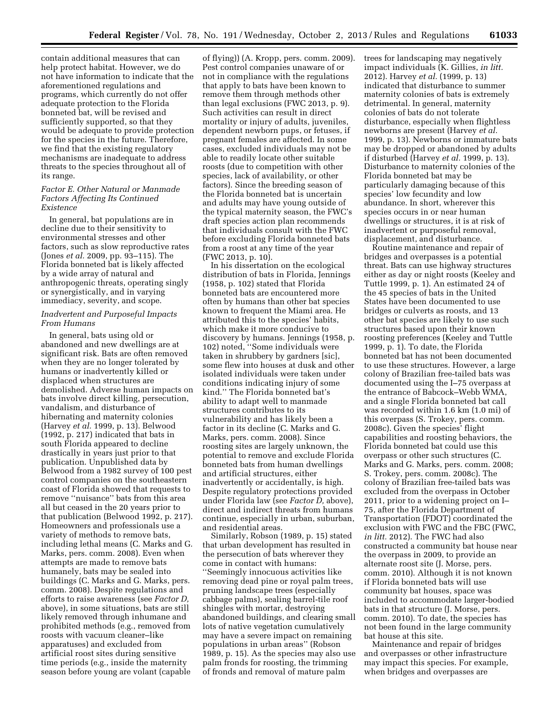contain additional measures that can help protect habitat. However, we do not have information to indicate that the aforementioned regulations and programs, which currently do not offer adequate protection to the Florida bonneted bat, will be revised and sufficiently supported, so that they would be adequate to provide protection for the species in the future. Therefore, we find that the existing regulatory mechanisms are inadequate to address threats to the species throughout all of its range.

# *Factor E. Other Natural or Manmade Factors Affecting Its Continued Existence*

In general, bat populations are in decline due to their sensitivity to environmental stresses and other factors, such as slow reproductive rates (Jones *et al.* 2009, pp. 93–115). The Florida bonneted bat is likely affected by a wide array of natural and anthropogenic threats, operating singly or synergistically, and in varying immediacy, severity, and scope.

# *Inadvertent and Purposeful Impacts From Humans*

In general, bats using old or abandoned and new dwellings are at significant risk. Bats are often removed when they are no longer tolerated by humans or inadvertently killed or displaced when structures are demolished. Adverse human impacts on bats involve direct killing, persecution, vandalism, and disturbance of hibernating and maternity colonies (Harvey *et al.* 1999, p. 13). Belwood (1992, p. 217) indicated that bats in south Florida appeared to decline drastically in years just prior to that publication. Unpublished data by Belwood from a 1982 survey of 100 pest control companies on the southeastern coast of Florida showed that requests to remove ''nuisance'' bats from this area all but ceased in the 20 years prior to that publication (Belwood 1992, p. 217). Homeowners and professionals use a variety of methods to remove bats, including lethal means (C. Marks and G. Marks, pers. comm. 2008). Even when attempts are made to remove bats humanely, bats may be sealed into buildings (C. Marks and G. Marks, pers. comm. 2008). Despite regulations and efforts to raise awareness (see *Factor D,*  above), in some situations, bats are still likely removed through inhumane and prohibited methods (e.g., removed from roosts with vacuum cleaner–like apparatuses) and excluded from artificial roost sites during sensitive time periods (e.g., inside the maternity season before young are volant (capable

of flying)) (A. Kropp, pers. comm. 2009). Pest control companies unaware of or not in compliance with the regulations that apply to bats have been known to remove them through methods other than legal exclusions (FWC 2013, p. 9). Such activities can result in direct mortality or injury of adults, juveniles, dependent newborn pups, or fetuses, if pregnant females are affected. In some cases, excluded individuals may not be able to readily locate other suitable roosts (due to competition with other species, lack of availability, or other factors). Since the breeding season of the Florida bonneted bat is uncertain and adults may have young outside of the typical maternity season, the FWC's draft species action plan recommends that individuals consult with the FWC before excluding Florida bonneted bats from a roost at any time of the year (FWC 2013, p. 10).

In his dissertation on the ecological distribution of bats in Florida, Jennings (1958, p. 102) stated that Florida bonneted bats are encountered more often by humans than other bat species known to frequent the Miami area. He attributed this to the species' habits, which make it more conducive to discovery by humans. Jennings (1958, p. 102) noted, ''Some individuals were taken in shrubbery by gardners [sic], some flew into houses at dusk and other isolated individuals were taken under conditions indicating injury of some kind.'' The Florida bonneted bat's ability to adapt well to manmade structures contributes to its vulnerability and has likely been a factor in its decline (C. Marks and G. Marks, pers. comm. 2008). Since roosting sites are largely unknown, the potential to remove and exclude Florida bonneted bats from human dwellings and artificial structures, either inadvertently or accidentally, is high. Despite regulatory protections provided under Florida law (see *Factor D,* above), direct and indirect threats from humans continue, especially in urban, suburban, and residential areas.

Similarly, Robson (1989, p. 15) stated that urban development has resulted in the persecution of bats wherever they come in contact with humans: ''Seemingly innocuous activities like removing dead pine or royal palm trees, pruning landscape trees (especially cabbage palms), sealing barrel-tile roof shingles with mortar, destroying abandoned buildings, and clearing small lots of native vegetation cumulatively may have a severe impact on remaining populations in urban areas'' (Robson 1989, p. 15). As the species may also use palm fronds for roosting, the trimming of fronds and removal of mature palm

trees for landscaping may negatively impact individuals (K. Gillies, *in litt.*  2012). Harvey *et al.* (1999, p. 13) indicated that disturbance to summer maternity colonies of bats is extremely detrimental. In general, maternity colonies of bats do not tolerate disturbance, especially when flightless newborns are present (Harvey *et al.*  1999, p. 13). Newborns or immature bats may be dropped or abandoned by adults if disturbed (Harvey *et al.* 1999, p. 13). Disturbance to maternity colonies of the Florida bonneted bat may be particularly damaging because of this species' low fecundity and low abundance. In short, wherever this species occurs in or near human dwellings or structures, it is at risk of inadvertent or purposeful removal, displacement, and disturbance.

Routine maintenance and repair of bridges and overpasses is a potential threat. Bats can use highway structures either as day or night roosts (Keeley and Tuttle 1999, p. 1). An estimated 24 of the 45 species of bats in the United States have been documented to use bridges or culverts as roosts, and 13 other bat species are likely to use such structures based upon their known roosting preferences (Keeley and Tuttle 1999, p. 1). To date, the Florida bonneted bat has not been documented to use these structures. However, a large colony of Brazilian free-tailed bats was documented using the I–75 overpass at the entrance of Babcock–Webb WMA, and a single Florida bonneted bat call was recorded within 1.6 km (1.0 mi) of this overpass (S. Trokey, pers. comm. 2008c). Given the species' flight capabilities and roosting behaviors, the Florida bonneted bat could use this overpass or other such structures (C. Marks and G. Marks, pers. comm. 2008; S. Trokey, pers. comm. 2008c). The colony of Brazilian free-tailed bats was excluded from the overpass in October 2011, prior to a widening project on I– 75, after the Florida Department of Transportation (FDOT) coordinated the exclusion with FWC and the FBC (FWC, *in litt.* 2012). The FWC had also constructed a community bat house near the overpass in 2009, to provide an alternate roost site (J. Morse, pers. comm. 2010). Although it is not known if Florida bonneted bats will use community bat houses, space was included to accommodate larger-bodied bats in that structure (J. Morse, pers. comm. 2010). To date, the species has not been found in the large community bat house at this site.

Maintenance and repair of bridges and overpasses or other infrastructure may impact this species. For example, when bridges and overpasses are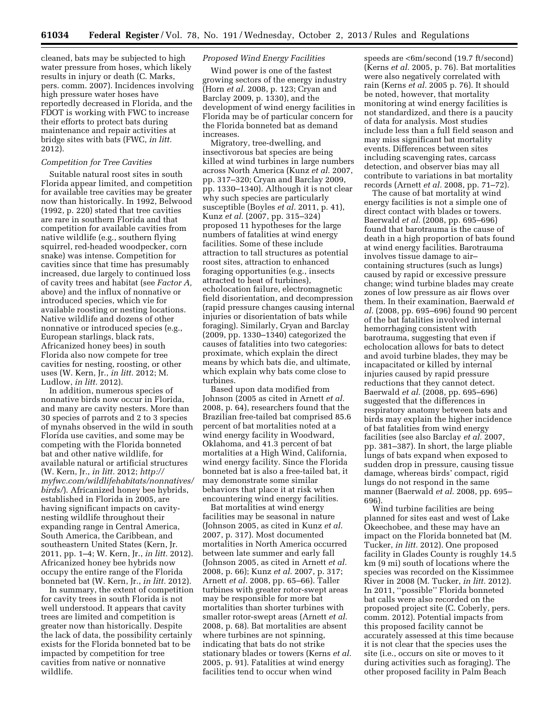cleaned, bats may be subjected to high water pressure from hoses, which likely results in injury or death (C. Marks, pers. comm. 2007). Incidences involving high pressure water hoses have reportedly decreased in Florida, and the FDOT is working with FWC to increase their efforts to protect bats during maintenance and repair activities at bridge sites with bats (FWC, *in litt.*  2012).

#### *Competition for Tree Cavities*

Suitable natural roost sites in south Florida appear limited, and competition for available tree cavities may be greater now than historically. In 1992, Belwood (1992, p. 220) stated that tree cavities are rare in southern Florida and that competition for available cavities from native wildlife (e.g., southern flying squirrel, red-headed woodpecker, corn snake) was intense. Competition for cavities since that time has presumably increased, due largely to continued loss of cavity trees and habitat (see *Factor A,*  above) and the influx of nonnative or introduced species, which vie for available roosting or nesting locations. Native wildlife and dozens of other nonnative or introduced species (e.g., European starlings, black rats, Africanized honey bees) in south Florida also now compete for tree cavities for nesting, roosting, or other uses (W. Kern, Jr., *in litt.* 2012; M. Ludlow, *in litt.* 2012).

In addition, numerous species of nonnative birds now occur in Florida, and many are cavity nesters. More than 30 species of parrots and 2 to 3 species of mynahs observed in the wild in south Florida use cavities, and some may be competing with the Florida bonneted bat and other native wildlife, for available natural or artificial structures (W. Kern, Jr., *in litt.* 2012; *[http://](http://myfwc.com/wildlifehabitats/nonnatives/birds/)  [myfwc.com/wildlifehabitats/nonnatives/](http://myfwc.com/wildlifehabitats/nonnatives/birds/)  [birds/](http://myfwc.com/wildlifehabitats/nonnatives/birds/)*). Africanized honey bee hybrids, established in Florida in 2005, are having significant impacts on cavitynesting wildlife throughout their expanding range in Central America, South America, the Caribbean, and southeastern United States (Kern, Jr. 2011, pp. 1–4; W. Kern, Jr., *in litt.* 2012). Africanized honey bee hybrids now occupy the entire range of the Florida bonneted bat (W. Kern, Jr., *in litt.* 2012).

In summary, the extent of competition for cavity trees in south Florida is not well understood. It appears that cavity trees are limited and competition is greater now than historically. Despite the lack of data, the possibility certainly exists for the Florida bonneted bat to be impacted by competition for tree cavities from native or nonnative wildlife.

# *Proposed Wind Energy Facilities*

Wind power is one of the fastest growing sectors of the energy industry (Horn *et al.* 2008, p. 123; Cryan and Barclay 2009, p. 1330), and the development of wind energy facilities in Florida may be of particular concern for the Florida bonneted bat as demand increases.

Migratory, tree-dwelling, and insectivorous bat species are being killed at wind turbines in large numbers across North America (Kunz *et al.* 2007, pp. 317–320; Cryan and Barclay 2009, pp. 1330–1340). Although it is not clear why such species are particularly susceptible (Boyles *et al.* 2011, p. 41), Kunz *et al.* (2007, pp. 315–324) proposed 11 hypotheses for the large numbers of fatalities at wind energy facilities. Some of these include attraction to tall structures as potential roost sites, attraction to enhanced foraging opportunities (e.g., insects attracted to heat of turbines), echolocation failure, electromagnetic field disorientation, and decompression (rapid pressure changes causing internal injuries or disorientation of bats while foraging). Similarly, Cryan and Barclay (2009, pp. 1330–1340) categorized the causes of fatalities into two categories: proximate, which explain the direct means by which bats die, and ultimate, which explain why bats come close to turbines.

Based upon data modified from Johnson (2005 as cited in Arnett *et al.*  2008, p. 64), researchers found that the Brazilian free-tailed bat comprised 85.6 percent of bat mortalities noted at a wind energy facility in Woodward, Oklahoma, and 41.3 percent of bat mortalities at a High Wind, California, wind energy facility. Since the Florida bonneted bat is also a free-tailed bat, it may demonstrate some similar behaviors that place it at risk when encountering wind energy facilities.

Bat mortalities at wind energy facilities may be seasonal in nature (Johnson 2005, as cited in Kunz *et al.*  2007, p. 317). Most documented mortalities in North America occurred between late summer and early fall (Johnson 2005, as cited in Arnett *et al.*  2008, p. 66); Kunz *et al.* 2007, p. 317; Arnett *et al.* 2008, pp. 65–66). Taller turbines with greater rotor-swept areas may be responsible for more bat mortalities than shorter turbines with smaller rotor-swept areas (Arnett *et al.*  2008, p. 68). Bat mortalities are absent where turbines are not spinning, indicating that bats do not strike stationary blades or towers (Kerns *et al.*  2005, p. 91). Fatalities at wind energy facilities tend to occur when wind

speeds are <6m/second (19.7 ft/second) (Kerns *et al.* 2005, p. 76). Bat mortalities were also negatively correlated with rain (Kerns *et al.* 2005 p. 76). It should be noted, however, that mortality monitoring at wind energy facilities is not standardized, and there is a paucity of data for analysis. Most studies include less than a full field season and may miss significant bat mortality events. Differences between sites including scavenging rates, carcass detection, and observer bias may all contribute to variations in bat mortality records (Arnett *et al.* 2008, pp. 71–72).

The cause of bat mortality at wind energy facilities is not a simple one of direct contact with blades or towers. Baerwald *et al.* (2008, pp. 695–696) found that barotrauma is the cause of death in a high proportion of bats found at wind energy facilities. Barotrauma involves tissue damage to air– containing structures (such as lungs) caused by rapid or excessive pressure change; wind turbine blades may create zones of low pressure as air flows over them. In their examination, Baerwald *et al.* (2008, pp. 695–696) found 90 percent of the bat fatalities involved internal hemorrhaging consistent with barotrauma, suggesting that even if echolocation allows for bats to detect and avoid turbine blades, they may be incapacitated or killed by internal injuries caused by rapid pressure reductions that they cannot detect. Baerwald *et al.* (2008, pp. 695–696) suggested that the differences in respiratory anatomy between bats and birds may explain the higher incidence of bat fatalities from wind energy facilities (see also Barclay *et al.* 2007, pp. 381–387). In short, the large pliable lungs of bats expand when exposed to sudden drop in pressure, causing tissue damage, whereas birds' compact, rigid lungs do not respond in the same manner (Baerwald *et al.* 2008, pp. 695– 696).

Wind turbine facilities are being planned for sites east and west of Lake Okeechobee, and these may have an impact on the Florida bonneted bat (M. Tucker, *in litt.* 2012). One proposed facility in Glades County is roughly 14.5 km (9 mi) south of locations where the species was recorded on the Kissimmee River in 2008 (M. Tucker, *in litt.* 2012). In 2011, ''possible'' Florida bonneted bat calls were also recorded on the proposed project site (C. Coberly, pers. comm. 2012). Potential impacts from this proposed facility cannot be accurately assessed at this time because it is not clear that the species uses the site (i.e., occurs on site or moves to it during activities such as foraging). The other proposed facility in Palm Beach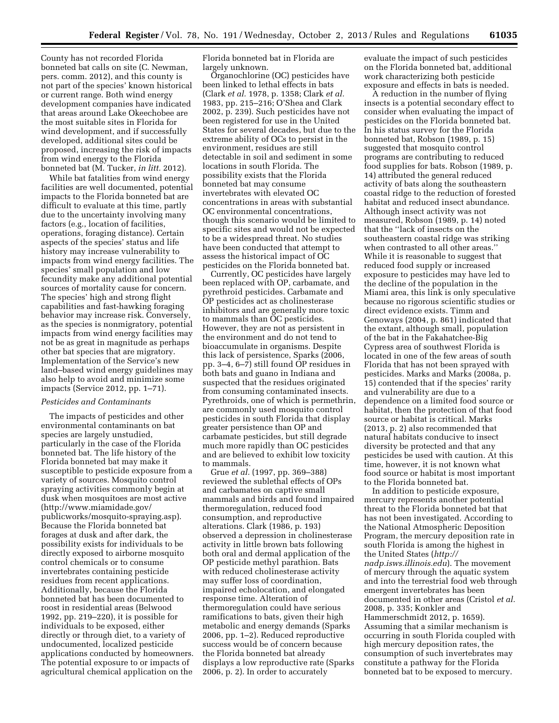County has not recorded Florida bonneted bat calls on site (C. Newman, pers. comm. 2012), and this county is not part of the species' known historical or current range. Both wind energy development companies have indicated that areas around Lake Okeechobee are the most suitable sites in Florida for wind development, and if successfully developed, additional sites could be proposed, increasing the risk of impacts from wind energy to the Florida bonneted bat (M. Tucker, *in litt.* 2012).

While bat fatalities from wind energy facilities are well documented, potential impacts to the Florida bonneted bat are difficult to evaluate at this time, partly due to the uncertainty involving many factors (e.g., location of facilities, operations, foraging distance). Certain aspects of the species' status and life history may increase vulnerability to impacts from wind energy facilities. The species' small population and low fecundity make any additional potential sources of mortality cause for concern. The species' high and strong flight capabilities and fast-hawking foraging behavior may increase risk. Conversely, as the species is nonmigratory, potential impacts from wind energy facilities may not be as great in magnitude as perhaps other bat species that are migratory. Implementation of the Service's new land–based wind energy guidelines may also help to avoid and minimize some impacts (Service 2012, pp. 1–71).

# *Pesticides and Contaminants*

The impacts of pesticides and other environmental contaminants on bat species are largely unstudied, particularly in the case of the Florida bonneted bat. The life history of the Florida bonneted bat may make it susceptible to pesticide exposure from a variety of sources. Mosquito control spraying activities commonly begin at dusk when mosquitoes are most active [\(http://www.miamidade.gov/](http://www.miamidade.gov/publicworks/mosquito-spraying.asp) [publicworks/mosquito-spraying.asp\)](http://www.miamidade.gov/publicworks/mosquito-spraying.asp). Because the Florida bonneted bat forages at dusk and after dark, the possibility exists for individuals to be directly exposed to airborne mosquito control chemicals or to consume invertebrates containing pesticide residues from recent applications. Additionally, because the Florida bonneted bat has been documented to roost in residential areas (Belwood 1992, pp. 219–220), it is possible for individuals to be exposed, either directly or through diet, to a variety of undocumented, localized pesticide applications conducted by homeowners. The potential exposure to or impacts of agricultural chemical application on the

Florida bonneted bat in Florida are largely unknown.

Organochlorine (OC) pesticides have been linked to lethal effects in bats (Clark *et al.* 1978, p. 1358; Clark *et al.*  1983, pp. 215–216; O'Shea and Clark 2002, p. 239). Such pesticides have not been registered for use in the United States for several decades, but due to the extreme ability of OCs to persist in the environment, residues are still detectable in soil and sediment in some locations in south Florida. The possibility exists that the Florida bonneted bat may consume invertebrates with elevated OC concentrations in areas with substantial OC environmental concentrations, though this scenario would be limited to specific sites and would not be expected to be a widespread threat. No studies have been conducted that attempt to assess the historical impact of OC pesticides on the Florida bonneted bat.

Currently, OC pesticides have largely been replaced with OP, carbamate, and pyrethroid pesticides. Carbamate and OP pesticides act as cholinesterase inhibitors and are generally more toxic to mammals than OC pesticides. However, they are not as persistent in the environment and do not tend to bioaccumulate in organisms. Despite this lack of persistence, Sparks (2006, pp. 3–4, 6–7) still found OP residues in both bats and guano in Indiana and suspected that the residues originated from consuming contaminated insects. Pyrethroids, one of which is permethrin, are commonly used mosquito control pesticides in south Florida that display greater persistence than OP and carbamate pesticides, but still degrade much more rapidly than OC pesticides and are believed to exhibit low toxicity to mammals.

Grue *et al.* (1997, pp. 369–388) reviewed the sublethal effects of OPs and carbamates on captive small mammals and birds and found impaired thermoregulation, reduced food consumption, and reproductive alterations. Clark (1986, p. 193) observed a depression in cholinesterase activity in little brown bats following both oral and dermal application of the OP pesticide methyl parathion. Bats with reduced cholinesterase activity may suffer loss of coordination, impaired echolocation, and elongated response time. Alteration of thermoregulation could have serious ramifications to bats, given their high metabolic and energy demands (Sparks 2006, pp. 1–2). Reduced reproductive success would be of concern because the Florida bonneted bat already displays a low reproductive rate (Sparks 2006, p. 2). In order to accurately

evaluate the impact of such pesticides on the Florida bonneted bat, additional work characterizing both pesticide exposure and effects in bats is needed.

A reduction in the number of flying insects is a potential secondary effect to consider when evaluating the impact of pesticides on the Florida bonneted bat. In his status survey for the Florida bonneted bat, Robson (1989, p. 15) suggested that mosquito control programs are contributing to reduced food supplies for bats. Robson (1989, p. 14) attributed the general reduced activity of bats along the southeastern coastal ridge to the reduction of forested habitat and reduced insect abundance. Although insect activity was not measured, Robson (1989, p. 14) noted that the ''lack of insects on the southeastern coastal ridge was striking when contrasted to all other areas.'' While it is reasonable to suggest that reduced food supply or increased exposure to pesticides may have led to the decline of the population in the Miami area, this link is only speculative because no rigorous scientific studies or direct evidence exists. Timm and Genoways (2004, p. 861) indicated that the extant, although small, population of the bat in the Fakahatchee-Big Cypress area of southwest Florida is located in one of the few areas of south Florida that has not been sprayed with pesticides. Marks and Marks (2008a, p. 15) contended that if the species' rarity and vulnerability are due to a dependence on a limited food source or habitat, then the protection of that food source or habitat is critical. Marks (2013, p. 2) also recommended that natural habitats conducive to insect diversity be protected and that any pesticides be used with caution. At this time, however, it is not known what food source or habitat is most important to the Florida bonneted bat.

In addition to pesticide exposure, mercury represents another potential threat to the Florida bonneted bat that has not been investigated. According to the National Atmospheric Deposition Program, the mercury deposition rate in south Florida is among the highest in the United States (*[http://](http://nadp.isws.illinois.edu) [nadp.isws.illinois.edu](http://nadp.isws.illinois.edu)*). The movement of mercury through the aquatic system and into the terrestrial food web through emergent invertebrates has been documented in other areas (Cristol *et al.*  2008, p. 335; Konkler and Hammerschmidt 2012, p. 1659). Assuming that a similar mechanism is occurring in south Florida coupled with high mercury deposition rates, the consumption of such invertebrates may constitute a pathway for the Florida bonneted bat to be exposed to mercury.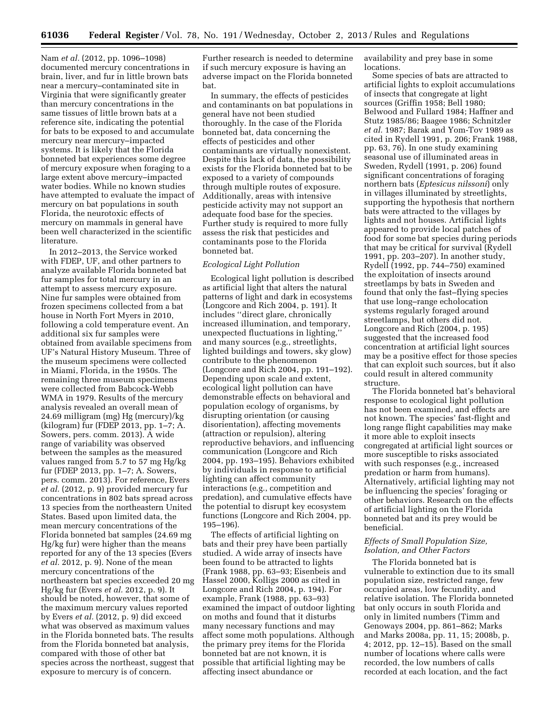Nam *et al.* (2012, pp. 1096–1098) documented mercury concentrations in brain, liver, and fur in little brown bats near a mercury–contaminated site in Virginia that were significantly greater than mercury concentrations in the same tissues of little brown bats at a reference site, indicating the potential for bats to be exposed to and accumulate mercury near mercury–impacted systems. It is likely that the Florida bonneted bat experiences some degree of mercury exposure when foraging to a large extent above mercury–impacted water bodies. While no known studies have attempted to evaluate the impact of mercury on bat populations in south Florida, the neurotoxic effects of mercury on mammals in general have been well characterized in the scientific literature.

In 2012–2013, the Service worked with FDEP, UF, and other partners to analyze available Florida bonneted bat fur samples for total mercury in an attempt to assess mercury exposure. Nine fur samples were obtained from frozen specimens collected from a bat house in North Fort Myers in 2010, following a cold temperature event. An additional six fur samples were obtained from available specimens from UF's Natural History Museum. Three of the museum specimens were collected in Miami, Florida, in the 1950s. The remaining three museum specimens were collected from Babcock-Webb WMA in 1979. Results of the mercury analysis revealed an overall mean of 24.69 milligram (mg) Hg (mercury)/kg (kilogram) fur (FDEP 2013, pp. 1–7; A. Sowers, pers. comm. 2013). A wide range of variability was observed between the samples as the measured values ranged from 5.7 to 57 mg Hg/kg fur (FDEP 2013, pp. 1–7; A. Sowers, pers. comm. 2013). For reference, Evers *et al.* (2012, p. 9) provided mercury fur concentrations in 802 bats spread across 13 species from the northeastern United States. Based upon limited data, the mean mercury concentrations of the Florida bonneted bat samples (24.69 mg Hg/kg fur) were higher than the means reported for any of the 13 species (Evers *et al.* 2012, p. 9). None of the mean mercury concentrations of the northeastern bat species exceeded 20 mg Hg/kg fur (Evers *et al.* 2012, p. 9). It should be noted, however, that some of the maximum mercury values reported by Evers *et al.* (2012, p. 9) did exceed what was observed as maximum values in the Florida bonneted bats. The results from the Florida bonneted bat analysis, compared with those of other bat species across the northeast, suggest that exposure to mercury is of concern.

Further research is needed to determine if such mercury exposure is having an adverse impact on the Florida bonneted bat.

In summary, the effects of pesticides and contaminants on bat populations in general have not been studied thoroughly. In the case of the Florida bonneted bat, data concerning the effects of pesticides and other contaminants are virtually nonexistent. Despite this lack of data, the possibility exists for the Florida bonneted bat to be exposed to a variety of compounds through multiple routes of exposure. Additionally, areas with intensive pesticide activity may not support an adequate food base for the species. Further study is required to more fully assess the risk that pesticides and contaminants pose to the Florida bonneted bat.

# *Ecological Light Pollution*

Ecological light pollution is described as artificial light that alters the natural patterns of light and dark in ecosystems (Longcore and Rich 2004, p. 191). It includes ''direct glare, chronically increased illumination, and temporary, unexpected fluctuations in lighting,'' and many sources (e.g., streetlights, lighted buildings and towers, sky glow) contribute to the phenomenon (Longcore and Rich 2004, pp. 191–192). Depending upon scale and extent, ecological light pollution can have demonstrable effects on behavioral and population ecology of organisms, by disrupting orientation (or causing disorientation), affecting movements (attraction or repulsion), altering reproductive behaviors, and influencing communication (Longcore and Rich 2004, pp. 193–195). Behaviors exhibited by individuals in response to artificial lighting can affect community interactions (e.g., competition and predation), and cumulative effects have the potential to disrupt key ecosystem functions (Longcore and Rich 2004, pp. 195–196).

The effects of artificial lighting on bats and their prey have been partially studied. A wide array of insects have been found to be attracted to lights (Frank 1988, pp. 63–93; Eisenbeis and Hassel 2000, Kolligs 2000 as cited in Longcore and Rich 2004, p. 194). For example, Frank (1988, pp. 63–93) examined the impact of outdoor lighting on moths and found that it disturbs many necessary functions and may affect some moth populations. Although the primary prey items for the Florida bonneted bat are not known, it is possible that artificial lighting may be affecting insect abundance or

availability and prey base in some locations.

Some species of bats are attracted to artificial lights to exploit accumulations of insects that congregate at light sources (Griffin 1958; Bell 1980; Belwood and Fullard 1984; Haffner and Stutz 1985/86; Baagee 1986; Schnitzler *et al.* 1987; Barak and Yom-Tov 1989 as cited in Rydell 1991, p. 206; Frank 1988, pp. 63, 76). In one study examining seasonal use of illuminated areas in Sweden, Rydell (1991, p. 206) found significant concentrations of foraging northern bats (*Eptesicus nilssoni*) only in villages illuminated by streetlights, supporting the hypothesis that northern bats were attracted to the villages by lights and not houses. Artificial lights appeared to provide local patches of food for some bat species during periods that may be critical for survival (Rydell 1991, pp. 203–207). In another study, Rydell (1992, pp. 744–750) examined the exploitation of insects around streetlamps by bats in Sweden and found that only the fast–flying species that use long–range echolocation systems regularly foraged around streetlamps, but others did not. Longcore and Rich (2004, p. 195) suggested that the increased food concentration at artificial light sources may be a positive effect for those species that can exploit such sources, but it also could result in altered community structure.

The Florida bonneted bat's behavioral response to ecological light pollution has not been examined, and effects are not known. The species' fast-flight and long range flight capabilities may make it more able to exploit insects congregated at artificial light sources or more susceptible to risks associated with such responses (e.g., increased predation or harm from humans). Alternatively, artificial lighting may not be influencing the species' foraging or other behaviors. Research on the effects of artificial lighting on the Florida bonneted bat and its prey would be beneficial.

# *Effects of Small Population Size, Isolation, and Other Factors*

The Florida bonneted bat is vulnerable to extinction due to its small population size, restricted range, few occupied areas, low fecundity, and relative isolation. The Florida bonneted bat only occurs in south Florida and only in limited numbers (Timm and Genoways 2004, pp. 861–862; Marks and Marks 2008a, pp. 11, 15; 2008b, p. 4; 2012, pp. 12–15). Based on the small number of locations where calls were recorded, the low numbers of calls recorded at each location, and the fact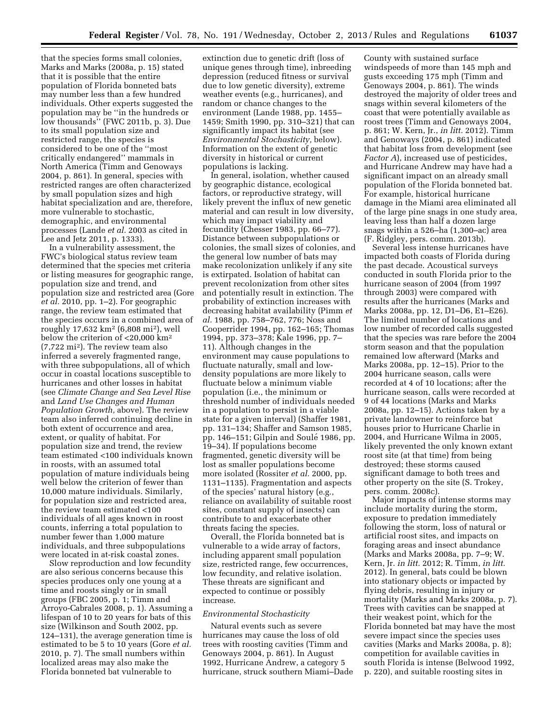that the species forms small colonies, Marks and Marks (2008a, p. 15) stated that it is possible that the entire population of Florida bonneted bats may number less than a few hundred individuals. Other experts suggested the population may be ''in the hundreds or low thousands'' (FWC 2011b, p. 3). Due to its small population size and restricted range, the species is considered to be one of the ''most critically endangered'' mammals in North America (Timm and Genoways 2004, p. 861). In general, species with restricted ranges are often characterized by small population sizes and high habitat specialization and are, therefore, more vulnerable to stochastic, demographic, and environmental processes (Lande *et al.* 2003 as cited in Lee and Jetz 2011, p. 1333).

In a vulnerability assessment, the FWC's biological status review team determined that the species met criteria or listing measures for geographic range, population size and trend, and population size and restricted area (Gore *et al.* 2010, pp. 1–2). For geographic range, the review team estimated that the species occurs in a combined area of roughly 17,632 km2 (6,808 mi2), well below the criterion of <20,000 km2 (7,722 mi2). The review team also inferred a severely fragmented range, with three subpopulations, all of which occur in coastal locations susceptible to hurricanes and other losses in habitat (see *Climate Change and Sea Level Rise*  and *Land Use Changes and Human Population Growth,* above). The review team also inferred continuing decline in both extent of occurrence and area, extent, or quality of habitat. For population size and trend, the review team estimated <100 individuals known in roosts, with an assumed total population of mature individuals being well below the criterion of fewer than 10,000 mature individuals. Similarly, for population size and restricted area, the review team estimated <100 individuals of all ages known in roost counts, inferring a total population to number fewer than 1,000 mature individuals, and three subpopulations were located in at-risk coastal zones.

Slow reproduction and low fecundity are also serious concerns because this species produces only one young at a time and roosts singly or in small groups (FBC 2005, p. 1; Timm and Arroyo-Cabrales 2008, p. 1). Assuming a lifespan of 10 to 20 years for bats of this size (Wilkinson and South 2002, pp. 124–131), the average generation time is estimated to be 5 to 10 years (Gore *et al.*  2010, p. 7). The small numbers within localized areas may also make the Florida bonneted bat vulnerable to

extinction due to genetic drift (loss of unique genes through time), inbreeding depression (reduced fitness or survival due to low genetic diversity), extreme weather events (e.g., hurricanes), and random or chance changes to the environment (Lande 1988, pp. 1455– 1459; Smith 1990, pp. 310–321) that can significantly impact its habitat (see *Environmental Stochasticity,* below). Information on the extent of genetic diversity in historical or current populations is lacking.

In general, isolation, whether caused by geographic distance, ecological factors, or reproductive strategy, will likely prevent the influx of new genetic material and can result in low diversity, which may impact viability and fecundity (Chesser 1983, pp. 66–77). Distance between subpopulations or colonies, the small sizes of colonies, and the general low number of bats may make recolonization unlikely if any site is extirpated. Isolation of habitat can prevent recolonization from other sites and potentially result in extinction. The probability of extinction increases with decreasing habitat availability (Pimm *et al.* 1988, pp. 758–762, 776; Noss and Cooperrider 1994, pp. 162–165; Thomas 1994, pp. 373–378; Kale 1996, pp. 7– 11). Although changes in the environment may cause populations to fluctuate naturally, small and lowdensity populations are more likely to fluctuate below a minimum viable population (i.e., the minimum or threshold number of individuals needed in a population to persist in a viable state for a given interval) (Shaffer 1981, pp. 131–134; Shaffer and Samson 1985, pp. 146–151; Gilpin and Soule´ 1986, pp. 19–34). If populations become fragmented, genetic diversity will be lost as smaller populations become more isolated (Rossiter *et al.* 2000, pp. 1131–1135). Fragmentation and aspects of the species' natural history (e.g., reliance on availability of suitable roost sites, constant supply of insects) can contribute to and exacerbate other threats facing the species.

Overall, the Florida bonneted bat is vulnerable to a wide array of factors, including apparent small population size, restricted range, few occurrences, low fecundity, and relative isolation. These threats are significant and expected to continue or possibly increase.

#### *Environmental Stochasticity*

Natural events such as severe hurricanes may cause the loss of old trees with roosting cavities (Timm and Genoways 2004, p. 861). In August 1992, Hurricane Andrew, a category 5 hurricane, struck southern Miami–Dade

County with sustained surface windspeeds of more than 145 mph and gusts exceeding 175 mph (Timm and Genoways 2004, p. 861). The winds destroyed the majority of older trees and snags within several kilometers of the coast that were potentially available as roost trees (Timm and Genoways 2004, p. 861; W. Kern, Jr., *in litt.* 2012). Timm and Genoways (2004, p. 861) indicated that habitat loss from development (see *Factor A*), increased use of pesticides, and Hurricane Andrew may have had a significant impact on an already small population of the Florida bonneted bat. For example, historical hurricane damage in the Miami area eliminated all of the large pine snags in one study area, leaving less than half a dozen large snags within a 526–ha (1,300–ac) area (F. Ridgley, pers. comm. 2013b).

Several less intense hurricanes have impacted both coasts of Florida during the past decade. Acoustical surveys conducted in south Florida prior to the hurricane season of 2004 (from 1997 through 2003) were compared with results after the hurricanes (Marks and Marks 2008a, pp. 12, D1–D6, E1–E26). The limited number of locations and low number of recorded calls suggested that the species was rare before the 2004 storm season and that the population remained low afterward (Marks and Marks 2008a, pp. 12–15). Prior to the 2004 hurricane season, calls were recorded at 4 of 10 locations; after the hurricane season, calls were recorded at 9 of 44 locations (Marks and Marks 2008a, pp. 12–15). Actions taken by a private landowner to reinforce bat houses prior to Hurricane Charlie in 2004, and Hurricane Wilma in 2005, likely prevented the only known extant roost site (at that time) from being destroyed; these storms caused significant damage to both trees and other property on the site (S. Trokey, pers. comm. 2008c).

Major impacts of intense storms may include mortality during the storm, exposure to predation immediately following the storm, loss of natural or artificial roost sites, and impacts on foraging areas and insect abundance (Marks and Marks 2008a, pp. 7–9; W. Kern, Jr. *in litt.* 2012; R. Timm, *in litt.*  2012). In general, bats could be blown into stationary objects or impacted by flying debris, resulting in injury or mortality (Marks and Marks 2008a, p. 7). Trees with cavities can be snapped at their weakest point, which for the Florida bonneted bat may have the most severe impact since the species uses cavities (Marks and Marks 2008a, p. 8); competition for available cavities in south Florida is intense (Belwood 1992, p. 220), and suitable roosting sites in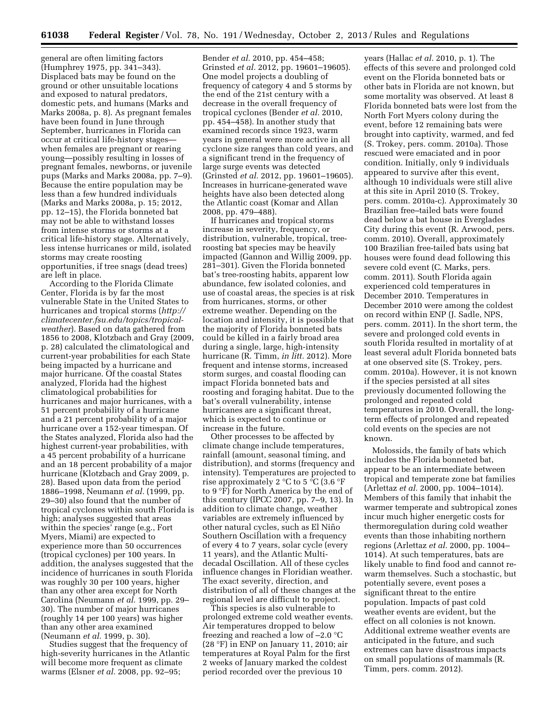general are often limiting factors (Humphrey 1975, pp. 341–343). Displaced bats may be found on the ground or other unsuitable locations and exposed to natural predators, domestic pets, and humans (Marks and Marks 2008a, p. 8). As pregnant females have been found in June through September, hurricanes in Florida can occur at critical life-history stages when females are pregnant or rearing young—possibly resulting in losses of pregnant females, newborns, or juvenile pups (Marks and Marks 2008a, pp. 7–9). Because the entire population may be less than a few hundred individuals (Marks and Marks 2008a, p. 15; 2012, pp. 12–15), the Florida bonneted bat may not be able to withstand losses from intense storms or storms at a critical life-history stage. Alternatively, less intense hurricanes or mild, isolated storms may create roosting opportunities, if tree snags (dead trees) are left in place.

According to the Florida Climate Center, Florida is by far the most vulnerable State in the United States to hurricanes and tropical storms (*[http://](http://climatecenter.fsu.edu/topics/tropical-weather)  [climatecenter.fsu.edu/topics/tropical](http://climatecenter.fsu.edu/topics/tropical-weather)[weather](http://climatecenter.fsu.edu/topics/tropical-weather)*). Based on data gathered from 1856 to 2008, Klotzbach and Gray (2009, p. 28) calculated the climatological and current-year probabilities for each State being impacted by a hurricane and major hurricane. Of the coastal States analyzed, Florida had the highest climatological probabilities for hurricanes and major hurricanes, with a 51 percent probability of a hurricane and a 21 percent probability of a major hurricane over a 152-year timespan. Of the States analyzed, Florida also had the highest current-year probabilities, with a 45 percent probability of a hurricane and an 18 percent probability of a major hurricane (Klotzbach and Gray 2009, p. 28). Based upon data from the period 1886–1998, Neumann *et al.* (1999, pp. 29–30) also found that the number of tropical cyclones within south Florida is high; analyses suggested that areas within the species' range (e.g., Fort Myers, Miami) are expected to experience more than 50 occurrences (tropical cyclones) per 100 years. In addition, the analyses suggested that the incidence of hurricanes in south Florida was roughly 30 per 100 years, higher than any other area except for North Carolina (Neumann *et al.* 1999, pp. 29– 30). The number of major hurricanes (roughly 14 per 100 years) was higher than any other area examined (Neumann *et al.* 1999, p. 30).

Studies suggest that the frequency of high-severity hurricanes in the Atlantic will become more frequent as climate warms (Elsner *et al.* 2008, pp. 92–95;

Bender *et al.* 2010, pp. 454–458; Grinsted *et al.* 2012, pp. 19601–19605). One model projects a doubling of frequency of category 4 and 5 storms by the end of the 21st century with a decrease in the overall frequency of tropical cyclones (Bender *et al.* 2010, pp. 454–458). In another study that examined records since 1923, warm years in general were more active in all cyclone size ranges than cold years, and a significant trend in the frequency of large surge events was detected (Grinsted *et al.* 2012, pp. 19601–19605). Increases in hurricane-generated wave heights have also been detected along the Atlantic coast (Komar and Allan 2008, pp. 479–488).

If hurricanes and tropical storms increase in severity, frequency, or distribution, vulnerable, tropical, treeroosting bat species may be heavily impacted (Gannon and Willig 2009, pp. 281–301). Given the Florida bonneted bat's tree-roosting habits, apparent low abundance, few isolated colonies, and use of coastal areas, the species is at risk from hurricanes, storms, or other extreme weather. Depending on the location and intensity, it is possible that the majority of Florida bonneted bats could be killed in a fairly broad area during a single, large, high-intensity hurricane (R. Timm, *in litt.* 2012). More frequent and intense storms, increased storm surges, and coastal flooding can impact Florida bonneted bats and roosting and foraging habitat. Due to the bat's overall vulnerability, intense hurricanes are a significant threat, which is expected to continue or increase in the future.

Other processes to be affected by climate change include temperatures, rainfall (amount, seasonal timing, and distribution), and storms (frequency and intensity). Temperatures are projected to rise approximately 2 °C to 5 °C (3.6 °F to 9 °F) for North America by the end of this century (IPCC 2007, pp. 7–9, 13). In addition to climate change, weather variables are extremely influenced by other natural cycles, such as El Niño Southern Oscillation with a frequency of every 4 to 7 years, solar cycle (every 11 years), and the Atlantic Multidecadal Oscillation. All of these cycles influence changes in Floridian weather. The exact severity, direction, and distribution of all of these changes at the regional level are difficult to project.

This species is also vulnerable to prolonged extreme cold weather events. Air temperatures dropped to below freezing and reached a low of –2.0 °C (28 °F) in ENP on January 11, 2010; air temperatures at Royal Palm for the first 2 weeks of January marked the coldest period recorded over the previous 10

years (Hallac *et al.* 2010, p. 1). The effects of this severe and prolonged cold event on the Florida bonneted bats or other bats in Florida are not known, but some mortality was observed. At least 8 Florida bonneted bats were lost from the North Fort Myers colony during the event, before 12 remaining bats were brought into captivity, warmed, and fed (S. Trokey, pers. comm. 2010a). Those rescued were emaciated and in poor condition. Initially, only 9 individuals appeared to survive after this event, although 10 individuals were still alive at this site in April 2010 (S. Trokey, pers. comm. 2010a-c). Approximately 30 Brazilian free–tailed bats were found dead below a bat house in Everglades City during this event (R. Arwood, pers. comm. 2010). Overall, approximately 100 Brazilian free-tailed bats using bat houses were found dead following this severe cold event (C. Marks, pers. comm. 2011). South Florida again experienced cold temperatures in December 2010. Temperatures in December 2010 were among the coldest on record within ENP (J. Sadle, NPS, pers. comm. 2011). In the short term, the severe and prolonged cold events in south Florida resulted in mortality of at least several adult Florida bonneted bats at one observed site (S. Trokey, pers. comm. 2010a). However, it is not known if the species persisted at all sites previously documented following the prolonged and repeated cold temperatures in 2010. Overall, the longterm effects of prolonged and repeated cold events on the species are not known.

Molossids, the family of bats which includes the Florida bonneted bat, appear to be an intermediate between tropical and temperate zone bat families (Arlettaz *et al.* 2000, pp. 1004–1014). Members of this family that inhabit the warmer temperate and subtropical zones incur much higher energetic costs for thermoregulation during cold weather events than those inhabiting northern regions (Arlettaz *et al.* 2000, pp. 1004– 1014). At such temperatures, bats are likely unable to find food and cannot rewarm themselves. Such a stochastic, but potentially severe, event poses a significant threat to the entire population. Impacts of past cold weather events are evident, but the effect on all colonies is not known. Additional extreme weather events are anticipated in the future, and such extremes can have disastrous impacts on small populations of mammals (R. Timm, pers. comm. 2012).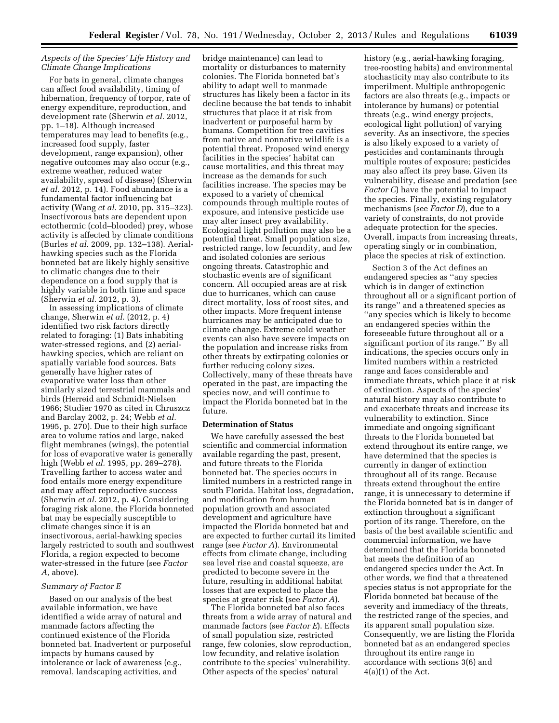# *Aspects of the Species' Life History and Climate Change Implications*

For bats in general, climate changes can affect food availability, timing of hibernation, frequency of torpor, rate of energy expenditure, reproduction, and development rate (Sherwin *et al.* 2012, pp. 1–18). Although increased temperatures may lead to benefits (e.g., increased food supply, faster development, range expansion), other negative outcomes may also occur (e.g., extreme weather, reduced water availability, spread of disease) (Sherwin *et al.* 2012, p. 14). Food abundance is a fundamental factor influencing bat activity (Wang *et al.* 2010, pp. 315–323). Insectivorous bats are dependent upon ectothermic (cold–blooded) prey, whose activity is affected by climate conditions (Burles *et al.* 2009, pp. 132–138). Aerialhawking species such as the Florida bonneted bat are likely highly sensitive to climatic changes due to their dependence on a food supply that is highly variable in both time and space (Sherwin *et al.* 2012, p. 3).

In assessing implications of climate change, Sherwin *et al.* (2012, p. 4) identified two risk factors directly related to foraging: (1) Bats inhabiting water-stressed regions, and (2) aerialhawking species, which are reliant on spatially variable food sources. Bats generally have higher rates of evaporative water loss than other similarly sized terrestrial mammals and birds (Herreid and Schmidt-Nielsen 1966; Studier 1970 as cited in Chruszcz and Barclay 2002, p. 24; Webb *et al.*  1995, p. 270). Due to their high surface area to volume ratios and large, naked flight membranes (wings), the potential for loss of evaporative water is generally high (Webb *et al.* 1995, pp. 269–278). Travelling farther to access water and food entails more energy expenditure and may affect reproductive success (Sherwin *et al.* 2012, p. 4). Considering foraging risk alone, the Florida bonneted bat may be especially susceptible to climate changes since it is an insectivorous, aerial-hawking species largely restricted to south and southwest Florida, a region expected to become water-stressed in the future (see *Factor A,* above).

# *Summary of Factor E*

Based on our analysis of the best available information, we have identified a wide array of natural and manmade factors affecting the continued existence of the Florida bonneted bat. Inadvertent or purposeful impacts by humans caused by intolerance or lack of awareness (e.g., removal, landscaping activities, and

bridge maintenance) can lead to mortality or disturbances to maternity colonies. The Florida bonneted bat's ability to adapt well to manmade structures has likely been a factor in its decline because the bat tends to inhabit structures that place it at risk from inadvertent or purposeful harm by humans. Competition for tree cavities from native and nonnative wildlife is a potential threat. Proposed wind energy facilities in the species' habitat can cause mortalities, and this threat may increase as the demands for such facilities increase. The species may be exposed to a variety of chemical compounds through multiple routes of exposure, and intensive pesticide use may alter insect prey availability. Ecological light pollution may also be a potential threat. Small population size, restricted range, low fecundity, and few and isolated colonies are serious ongoing threats. Catastrophic and stochastic events are of significant concern. All occupied areas are at risk due to hurricanes, which can cause direct mortality, loss of roost sites, and other impacts. More frequent intense hurricanes may be anticipated due to climate change. Extreme cold weather events can also have severe impacts on the population and increase risks from other threats by extirpating colonies or further reducing colony sizes. Collectively, many of these threats have operated in the past, are impacting the species now, and will continue to impact the Florida bonneted bat in the future.

# **Determination of Status**

We have carefully assessed the best scientific and commercial information available regarding the past, present, and future threats to the Florida bonneted bat. The species occurs in limited numbers in a restricted range in south Florida. Habitat loss, degradation, and modification from human population growth and associated development and agriculture have impacted the Florida bonneted bat and are expected to further curtail its limited range (see *Factor A*). Environmental effects from climate change, including sea level rise and coastal squeeze, are predicted to become severe in the future, resulting in additional habitat losses that are expected to place the species at greater risk (see *Factor A*).

The Florida bonneted bat also faces threats from a wide array of natural and manmade factors (see *Factor E*). Effects of small population size, restricted range, few colonies, slow reproduction, low fecundity, and relative isolation contribute to the species' vulnerability. Other aspects of the species' natural

history (e.g., aerial-hawking foraging, tree-roosting habits) and environmental stochasticity may also contribute to its imperilment. Multiple anthropogenic factors are also threats (e.g., impacts or intolerance by humans) or potential threats (e.g., wind energy projects, ecological light pollution) of varying severity. As an insectivore, the species is also likely exposed to a variety of pesticides and contaminants through multiple routes of exposure; pesticides may also affect its prey base. Given its vulnerability, disease and predation (see *Factor C*) have the potential to impact the species. Finally, existing regulatory mechanisms (see *Factor D*), due to a variety of constraints, do not provide adequate protection for the species. Overall, impacts from increasing threats, operating singly or in combination, place the species at risk of extinction.

Section 3 of the Act defines an endangered species as ''any species which is in danger of extinction throughout all or a significant portion of its range'' and a threatened species as ''any species which is likely to become an endangered species within the foreseeable future throughout all or a significant portion of its range.'' By all indications, the species occurs only in limited numbers within a restricted range and faces considerable and immediate threats, which place it at risk of extinction. Aspects of the species' natural history may also contribute to and exacerbate threats and increase its vulnerability to extinction. Since immediate and ongoing significant threats to the Florida bonneted bat extend throughout its entire range, we have determined that the species is currently in danger of extinction throughout all of its range. Because threats extend throughout the entire range, it is unnecessary to determine if the Florida bonneted bat is in danger of extinction throughout a significant portion of its range. Therefore, on the basis of the best available scientific and commercial information, we have determined that the Florida bonneted bat meets the definition of an endangered species under the Act. In other words, we find that a threatened species status is not appropriate for the Florida bonneted bat because of the severity and immediacy of the threats, the restricted range of the species, and its apparent small population size. Consequently, we are listing the Florida bonneted bat as an endangered species throughout its entire range in accordance with sections 3(6) and  $4(a)(1)$  of the Act.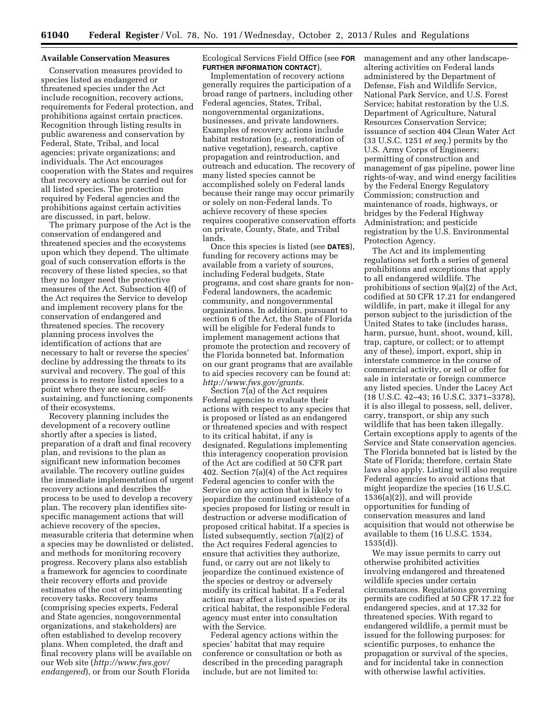#### **Available Conservation Measures**

Conservation measures provided to species listed as endangered or threatened species under the Act include recognition, recovery actions, requirements for Federal protection, and prohibitions against certain practices. Recognition through listing results in public awareness and conservation by Federal, State, Tribal, and local agencies; private organizations; and individuals. The Act encourages cooperation with the States and requires that recovery actions be carried out for all listed species. The protection required by Federal agencies and the prohibitions against certain activities are discussed, in part, below.

The primary purpose of the Act is the conservation of endangered and threatened species and the ecosystems upon which they depend. The ultimate goal of such conservation efforts is the recovery of these listed species, so that they no longer need the protective measures of the Act. Subsection 4(f) of the Act requires the Service to develop and implement recovery plans for the conservation of endangered and threatened species. The recovery planning process involves the identification of actions that are necessary to halt or reverse the species' decline by addressing the threats to its survival and recovery. The goal of this process is to restore listed species to a point where they are secure, selfsustaining, and functioning components of their ecosystems.

Recovery planning includes the development of a recovery outline shortly after a species is listed, preparation of a draft and final recovery plan, and revisions to the plan as significant new information becomes available. The recovery outline guides the immediate implementation of urgent recovery actions and describes the process to be used to develop a recovery plan. The recovery plan identifies sitespecific management actions that will achieve recovery of the species, measurable criteria that determine when a species may be downlisted or delisted, and methods for monitoring recovery progress. Recovery plans also establish a framework for agencies to coordinate their recovery efforts and provide estimates of the cost of implementing recovery tasks. Recovery teams (comprising species experts, Federal and State agencies, nongovernmental organizations, and stakeholders) are often established to develop recovery plans. When completed, the draft and final recovery plans will be available on our Web site (*[http://www.fws.gov/](http://www.fws.gov/endangered) [endangered](http://www.fws.gov/endangered)*), or from our South Florida

Ecological Services Field Office (see **FOR FURTHER INFORMATION CONTACT**).

Implementation of recovery actions generally requires the participation of a broad range of partners, including other Federal agencies, States, Tribal, nongovernmental organizations, businesses, and private landowners. Examples of recovery actions include habitat restoration (e.g., restoration of native vegetation), research, captive propagation and reintroduction, and outreach and education. The recovery of many listed species cannot be accomplished solely on Federal lands because their range may occur primarily or solely on non-Federal lands. To achieve recovery of these species requires cooperative conservation efforts on private, County, State, and Tribal lands.

Once this species is listed (see **DATES**), funding for recovery actions may be available from a variety of sources, including Federal budgets, State programs, and cost share grants for non-Federal landowners, the academic community, and nongovernmental organizations. In addition, pursuant to section 6 of the Act, the State of Florida will be eligible for Federal funds to implement management actions that promote the protection and recovery of the Florida bonneted bat. Information on our grant programs that are available to aid species recovery can be found at: *[http://www.fws.gov/grants.](http://www.fws.gov/grants)* 

Section 7(a) of the Act requires Federal agencies to evaluate their actions with respect to any species that is proposed or listed as an endangered or threatened species and with respect to its critical habitat, if any is designated. Regulations implementing this interagency cooperation provision of the Act are codified at 50 CFR part 402. Section 7(a)(4) of the Act requires Federal agencies to confer with the Service on any action that is likely to jeopardize the continued existence of a species proposed for listing or result in destruction or adverse modification of proposed critical habitat. If a species is listed subsequently, section 7(a)(2) of the Act requires Federal agencies to ensure that activities they authorize, fund, or carry out are not likely to jeopardize the continued existence of the species or destroy or adversely modify its critical habitat. If a Federal action may affect a listed species or its critical habitat, the responsible Federal agency must enter into consultation with the Service.

Federal agency actions within the species' habitat that may require conference or consultation or both as described in the preceding paragraph include, but are not limited to:

management and any other landscapealtering activities on Federal lands administered by the Department of Defense, Fish and Wildlife Service, National Park Service, and U.S. Forest Service; habitat restoration by the U.S. Department of Agriculture, Natural Resources Conservation Service; issuance of section 404 Clean Water Act (33 U.S.C. 1251 *et seq.*) permits by the U.S. Army Corps of Engineers; permitting of construction and management of gas pipeline, power line rights-of-way, and wind energy facilities by the Federal Energy Regulatory Commission; construction and maintenance of roads, highways, or bridges by the Federal Highway Administration; and pesticide registration by the U.S. Environmental Protection Agency.

The Act and its implementing regulations set forth a series of general prohibitions and exceptions that apply to all endangered wildlife. The prohibitions of section 9(a)(2) of the Act, codified at 50 CFR 17.21 for endangered wildlife, in part, make it illegal for any person subject to the jurisdiction of the United States to take (includes harass, harm, pursue, hunt, shoot, wound, kill, trap, capture, or collect; or to attempt any of these), import, export, ship in interstate commerce in the course of commercial activity, or sell or offer for sale in interstate or foreign commerce any listed species. Under the Lacey Act (18 U.S.C. 42–43; 16 U.S.C. 3371–3378), it is also illegal to possess, sell, deliver, carry, transport, or ship any such wildlife that has been taken illegally. Certain exceptions apply to agents of the Service and State conservation agencies. The Florida bonneted bat is listed by the State of Florida; therefore, certain State laws also apply. Listing will also require Federal agencies to avoid actions that might jeopardize the species (16 U.S.C. 1536(a)(2)), and will provide opportunities for funding of conservation measures and land acquisition that would not otherwise be available to them (16 U.S.C. 1534, 1535(d)).

We may issue permits to carry out otherwise prohibited activities involving endangered and threatened wildlife species under certain circumstances. Regulations governing permits are codified at 50 CFR 17.22 for endangered species, and at 17.32 for threatened species. With regard to endangered wildlife, a permit must be issued for the following purposes: for scientific purposes, to enhance the propagation or survival of the species, and for incidental take in connection with otherwise lawful activities.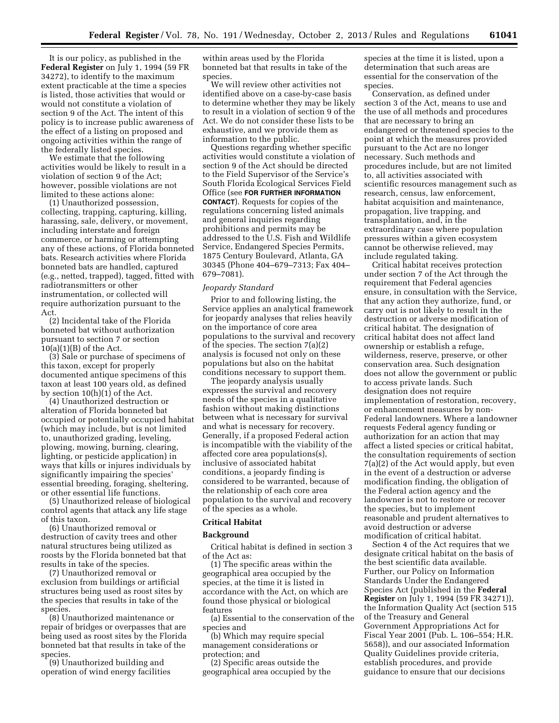It is our policy, as published in the **Federal Register** on July 1, 1994 (59 FR 34272), to identify to the maximum extent practicable at the time a species is listed, those activities that would or would not constitute a violation of section 9 of the Act. The intent of this policy is to increase public awareness of the effect of a listing on proposed and ongoing activities within the range of the federally listed species.

We estimate that the following activities would be likely to result in a violation of section 9 of the Act; however, possible violations are not limited to these actions alone:

(1) Unauthorized possession, collecting, trapping, capturing, killing, harassing, sale, delivery, or movement, including interstate and foreign commerce, or harming or attempting any of these actions, of Florida bonneted bats. Research activities where Florida bonneted bats are handled, captured (e.g., netted, trapped), tagged, fitted with radiotransmitters or other instrumentation, or collected will require authorization pursuant to the Act.

(2) Incidental take of the Florida bonneted bat without authorization pursuant to section 7 or section  $10(a)(1)(B)$  of the Act.

(3) Sale or purchase of specimens of this taxon, except for properly documented antique specimens of this taxon at least 100 years old, as defined by section 10(h)(1) of the Act.

(4) Unauthorized destruction or alteration of Florida bonneted bat occupied or potentially occupied habitat (which may include, but is not limited to, unauthorized grading, leveling, plowing, mowing, burning, clearing, lighting, or pesticide application) in ways that kills or injures individuals by significantly impairing the species' essential breeding, foraging, sheltering, or other essential life functions.

(5) Unauthorized release of biological control agents that attack any life stage of this taxon.

(6) Unauthorized removal or destruction of cavity trees and other natural structures being utilized as roosts by the Florida bonneted bat that results in take of the species.

(7) Unauthorized removal or exclusion from buildings or artificial structures being used as roost sites by the species that results in take of the species.

(8) Unauthorized maintenance or repair of bridges or overpasses that are being used as roost sites by the Florida bonneted bat that results in take of the species.

(9) Unauthorized building and operation of wind energy facilities within areas used by the Florida bonneted bat that results in take of the species.

We will review other activities not identified above on a case-by-case basis to determine whether they may be likely to result in a violation of section 9 of the Act. We do not consider these lists to be exhaustive, and we provide them as information to the public.

Questions regarding whether specific activities would constitute a violation of section 9 of the Act should be directed to the Field Supervisor of the Service's South Florida Ecological Services Field Office (see **FOR FURTHER INFORMATION CONTACT**). Requests for copies of the regulations concerning listed animals and general inquiries regarding prohibitions and permits may be addressed to the U.S. Fish and Wildlife Service, Endangered Species Permits, 1875 Century Boulevard, Atlanta, GA 30345 (Phone 404–679–7313; Fax 404– 679–7081).

# *Jeopardy Standard*

Prior to and following listing, the Service applies an analytical framework for jeopardy analyses that relies heavily on the importance of core area populations to the survival and recovery of the species. The section 7(a)(2) analysis is focused not only on these populations but also on the habitat conditions necessary to support them.

The jeopardy analysis usually expresses the survival and recovery needs of the species in a qualitative fashion without making distinctions between what is necessary for survival and what is necessary for recovery. Generally, if a proposed Federal action is incompatible with the viability of the affected core area populations(s), inclusive of associated habitat conditions, a jeopardy finding is considered to be warranted, because of the relationship of each core area population to the survival and recovery of the species as a whole.

### **Critical Habitat**

#### **Background**

Critical habitat is defined in section 3 of the Act as:

(1) The specific areas within the geographical area occupied by the species, at the time it is listed in accordance with the Act, on which are found those physical or biological features

(a) Essential to the conservation of the species and

(b) Which may require special management considerations or protection; and

(2) Specific areas outside the geographical area occupied by the species at the time it is listed, upon a determination that such areas are essential for the conservation of the species.

Conservation, as defined under section 3 of the Act, means to use and the use of all methods and procedures that are necessary to bring an endangered or threatened species to the point at which the measures provided pursuant to the Act are no longer necessary. Such methods and procedures include, but are not limited to, all activities associated with scientific resources management such as research, census, law enforcement, habitat acquisition and maintenance, propagation, live trapping, and transplantation, and, in the extraordinary case where population pressures within a given ecosystem cannot be otherwise relieved, may include regulated taking.

Critical habitat receives protection under section 7 of the Act through the requirement that Federal agencies ensure, in consultation with the Service, that any action they authorize, fund, or carry out is not likely to result in the destruction or adverse modification of critical habitat. The designation of critical habitat does not affect land ownership or establish a refuge, wilderness, reserve, preserve, or other conservation area. Such designation does not allow the government or public to access private lands. Such designation does not require implementation of restoration, recovery, or enhancement measures by non-Federal landowners. Where a landowner requests Federal agency funding or authorization for an action that may affect a listed species or critical habitat, the consultation requirements of section 7(a)(2) of the Act would apply, but even in the event of a destruction or adverse modification finding, the obligation of the Federal action agency and the landowner is not to restore or recover the species, but to implement reasonable and prudent alternatives to avoid destruction or adverse modification of critical habitat.

Section 4 of the Act requires that we designate critical habitat on the basis of the best scientific data available. Further, our Policy on Information Standards Under the Endangered Species Act (published in the **Federal Register** on July 1, 1994 (59 FR 34271)), the Information Quality Act (section 515 of the Treasury and General Government Appropriations Act for Fiscal Year 2001 (Pub. L. 106–554; H.R. 5658)), and our associated Information Quality Guidelines provide criteria, establish procedures, and provide guidance to ensure that our decisions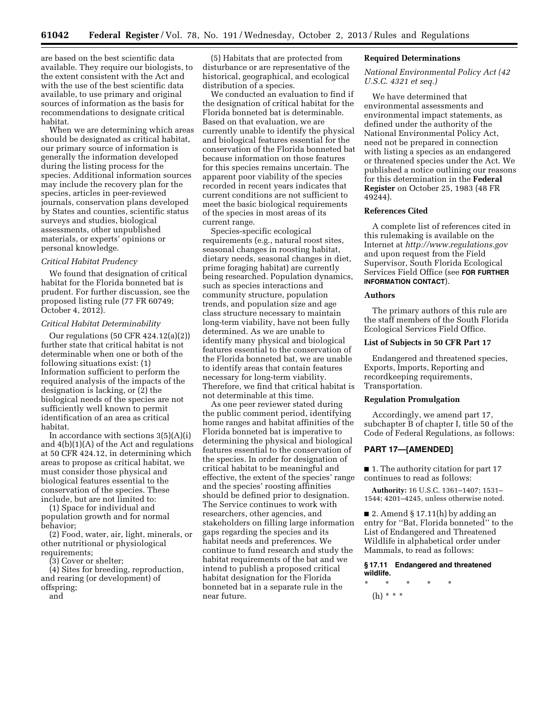are based on the best scientific data available. They require our biologists, to the extent consistent with the Act and with the use of the best scientific data available, to use primary and original sources of information as the basis for recommendations to designate critical habitat.

When we are determining which areas should be designated as critical habitat, our primary source of information is generally the information developed during the listing process for the species. Additional information sources may include the recovery plan for the species, articles in peer-reviewed journals, conservation plans developed by States and counties, scientific status surveys and studies, biological assessments, other unpublished materials, or experts' opinions or personal knowledge.

#### *Critical Habitat Prudency*

We found that designation of critical habitat for the Florida bonneted bat is prudent. For further discussion, see the proposed listing rule (77 FR 60749; October 4, 2012).

#### *Critical Habitat Determinability*

Our regulations (50 CFR 424.12(a)(2)) further state that critical habitat is not determinable when one or both of the following situations exist: (1) Information sufficient to perform the required analysis of the impacts of the designation is lacking, or (2) the biological needs of the species are not sufficiently well known to permit identification of an area as critical habitat.

In accordance with sections  $3(5)(A)(i)$ and 4(b)(1)(A) of the Act and regulations at 50 CFR 424.12, in determining which areas to propose as critical habitat, we must consider those physical and biological features essential to the conservation of the species. These include, but are not limited to:

(1) Space for individual and population growth and for normal behavior;

(2) Food, water, air, light, minerals, or other nutritional or physiological requirements;

(3) Cover or shelter;

(4) Sites for breeding, reproduction, and rearing (or development) of offspring;

and

(5) Habitats that are protected from disturbance or are representative of the historical, geographical, and ecological distribution of a species.

We conducted an evaluation to find if the designation of critical habitat for the Florida bonneted bat is determinable. Based on that evaluation, we are currently unable to identify the physical and biological features essential for the conservation of the Florida bonneted bat because information on those features for this species remains uncertain. The apparent poor viability of the species recorded in recent years indicates that current conditions are not sufficient to meet the basic biological requirements of the species in most areas of its current range.

Species-specific ecological requirements (e.g., natural roost sites, seasonal changes in roosting habitat, dietary needs, seasonal changes in diet, prime foraging habitat) are currently being researched. Population dynamics, such as species interactions and community structure, population trends, and population size and age class structure necessary to maintain long-term viability, have not been fully determined. As we are unable to identify many physical and biological features essential to the conservation of the Florida bonneted bat, we are unable to identify areas that contain features necessary for long-term viability. Therefore, we find that critical habitat is not determinable at this time.

As one peer reviewer stated during the public comment period, identifying home ranges and habitat affinities of the Florida bonneted bat is imperative to determining the physical and biological features essential to the conservation of the species. In order for designation of critical habitat to be meaningful and effective, the extent of the species' range and the species' roosting affinities should be defined prior to designation. The Service continues to work with researchers, other agencies, and stakeholders on filling large information gaps regarding the species and its habitat needs and preferences. We continue to fund research and study the habitat requirements of the bat and we intend to publish a proposed critical habitat designation for the Florida bonneted bat in a separate rule in the near future.

#### **Required Determinations**

*National Environmental Policy Act (42 U.S.C. 4321 et seq.)* 

We have determined that environmental assessments and environmental impact statements, as defined under the authority of the National Environmental Policy Act, need not be prepared in connection with listing a species as an endangered or threatened species under the Act. We published a notice outlining our reasons for this determination in the **Federal Register** on October 25, 1983 (48 FR 49244).

# **References Cited**

A complete list of references cited in this rulemaking is available on the Internet at *<http://www.regulations.gov>*  and upon request from the Field Supervisor, South Florida Ecological Services Field Office (see **FOR FURTHER INFORMATION CONTACT**).

# **Authors**

The primary authors of this rule are the staff members of the South Florida Ecological Services Field Office.

# **List of Subjects in 50 CFR Part 17**

Endangered and threatened species, Exports, Imports, Reporting and recordkeeping requirements, Transportation.

#### **Regulation Promulgation**

Accordingly, we amend part 17, subchapter B of chapter I, title 50 of the Code of Federal Regulations, as follows:

# **PART 17—[AMENDED]**

■ 1. The authority citation for part 17 continues to read as follows:

**Authority:** 16 U.S.C. 1361–1407; 1531– 1544; 4201–4245, unless otherwise noted.

■ 2. Amend § 17.11(h) by adding an entry for ''Bat, Florida bonneted'' to the List of Endangered and Threatened Wildlife in alphabetical order under Mammals, to read as follows:

# **§ 17.11 Endangered and threatened wildlife.**

\* \* \* \* \* (h) \* \* \*